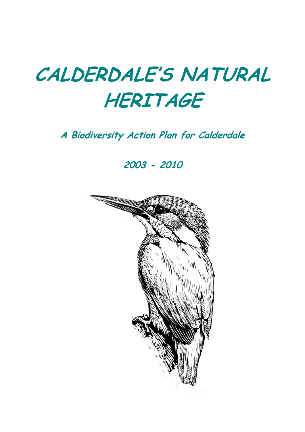# **CALDERDALE'S NATURAL HERITAGE**

# **A Biodiversity Action Plan for Calderdale**

**2003 - 2010**

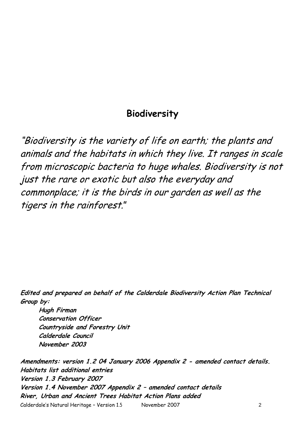### **Biodiversity**

"Biodiversity is the variety of life on earth; the plants and animals and the habitats in which they live. It ranges in scale from microscopic bacteria to huge whales. Biodiversity is not just the rare or exotic but also the everyday and commonplace; it is the birds in our garden as well as the tigers in the rainforest."

**Edited and prepared on behalf of the Calderdale Biodiversity Action Plan Technical Group by:**

**Hugh Firman Conservation Officer Countryside and Forestry Unit Calderdale Council November 2003**

Calderdale"s Natural Heritage – Version 1.5 November 2007 2 **Amendments: version 1.2 04 January 2006 Appendix 2 - amended contact details. Habitats list additional entries Version 1.3 February 2007 Version 1.4 November 2007 Appendix 2 – amended contact details River, Urban and Ancient Trees Habitat Action Plans added**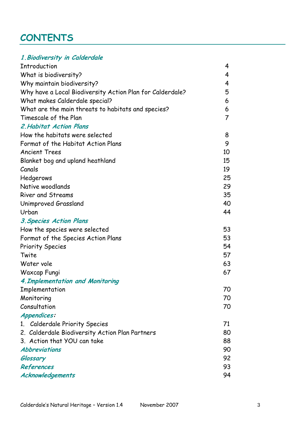# **CONTENTS**

|  | 1. Biodiversity in Calderdale |  |  |  |
|--|-------------------------------|--|--|--|
|  |                               |  |  |  |

| <b>Introduction</b>                                       | 4  |
|-----------------------------------------------------------|----|
| What is biodiversity?                                     | 4  |
| Why maintain biodiversity?                                | 4  |
| Why have a Local Biodiversity Action Plan for Calderdale? | 5  |
| What makes Calderdale special?                            | 6  |
| What are the main threats to habitats and species?        | 6  |
| Timescale of the Plan                                     | 7  |
| <b>2. Habitat Action Plans</b>                            |    |
| How the habitats were selected                            | 8  |
| Format of the Habitat Action Plans                        | 9  |
| <b>Ancient Trees</b>                                      | 10 |
| Blanket bog and upland heathland                          | 15 |
| Canals                                                    | 19 |
| Hedgerows                                                 | 25 |
| Native woodlands                                          | 29 |
| <b>River and Streams</b>                                  | 35 |
| Unimproved Grassland                                      | 40 |
| Urban                                                     | 44 |
| <b>3. Species Action Plans</b>                            |    |
| How the species were selected                             | 53 |
| Format of the Species Action Plans                        | 53 |
| <b>Priority Species</b>                                   | 54 |
| Twite                                                     | 57 |
| Water vole                                                | 63 |
| Waxcap Fungi                                              | 67 |
| 4. Implementation and Monitoring                          |    |
| Implementation                                            | 70 |
| Monitoring                                                | 70 |
| Consultation                                              | 70 |
| Appendices:                                               |    |
| 1. Calderdale Priority Species                            | 71 |
| 2. Calderdale Biodiversity Action Plan Partners           | 80 |
| 3. Action that YOU can take                               | 88 |
| <b>Abbreviations</b>                                      | 90 |
| Glossary                                                  | 92 |
| References                                                | 93 |
| Acknowledgements                                          | 94 |
|                                                           |    |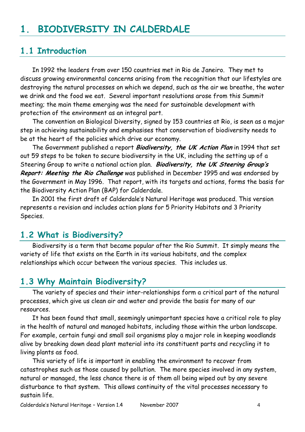# **1. BIODIVERSITY IN CALDERDALE**

### **1.1 Introduction**

In 1992 the leaders from over 150 countries met in Rio de Janeiro. They met to discuss growing environmental concerns arising from the recognition that our lifestyles are destroying the natural processes on which we depend, such as the air we breathe, the water we drink and the food we eat. Several important resolutions arose from this Summit meeting; the main theme emerging was the need for sustainable development with protection of the environment as an integral part.

The convention on Biological Diversity, signed by 153 countries at Rio, is seen as a major step in achieving sustainability and emphasises that conservation of biodiversity needs to be at the heart of the policies which drive our economy.

The Government published a report **Biodiversity, the UK Action Plan** in 1994 that set out 59 steps to be taken to secure biodiversity in the UK, including the setting up of a Steering Group to write a national action plan. **Biodiversity, the UK Steering Group's Report: Meeting the Rio Challenge** was published in December 1995 and was endorsed by the Government in May 1996. That report, with its targets and actions, forms the basis for the Biodiversity Action Plan (BAP) for Calderdale.

In 2001 the first draft of Calderdale"s Natural Heritage was produced. This version represents a revision and includes action plans for 5 Priority Habitats and 3 Priority Species.

### **1.2 What is Biodiversity?**

Biodiversity is a term that became popular after the Rio Summit. It simply means the variety of life that exists on the Earth in its various habitats, and the complex relationships which occur between the various species. This includes us.

# **1.3 Why Maintain Biodiversity?**

The variety of species and their inter-relationships form a critical part of the natural processes, which give us clean air and water and provide the basis for many of our resources.

It has been found that small, seemingly unimportant species have a critical role to play in the health of natural and managed habitats, including those within the urban landscape. For example, certain fungi and small soil organisms play a major role in keeping woodlands alive by breaking down dead plant material into its constituent parts and recycling it to living plants as food.

This variety of life is important in enabling the environment to recover from catastrophes such as those caused by pollution. The more species involved in any system, natural or managed, the less chance there is of them all being wiped out by any severe disturbance to that system. This allows continuity of the vital processes necessary to sustain life.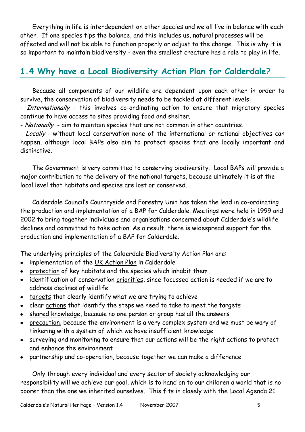Everything in life is interdependent on other species and we all live in balance with each other. If one species tips the balance, and this includes us, natural processes will be affected and will not be able to function properly or adjust to the change. This is why it is so important to maintain biodiversity - even the smallest creature has a role to play in life.

# **1.4 Why have a Local Biodiversity Action Plan for Calderdale?**

Because all components of our wildlife are dependent upon each other in order to survive, the conservation of biodiversity needs to be tackled at different levels:

- Internationally - this involves co-ordinating action to ensure that migratory species continue to have access to sites providing food and shelter.

- Nationally - aim to maintain species that are not common in other countries.

- Locally - without local conservation none of the international or national objectives can happen, although local BAPs also aim to protect species that are locally important and distinctive.

The Government is very committed to conserving biodiversity. Local BAPs will provide a major contribution to the delivery of the national targets, because ultimately it is at the local level that habitats and species are lost or conserved.

Calderdale Council"s Countryside and Forestry Unit has taken the lead in co-ordinating the production and implementation of a BAP for Calderdale. Meetings were held in 1999 and 2002 to bring together individuals and organisations concerned about Calderdale"s wildlife declines and committed to take action. As a result, there is widespread support for the production and implementation of a BAP for Calderdale.

The underlying principles of the Calderdale Biodiversity Action Plan are:

- implementation of the UK Action Plan in Calderdale  $\bullet$
- protection of key habitats and the species which inhabit them
- identification of conservation priorities, since focussed action is needed if we are to address declines of wildlife
- targets that clearly identify what we are trying to achieve
- clear actions that identify the steps we need to take to meet the targets
- shared knowledge, because no one person or group has all the answers  $\bullet$
- precaution, because the environment is a very complex system and we must be wary of tinkering with a system of which we have insufficient knowledge
- surveying and monitoring to ensure that our actions will be the right actions to protect and enhance the environment
- partnership and co-operation, because together we can make a difference

Only through every individual and every sector of society acknowledging our responsibility will we achieve our goal, which is to hand on to our children a world that is no poorer than the one we inherited ourselves. This fits in closely with the Local Agenda 21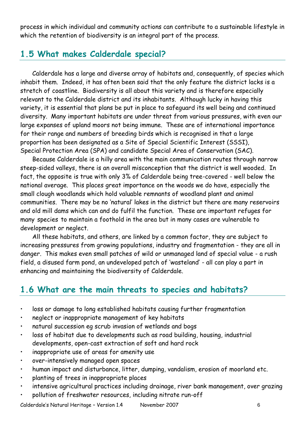process in which individual and community actions can contribute to a sustainable lifestyle in which the retention of biodiversity is an integral part of the process.

# **1.5 What makes Calderdale special?**

Calderdale has a large and diverse array of habitats and, consequently, of species which inhabit them. Indeed, it has often been said that the only feature the district lacks is a stretch of coastline. Biodiversity is all about this variety and is therefore especially relevant to the Calderdale district and its inhabitants. Although lucky in having this variety, it is essential that plans be put in place to safeguard its well being and continued diversity. Many important habitats are under threat from various pressures, with even our large expanses of upland moors not being immune. These are of international importance for their range and numbers of breeding birds which is recognised in that a large proportion has been designated as a Site of Special Scientific Interest (SSSI), Special Protection Area (SPA) and candidate Special Area of Conservation (SAC).

Because Calderdale is a hilly area with the main communication routes through narrow steep-sided valleys, there is an overall misconception that the district is well wooded. In fact, the opposite is true with only 3% of Calderdale being tree-covered - well below the national average. This places great importance on the woods we do have, especially the small clough woodlands which hold valuable remnants of woodland plant and animal communities. There may be no "natural" lakes in the district but there are many reservoirs and old mill dams which can and do fulfil the function. These are important refuges for many species to maintain a foothold in the area but in many cases are vulnerable to development or neglect.

All these habitats, and others, are linked by a common factor, they are subject to increasing pressures from growing populations, industry and fragmentation - they are all in danger. This makes even small patches of wild or unmanaged land of special value - a rush field, a disused farm pond, an undeveloped patch of "wasteland" - all can play a part in enhancing and maintaining the biodiversity of Calderdale.

# **1.6 What are the main threats to species and habitats?**

- loss or damage to long established habitats causing further fragmentation
- neglect or inappropriate management of key habitats
- natural succession eg scrub invasion of wetlands and bogs
- loss of habitat due to developments such as road building, housing, industrial developments, open-cast extraction of soft and hard rock
- inappropriate use of areas for amenity use
- over-intensively managed open spaces
- human impact and disturbance, litter, dumping, vandalism, erosion of moorland etc.
- planting of trees in inappropriate places
- intensive agricultural practices including drainage, river bank management, over grazing
- pollution of freshwater resources, including nitrate run-off

Calderdale"s Natural Heritage – Version 1.4 November 2007 6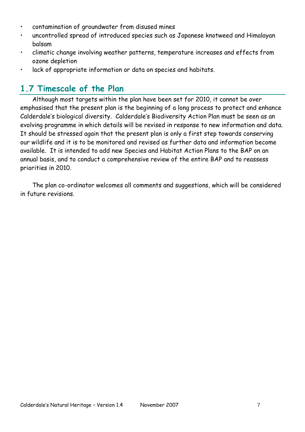- contamination of groundwater from disused mines
- uncontrolled spread of introduced species such as Japanese knotweed and Himalayan balsam
- climatic change involving weather patterns, temperature increases and effects from ozone depletion
- lack of appropriate information or data on species and habitats.

# **1.7 Timescale of the Plan**

Although most targets within the plan have been set for 2010, it cannot be over emphasised that the present plan is the beginning of a long process to protect and enhance Calderdale"s biological diversity. Calderdale"s Biodiversity Action Plan must be seen as an evolving programme in which details will be revised in response to new information and data. It should be stressed again that the present plan is only a first step towards conserving our wildlife and it is to be monitored and revised as further data and information become available. It is intended to add new Species and Habitat Action Plans to the BAP on an annual basis, and to conduct a comprehensive review of the entire BAP and to reassess priorities in 2010.

The plan co-ordinator welcomes all comments and suggestions, which will be considered in future revisions.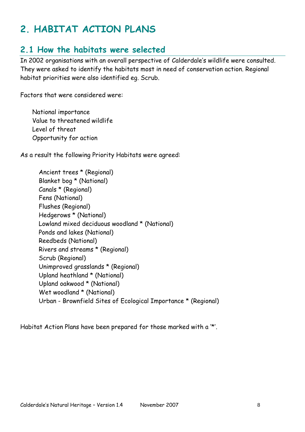# **2. HABITAT ACTION PLANS**

### **2.1 How the habitats were selected**

In 2002 organisations with an overall perspective of Calderdale"s wildlife were consulted. They were asked to identify the habitats most in need of conservation action. Regional habitat priorities were also identified eg. Scrub.

Factors that were considered were:

National importance Value to threatened wildlife Level of threat Opportunity for action

As a result the following Priority Habitats were agreed:

Ancient trees \* (Regional) Blanket bog \* (National) Canals \* (Regional) Fens (National) Flushes (Regional) Hedgerows \* (National) Lowland mixed deciduous woodland \* (National) Ponds and lakes (National) Reedbeds (National) Rivers and streams \* (Regional) Scrub (Regional) Unimproved grasslands \* (Regional) Upland heathland \* (National) Upland oakwood \* (National) Wet woodland \* (National) Urban - Brownfield Sites of Ecological Importance \* (Regional)

Habitat Action Plans have been prepared for those marked with a "\*".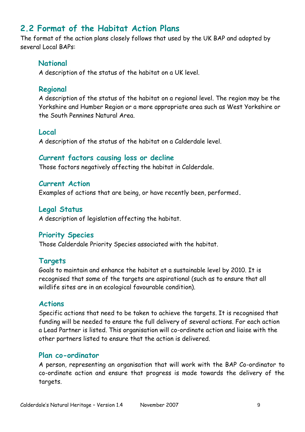# **2.2 Format of the Habitat Action Plans**

The format of the action plans closely follows that used by the UK BAP and adopted by several Local BAPs:

#### **National**

A description of the status of the habitat on a UK level.

#### **Regional**

A description of the status of the habitat on a regional level. The region may be the Yorkshire and Humber Region or a more appropriate area such as West Yorkshire or the South Pennines Natural Area.

#### **Local**

A description of the status of the habitat on a Calderdale level.

#### **Current factors causing loss or decline**

Those factors negatively affecting the habitat in Calderdale.

**Current Action** Examples of actions that are being, or have recently been, performed**.** 

#### **Legal Status** A description of legislation affecting the habitat.

#### **Priority Species**

Those Calderdale Priority Species associated with the habitat.

#### **Targets**

Goals to maintain and enhance the habitat at a sustainable level by 2010. It is recognised that some of the targets are aspirational (such as to ensure that all wildlife sites are in an ecological favourable condition).

#### **Actions**

Specific actions that need to be taken to achieve the targets. It is recognised that funding will be needed to ensure the full delivery of several actions. For each action a Lead Partner is listed. This organisation will co-ordinate action and liaise with the other partners listed to ensure that the action is delivered.

#### **Plan co-ordinator**

A person, representing an organisation that will work with the BAP Co-ordinator to co-ordinate action and ensure that progress is made towards the delivery of the targets.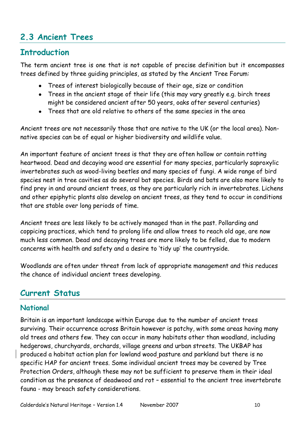# **2.3 Ancient Trees**

### **Introduction**

The term ancient tree is one that is not capable of precise definition but it encompasses trees defined by three guiding principles, as stated by the Ancient Tree Forum:

- Trees of interest biologically because of their age, size or condition  $\bullet$
- Trees in the ancient stage of their life (this may vary greatly e.g. birch trees might be considered ancient after 50 years, oaks after several centuries)
- Trees that are old relative to others of the same species in the area

Ancient trees are not necessarily those that are native to the UK (or the local area). Nonnative species can be of equal or higher biodiversity and wildlife value.

An important feature of ancient trees is that they are often hollow or contain rotting heartwood. Dead and decaying wood are essential for many species, particularly saproxylic invertebrates such as wood-living beetles and many species of fungi. A wide range of bird species nest in tree cavities as do several bat species. Birds and bats are also more likely to find prey in and around ancient trees, as they are particularly rich in invertebrates. Lichens and other epiphytic plants also develop on ancient trees, as they tend to occur in conditions that are stable over long periods of time.

Ancient trees are less likely to be actively managed than in the past. Pollarding and coppicing practices, which tend to prolong life and allow trees to reach old age, are now much less common. Dead and decaying trees are more likely to be felled, due to modern concerns with health and safety and a desire to "tidy up" the countryside.

Woodlands are often under threat from lack of appropriate management and this reduces the chance of individual ancient trees developing.

### **Current Status**

### **National**

Britain is an important landscape within Europe due to the number of ancient trees surviving. Their occurrence across Britain however is patchy, with some areas having many old trees and others few. They can occur in many habitats other than woodland, including hedgerows, churchyards, orchards, village greens and urban streets. The UKBAP has produced a habitat action plan for lowland wood pasture and parkland but there is no specific HAP for ancient trees. Some individual ancient trees may be covered by Tree Protection Orders, although these may not be sufficient to preserve them in their ideal condition as the presence of deadwood and rot – essential to the ancient tree invertebrate fauna - may breach safety considerations.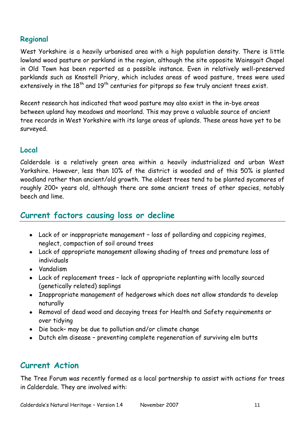### **Regional**

West Yorkshire is a heavily urbanised area with a high population density. There is little lowland wood pasture or parkland in the region, although the site opposite Wainsgait Chapel in Old Town has been reported as a possible instance. Even in relatively well-preserved parklands such as Knostell Priory, which includes areas of wood pasture, trees were used extensively in the  $18<sup>th</sup>$  and  $19<sup>th</sup>$  centuries for pitprops so few truly ancient trees exist.

Recent research has indicated that wood pasture may also exist in the in-bye areas between upland hay meadows and moorland. This may prove a valuable source of ancient tree records in West Yorkshire with its large areas of uplands. These areas have yet to be surveyed.

#### **Local**

Calderdale is a relatively green area within a heavily industrialized and urban West Yorkshire. However, less than 10% of the district is wooded and of this 50% is planted woodland rather than ancient/old growth. The oldest trees tend to be planted sycamores of roughly 200+ years old, although there are some ancient trees of other species, notably beech and lime.

### **Current factors causing loss or decline**

- Lack of or inappropriate management loss of pollarding and coppicing regimes, neglect, compaction of soil around trees
- Lack of appropriate management allowing shading of trees and premature loss of individuals
- Vandalism
- Lack of replacement trees lack of appropriate replanting with locally sourced (genetically related) saplings
- Inappropriate management of hedgerows which does not allow standards to develop naturally
- Removal of dead wood and decaying trees for Health and Safety requirements or over tidying
- Die back– may be due to pollution and/or climate change
- Dutch elm disease preventing complete regeneration of surviving elm butts

# **Current Action**

The Tree Forum was recently formed as a local partnership to assist with actions for trees in Calderdale. They are involved with: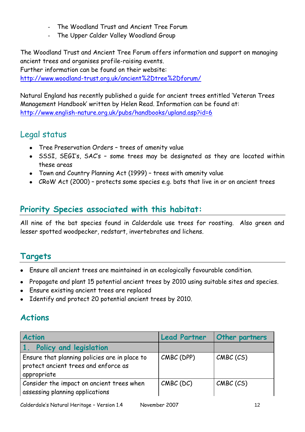- The Woodland Trust and Ancient Tree Forum
- The Upper Calder Valley Woodland Group

The Woodland Trust and Ancient Tree Forum offers information and support on managing ancient trees and organises profile-raising events. Further information can be found on their website:

[http://www.woodland-trust.org.uk/ancient%2Dtree%2Dforum/](http://www.woodland-trust.org.uk/ancient-tree-forum/)

Natural England has recently published a guide for ancient trees entitled "Veteran Trees Management Handbook" written by Helen Read. Information can be found at: <http://www.english-nature.org.uk/pubs/handbooks/upland.asp?id=6>

# Legal status

- Tree Preservation Orders trees of amenity value
- SSSI, SEGI's, SAC's some trees may be designated as they are located within these areas
- Town and Country Planning Act (1999) trees with amenity value
- CRoW Act (2000) protects some species e.g. bats that live in or on ancient trees

# **Priority Species associated with this habitat:**

All nine of the bat species found in Calderdale use trees for roosting. Also green and lesser spotted woodpecker, redstart, invertebrates and lichens.

# **Targets**

- Ensure all ancient trees are maintained in an ecologically favourable condition.
- Propagate and plant 15 potential ancient trees by 2010 using suitable sites and species.
- Ensure existing ancient trees are replaced
- Identify and protect 20 potential ancient trees by 2010.

# **Actions**

| <b>Action</b>                                                                                        | <b>Lead Partner</b> | <b>Other partners</b> |
|------------------------------------------------------------------------------------------------------|---------------------|-----------------------|
| 1. Policy and legislation                                                                            |                     |                       |
| Ensure that planning policies are in place to<br>protect ancient trees and enforce as<br>appropriate | CMBC (DPP)          | CMBC (CS)             |
| Consider the impact on ancient trees when<br>assessing planning applications                         | $CMBC$ (DC)         | CMBC (CS)             |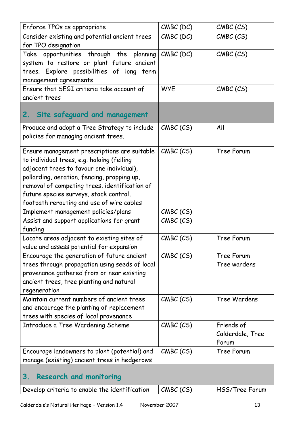| Enforce TPOs as appropriate                                                                                                                                                                                                                                                                                                    | $CMBC$ (DC) | CMBC (CS)                               |
|--------------------------------------------------------------------------------------------------------------------------------------------------------------------------------------------------------------------------------------------------------------------------------------------------------------------------------|-------------|-----------------------------------------|
| Consider existing and potential ancient trees<br>for TPO designation                                                                                                                                                                                                                                                           | $CMBC$ (DC) | CMBC (CS)                               |
| Take opportunities through the planning<br>system to restore or plant future ancient<br>trees. Explore possibilities of long term<br>management agreements                                                                                                                                                                     | $CMBC$ (DC) | CMBC (CS)                               |
| Ensure that SEGI criteria take account of<br>ancient trees                                                                                                                                                                                                                                                                     | <b>WYE</b>  | CMBC (CS)                               |
| Site safeguard and management<br>2.                                                                                                                                                                                                                                                                                            |             |                                         |
| Produce and adopt a Tree Strategy to include<br>policies for managing ancient trees.                                                                                                                                                                                                                                           | CMBC (CS)   | All                                     |
| Ensure management prescriptions are suitable<br>to individual trees, e.g. haloing (felling<br>adjacent trees to favour one individual),<br>pollarding, aeration, fencing, propping up,<br>removal of competing trees, identification of<br>future species surveys, stock control,<br>footpath rerouting and use of wire cables | CMBC (CS)   | Tree Forum                              |
| Implement management policies/plans                                                                                                                                                                                                                                                                                            | CMBC (CS)   |                                         |
| Assist and support applications for grant<br>funding                                                                                                                                                                                                                                                                           | CMBC (CS)   |                                         |
| Locate areas adjacent to existing sites of<br>value and assess potential for expansion                                                                                                                                                                                                                                         | CMBC (CS)   | Tree Forum                              |
| Encourage the generation of future ancient<br>trees through propagation using seeds of local<br>provenance gathered from or near existing<br>ancient trees, tree planting and natural<br>regeneration                                                                                                                          | CMBC (CS)   | Tree Forum<br>Tree wardens              |
| Maintain current numbers of ancient trees<br>and encourage the planting of replacement<br>trees with species of local provenance                                                                                                                                                                                               | CMBC (CS)   | Tree Wardens                            |
| Introduce a Tree Wardening Scheme                                                                                                                                                                                                                                                                                              | CMBC (CS)   | Friends of<br>Calderdale, Tree<br>Forum |
| Encourage landowners to plant (potential) and<br>manage (existing) ancient trees in hedgerows                                                                                                                                                                                                                                  | CMBC (CS)   | Tree Forum                              |
| 3.<br><b>Research and monitoring</b>                                                                                                                                                                                                                                                                                           |             |                                         |
| Develop criteria to enable the identification                                                                                                                                                                                                                                                                                  | CMBC (CS)   | HSS/Tree Forum                          |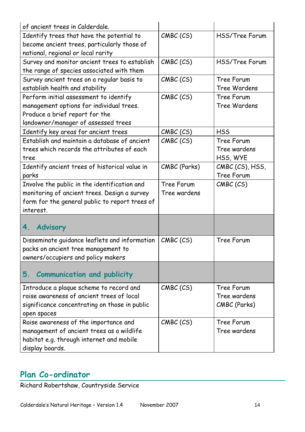| of ancient trees in Calderdale.                |              |                       |
|------------------------------------------------|--------------|-----------------------|
| Identify trees that have the potential to      | CMBC (CS)    | <b>HSS/Tree Forum</b> |
| become ancient trees, particularly those of    |              |                       |
| national, regional or local rarity             |              |                       |
| Survey and monitor ancient trees to establish  | CMBC (CS)    | <b>HSS/Tree Forum</b> |
| the range of species associated with them      |              |                       |
| Survey ancient trees on a regular basis to     | CMBC (CS)    | Tree Forum            |
| establish health and stability                 |              | Tree Wardens          |
| Perform initial assessment to identify         | CMBC (CS)    | Tree Forum            |
| management options for individual trees.       |              | Tree Wardens          |
| Produce a brief report for the                 |              |                       |
| landowner/manager of assessed trees            |              |                       |
| Identify key areas for ancient trees           | CMBC (CS)    | <b>HSS</b>            |
| Establish and maintain a database of ancient   | CMBC (CS)    | Tree Forum            |
| trees which records the attributes of each     |              | Tree wardens          |
| tree                                           |              | HSS, WYE              |
| Identify ancient trees of historical value in  | CMBC (Parks) | CMBC (CS), HSS,       |
| parks                                          |              | Tree Forum            |
| Involve the public in the identification and   | Tree Forum   | CMBC (CS)             |
| monitoring of ancient trees. Design a survey   | Tree wardens |                       |
| form for the general public to report trees of |              |                       |
| interest.                                      |              |                       |
|                                                |              |                       |
| <b>Advisory</b><br>4.                          |              |                       |
| Disseminate guidance leaflets and information  | CMBC (CS)    | Tree Forum            |
| packs on ancient tree management to            |              |                       |
| owners/occupiers and policy makers             |              |                       |
|                                                |              |                       |
| <b>Communication and publicity</b><br>5.       |              |                       |
| Introduce a plaque scheme to record and        | CMBC (CS)    | Tree Forum            |
| raise awareness of ancient trees of local      |              | Tree wardens          |
| significance concentrating on those in public  |              | CMBC (Parks)          |
| open spaces                                    |              |                       |
| Raise awareness of the importance and          | CMBC (CS)    | Tree Forum            |
| management of ancient trees as a wildlife      |              | Tree wardens          |
| habitat e.g. through internet and mobile       |              |                       |
| display boards.                                |              |                       |

### **Plan Co-ordinator**

Richard Robertshaw, Countryside Service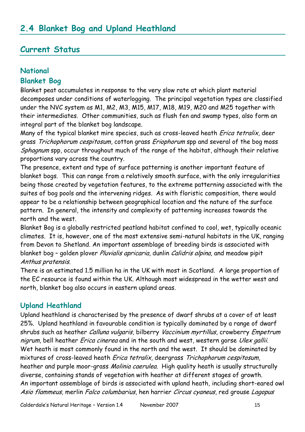### **Current Status**

### **National**

#### **Blanket Bog**

Blanket peat accumulates in response to the very slow rate at which plant material decomposes under conditions of waterlogging. The principal vegetation types are classified under the NVC system as M1, M2, M3, M15, M17, M18, M19, M20 and M25 together with their intermediates. Other communities, such as flush fen and swamp types, also form an integral part of the blanket bog landscape.

Many of the typical blanket mire species, such as cross-leaved heath *Erica tetralix*, deer grass Trichophorum cespitosum, cotton grass Eriophorum spp and several of the bog moss Sphagnum spp, occur throughout much of the range of the habitat, although their relative proportions vary across the country.

The presence, extent and type of surface patterning is another important feature of blanket bogs. This can range from a relatively smooth surface, with the only irregularities being those created by vegetation features, to the extreme patterning associated with the suites of bog pools and the intervening ridges. As with floristic composition, there would appear to be a relationship between geographical location and the nature of the surface pattern. In general, the intensity and complexity of patterning increases towards the north and the west.

Blanket Bog is a globally restricted peatland habitat confined to cool, wet, typically oceanic climates. It is, however, one of the most extensive semi-natural habitats in the UK, ranging from Devon to Shetland. An important assemblage of breeding birds is associated with blanket bog - golden plover Pluvialis apricaria, dunlin Calidris alpina, and meadow pipit Anthus pratensis.

There is an estimated 1.5 million ha in the UK with most in Scotland. A large proportion of the EC resource is found within the UK. Although most widespread in the wetter west and north, blanket bog also occurs in eastern upland areas.

### **Upland Heathland**

Upland heathland is characterised by the presence of dwarf shrubs at a cover of at least 25%. Upland heathland in favourable condition is typically dominated by a range of dwarf shrubs such as heather Calluna vulgaris, bilberry Vaccinium myrtillus, crowberry Empetrum nigrum, bell heather *Erica cinerea* and in the south and west, western gorse Ulex gallii. Wet heath is most commonly found in the north and the west. It should be dominated by mixtures of cross-leaved heath *Erica tetralix*, deergrass Trichophorum cespitosum, heather and purple moor-grass Molinia caerulea. High quality heath is usually structurally diverse, containing stands of vegetation with heather at different stages of growth. An important assemblage of birds is associated with upland heath, including short-eared owl Asio flammeus, merlin Falco columbarius, hen harrier Circus cyaneus, red grouse Lagopus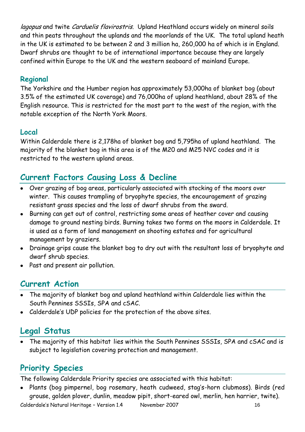lagopus and twite Carduelis flavirostris. Upland Heathland occurs widely on mineral soils and thin peats throughout the uplands and the moorlands of the UK. The total upland heath in the UK is estimated to be between 2 and 3 million ha, 260,000 ha of which is in England. Dwarf shrubs are thought to be of international importance because they are largely confined within Europe to the UK and the western seaboard of mainland Europe.

### **Regional**

The Yorkshire and the Humber region has approximately 53,000ha of blanket bog (about 3.5% of the estimated UK coverage) and 76,000ha of upland heathland, about 28% of the English resource. This is restricted for the most part to the west of the region, with the notable exception of the North York Moors.

### **Local**

Within Calderdale there is 2,178ha of blanket bog and 5,795ha of upland heathland. The majority of the blanket bog in this area is of the M20 and M25 NVC codes and it is restricted to the western upland areas.

# **Current Factors Causing Loss & Decline**

- Over grazing of bog areas, particularly associated with stocking of the moors over winter. This causes trampling of bryophyte species, the encouragement of grazing resistant grass species and the loss of dwarf shrubs from the sward.
- Burning can get out of control, restricting some areas of heather cover and causing damage to ground nesting birds. Burning takes two forms on the moors in Calderdale. It is used as a form of land management on shooting estates and for agricultural management by graziers.
- Drainage grips cause the blanket bog to dry out with the resultant loss of bryophyte and dwarf shrub species.
- Past and present air pollution.

# **Current Action**

- The majority of blanket bog and upland heathland within Calderdale lies within the South Pennines SSSIs, SPA and cSAC.
- Calderdale"s UDP policies for the protection of the above sites.

# **Legal Status**

The majority of this habitat lies within the South Pennines SSSIs, SPA and cSAC and is subject to legislation covering protection and management.

# **Priority Species**

The following Calderdale Priority species are associated with this habitat:

• Plants (bog pimpernel, bog rosemary, heath cudweed, stag's-horn clubmoss). Birds (red grouse, golden plover, dunlin, meadow pipit, short-eared owl, merlin, hen harrier, twite).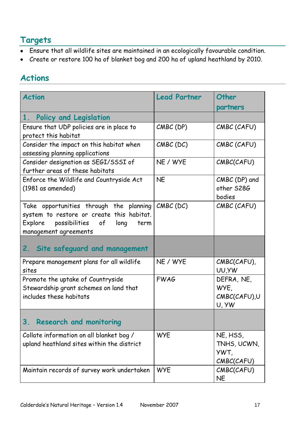# **Targets**

- Ensure that all wildlife sites are maintained in an ecologically favourable condition.
- Create or restore 100 ha of blanket bog and 200 ha of upland heathland by 2010.

# **Actions**

| <b>Action</b>                                                                                                                                             | <b>Lead Partner</b> | Other                                         |
|-----------------------------------------------------------------------------------------------------------------------------------------------------------|---------------------|-----------------------------------------------|
|                                                                                                                                                           |                     | partners                                      |
| 1. Policy and Legislation<br>Ensure that UDP policies are in place to<br>protect this habitat                                                             | $CMBC$ (DP)         | CMBC (CAFU)                                   |
| Consider the impact on this habitat when<br>assessing planning applications                                                                               | $CMBC$ (DC)         | CMBC (CAFU)                                   |
| Consider designation as SEGI/SSSI of<br>further areas of these habitats                                                                                   | NE / WYE            | CMBC(CAFU)                                    |
| Enforce the Wildlife and Countryside Act<br>$(1981$ as amended)                                                                                           | <b>NE</b>           | CMBC (DP) and<br>other S28G<br>bodies         |
| Take opportunities through the planning<br>system to restore or create this habitat.<br>possibilities of long<br>Explore<br>term<br>management agreements | $CMBC$ (DC)         | CMBC (CAFU)                                   |
| Site safeguard and management<br>2.                                                                                                                       |                     |                                               |
| Prepare management plans for all wildlife<br>sites                                                                                                        | NE / WYE            | CMBC(CAFU),<br>UU, YW                         |
| Promote the uptake of Countryside<br>Stewardship grant schemes on land that<br>includes these habitats                                                    | <b>FWAG</b>         | DEFRA, NE,<br>WYE.<br>CMBC(CAFU),U<br>U, YW   |
| 3.<br><b>Research and monitoring</b>                                                                                                                      |                     |                                               |
| Collate information on all blanket bog /<br>upland heathland sites within the district                                                                    | <b>WYE</b>          | NE, HSS,<br>TNHS, UCWN,<br>YWT,<br>CMBC(CAFU) |
| Maintain records of survey work undertaken                                                                                                                | <b>WYE</b>          | CMBC(CAFU)<br><b>NE</b>                       |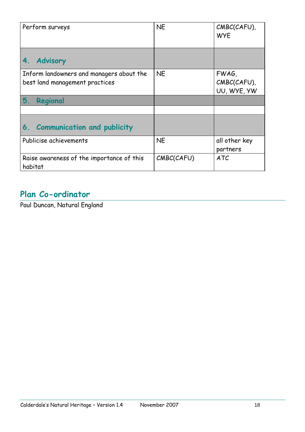| Perform surveys                                                            | <b>NE</b>  | CMBC(CAFU),<br><b>WYE</b>           |
|----------------------------------------------------------------------------|------------|-------------------------------------|
| <b>Advisory</b><br>4.                                                      |            |                                     |
| Inform landowners and managers about the<br>best land management practices | <b>NE</b>  | FWAG,<br>CMBC(CAFU),<br>UU, WYE, YW |
| 5.<br>Regional                                                             |            |                                     |
|                                                                            |            |                                     |
| <b>Communication and publicity</b><br>6.                                   |            |                                     |
| Publicise achievements                                                     | <b>NE</b>  | all other key<br>partners           |
| Raise awareness of the importance of this<br>habitat                       | CMBC(CAFU) | <b>ATC</b>                          |

# **Plan Co-ordinator**

Paul Duncan, Natural England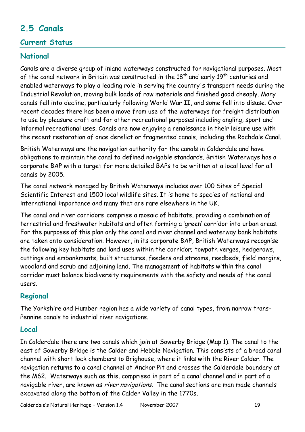# **2.5 Canals**

### **Current Status**

### **National**

Canals are a diverse group of inland waterways constructed for navigational purposes. Most of the canal network in Britain was constructed in the 18<sup>th</sup> and early 19<sup>th</sup> centuries and enabled waterways to play a leading role in serving the country's transport needs during the Industrial Revolution, moving bulk loads of raw materials and finished good cheaply. Many canals fell into decline, particularly following World War II, and some fell into disuse. Over recent decades there has been a move from use of the waterways for freight distribution to use by pleasure craft and for other recreational purposes including angling, sport and informal recreational uses. Canals are now enjoying a renaissance in their leisure use with the recent restoration of once derelict or fragmented canals, including the Rochdale Canal.

British Waterways are the navigation authority for the canals in Calderdale and have obligations to maintain the canal to defined navigable standards. British Waterways has a corporate BAP with a target for more detailed BAPs to be written at a local level for all canals by 2005.

The canal network managed by British Waterways includes over 100 Sites of Special Scientific Interest and 1500 local wildlife sites. It is home to species of national and international importance and many that are rare elsewhere in the UK.

The canal and river corridors comprise a mosaic of habitats, providing a combination of terrestrial and freshwater habitats and often forming a "green" corridor into urban areas. For the purposes of this plan only the canal and river channel and waterway bank habitats are taken onto consideration. However, in its corporate BAP, British Waterways recognise the following key habitats and land uses within the corridor; towpath verges, hedgerows, cuttings and embankments, built structures, feeders and streams, reedbeds, field margins, woodland and scrub and adjoining land. The management of habitats within the canal corridor must balance biodiversity requirements with the safety and needs of the canal users.

### **Regional**

The Yorkshire and Humber region has a wide variety of canal types, from narrow trans-Pennine canals to industrial river navigations.

### **Local**

In Calderdale there are two canals which join at Sowerby Bridge (Map 1). The canal to the east of Sowerby Bridge is the Calder and Hebble Navigation. This consists of a broad canal channel with short lock chambers to Brighouse, where it links with the River Calder. The navigation returns to a canal channel at Anchor Pit and crosses the Calderdale boundary at the M62. Waterways such as this, comprised in part of a canal channel and in part of a navigable river, are known as *river navigations*. The canal sections are man made channels excavated along the bottom of the Calder Valley in the 1770s.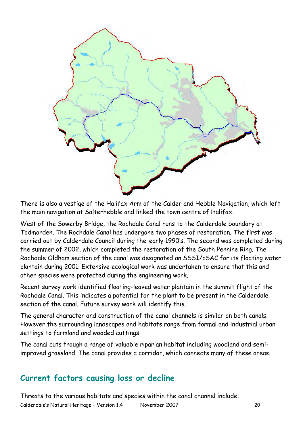

There is also a vestige of the Halifax Arm of the Calder and Hebble Navigation, which left the main navigation at Salterhebble and linked the town centre of Halifax.

West of the Sowerby Bridge, the Rochdale Canal runs to the Calderdale boundary at Todmorden. The Rochdale Canal has undergone two phases of restoration. The first was carried out by Calderdale Council during the early 1990"s. The second was completed during the summer of 2002, which completed the restoration of the South Pennine Ring. The Rochdale Oldham section of the canal was designated an SSSI/cSAC for its floating water plantain during 2001. Extensive ecological work was undertaken to ensure that this and other species were protected during the engineering work.

Recent survey work identified floating-leaved water plantain in the summit flight of the Rochdale Canal. This indicates a potential for the plant to be present in the Calderdale section of the canal. Future survey work will identify this.

The general character and construction of the canal channels is similar on both canals. However the surrounding landscapes and habitats range from formal and industrial urban settings to farmland and wooded cuttings.

The canal cuts trough a range of valuable riparian habitat including woodland and semiimproved grassland. The canal provides a corridor, which connects many of these areas.

# **Current factors causing loss or decline**

Calderdale"s Natural Heritage – Version 1.4 November 2007 20 Threats to the various habitats and species within the canal channel include: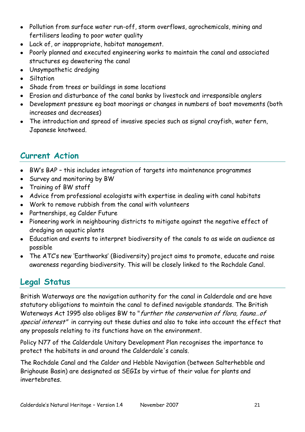- Pollution from surface water run-off, storm overflows, agrochemicals, mining and fertilisers leading to poor water quality
- Lack of, or inappropriate, habitat management.
- Poorly planned and executed engineering works to maintain the canal and associated structures eg dewatering the canal
- Unsympathetic dredging
- **•** Siltation
- Shade from trees or buildings in some locations
- Erosion and disturbance of the canal banks by livestock and irresponsible anglers
- Development pressure eg boat moorings or changes in numbers of boat movements (both increases and decreases)
- The introduction and spread of invasive species such as signal crayfish, water fern, Japanese knotweed.

# **Current Action**

- BW"s BAP this includes integration of targets into maintenance programmes
- Survey and monitoring by BW
- Training of BW staff
- Advice from professional ecologists with expertise in dealing with canal habitats
- Work to remove rubbish from the canal with volunteers
- Partnerships, eg Calder Future
- Pioneering work in neighbouring districts to mitigate against the negative effect of dredging on aquatic plants
- Education and events to interpret biodiversity of the canals to as wide an audience as possible
- The ATC"s new "Earthworks" (Biodiversity) project aims to promote, educate and raise awareness regarding biodiversity. This will be closely linked to the Rochdale Canal.

# **Legal Status**

British Waterways are the navigation authority for the canal in Calderdale and are have statutory obligations to maintain the canal to defined navigable standards. The British Waterways Act 1995 also obliges BW to "further the conservation of flora, fauna...of special interest" in carrying out these duties and also to take into account the effect that any proposals relating to its functions have on the environment.

Policy N77 of the Calderdale Unitary Development Plan recognises the importance to protect the habitats in and around the Calderdale's canals.

The Rochdale Canal and the Calder and Hebble Navigation (between Salterhebble and Brighouse Basin) are designated as SEGIs by virtue of their value for plants and invertebrates.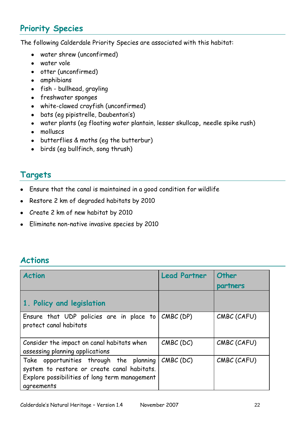# **Priority Species**

The following Calderdale Priority Species are associated with this habitat:

- water shrew (unconfirmed)
- water vole
- otter (unconfirmed)
- amphibians
- fish bullhead, grayling
- freshwater sponges
- white-clawed crayfish (unconfirmed)
- bats (eg pipistrelle, Daubenton's)
- water plants (eg floating water plantain, lesser skullcap**,** needle spike rush)
- molluscs
- butterflies & moths (eg the butterbur)
- birds (eg bullfinch, song thrush)

### **Targets**

- Ensure that the canal is maintained in a good condition for wildlife
- Restore 2 km of degraded habitats by 2010  $\bullet$
- Create 2 km of new habitat by 2010
- Eliminate non-native invasive species by 2010

### **Actions**

| <b>Action</b>                                                                                                                                         | <b>Lead Partner</b> | Other<br>partners |
|-------------------------------------------------------------------------------------------------------------------------------------------------------|---------------------|-------------------|
| 1. Policy and legislation                                                                                                                             |                     |                   |
| Ensure that UDP policies are in place to $ $<br>protect canal habitats                                                                                | CMBC (DP)           | CMBC (CAFU)       |
| Consider the impact on canal habitats when<br>assessing planning applications                                                                         | $CMBC$ (DC)         | CMBC (CAFU)       |
| Take opportunities through the planning<br>system to restore or create canal habitats.<br>Explore possibilities of long term management<br>agreements | $CMBC$ (DC)         | CMBC (CAFU)       |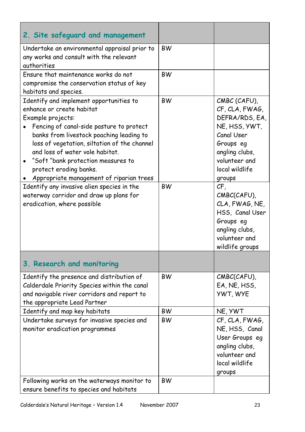| 2. Site safeguard and management                                                                                                                                                                                                                                                                                                                                                 |           |                                                                                                                                                             |
|----------------------------------------------------------------------------------------------------------------------------------------------------------------------------------------------------------------------------------------------------------------------------------------------------------------------------------------------------------------------------------|-----------|-------------------------------------------------------------------------------------------------------------------------------------------------------------|
| Undertake an environmental appraisal prior to<br>any works and consult with the relevant<br>authorities                                                                                                                                                                                                                                                                          | <b>BW</b> |                                                                                                                                                             |
| Ensure that maintenance works do not<br>compromise the conservation status of key<br>habitats and species.                                                                                                                                                                                                                                                                       | <b>BW</b> |                                                                                                                                                             |
| Identify and implement opportunities to<br>enhance or create habitat<br>Example projects:<br>Fencing of canal-side pasture to protect<br>banks from livestock poaching leading to<br>loss of vegetation, siltation of the channel<br>and loss of water vole habitat.<br>"Soft "bank protection measures to<br>protect eroding banks.<br>Appropriate management of riparian trees | <b>BW</b> | CMBC (CAFU),<br>CF, CLA, FWAG,<br>DEFRA/RDS, EA,<br>NE, HSS, YWT,<br>Canal User<br>Groups eg<br>angling clubs,<br>volunteer and<br>local wildlife<br>groups |
| Identify any invasive alien species in the<br>waterway corridor and draw up plans for<br>eradication, where possible                                                                                                                                                                                                                                                             | <b>BW</b> | CF,<br>CMBC(CAFU),<br>CLA, FWAG, NE,<br>HSS, Canal User<br>Groups eg<br>angling clubs,<br>volunteer and<br>wildlife groups                                  |
| 3. Research and monitoring                                                                                                                                                                                                                                                                                                                                                       |           |                                                                                                                                                             |
| Identify the presence and distribution of<br>Calderdale Priority Species within the canal<br>and navigable river corridors and report to<br>the appropriate Lead Partner                                                                                                                                                                                                         | <b>BW</b> | CMBC(CAFU),<br>EA, NE, HSS,<br><b>YWT, WYE</b>                                                                                                              |
| Identify and map key habitats                                                                                                                                                                                                                                                                                                                                                    | <b>BW</b> | NE, YWT                                                                                                                                                     |
| Undertake surveys for invasive species and<br>monitor eradication programmes                                                                                                                                                                                                                                                                                                     | <b>BW</b> | CF, CLA, FWAG,<br>NE, HSS, Canal<br>User Groups eg<br>angling clubs,<br>volunteer and<br>local wildlife<br>groups                                           |
| Following works on the waterways monitor to<br>ensure benefits to species and habitats                                                                                                                                                                                                                                                                                           | <b>BW</b> |                                                                                                                                                             |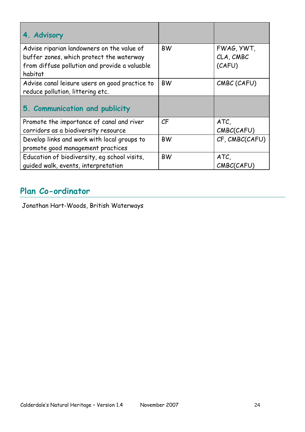| 4. Advisory                                                                            |           |                         |
|----------------------------------------------------------------------------------------|-----------|-------------------------|
| Advise riparian landowners on the value of<br>buffer zones, which protect the waterway | <b>BW</b> | FWAG, YWT,<br>CLA, CMBC |
| from diffuse pollution and provide a valuable                                          |           | (CAFU)                  |
| habitat                                                                                |           |                         |
| Advise canal leisure users on good practice to<br>reduce pollution, littering etc.     | <b>BW</b> | CMBC (CAFU)             |
| 5. Communication and publicity                                                         |           |                         |
| Promote the importance of canal and river                                              | CF        | ATC,                    |
| corridors as a biodiversity resource                                                   |           | CMBC(CAFU)              |
| Develop links and work with local groups to                                            | <b>BW</b> | CF, CMBC(CAFU)          |
| promote good management practices                                                      |           |                         |
| Education of biodiversity, eg school visits,                                           | <b>BW</b> | ATC,                    |
| guided walk, events, interpretation                                                    |           | CMBC(CAFU)              |

# **Plan Co-ordinator**

Jonathan Hart-Woods, British Waterways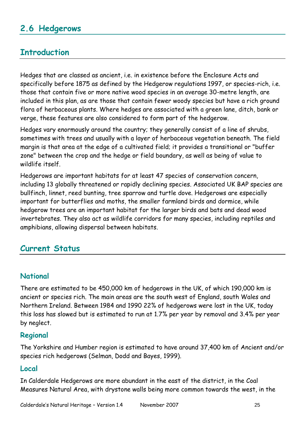# **2.6 Hedgerows**

# **Introduction**

Hedges that are classed as ancient, i.e. in existence before the Enclosure Acts and specifically before 1875 as defined by the Hedgerow regulations 1997, or species-rich, i.e. those that contain five or more native wood species in an average 30-metre length, are included in this plan, as are those that contain fewer woody species but have a rich ground flora of herbaceous plants. Where hedges are associated with a green lane, ditch, bank or verge, these features are also considered to form part of the hedgerow.

Hedges vary enormously around the country; they generally consist of a line of shrubs, sometimes with trees and usually with a layer of herbaceous vegetation beneath. The field margin is that area at the edge of a cultivated field; it provides a transitional or "buffer zone" between the crop and the hedge or field boundary, as well as being of value to wildlife itself.

Hedgerows are important habitats for at least 47 species of conservation concern, including 13 globally threatened or rapidly declining species. Associated UK BAP species are bullfinch, linnet, reed bunting, tree sparrow and turtle dove. Hedgerows are especially important for butterflies and moths, the smaller farmland birds and dormice, while hedgerow trees are an important habitat for the larger birds and bats and dead wood invertebrates. They also act as wildlife corridors for many species, including reptiles and amphibians, allowing dispersal between habitats.

### **Current Status**

### **National**

There are estimated to be 450,000 km of hedgerows in the UK, of which 190,000 km is ancient or species rich. The main areas are the south west of England, south Wales and Northern Ireland. Between 1984 and 1990 22% of hedgerows were lost in the UK, today this loss has slowed but is estimated to run at 1.7% per year by removal and 3.4% per year by neglect.

### **Regional**

The Yorkshire and Humber region is estimated to have around 37,400 km of Ancient and/or species rich hedgerows (Selman, Dodd and Bayes, 1999).

### **Local**

In Calderdale Hedgerows are more abundant in the east of the district, in the Coal Measures Natural Area, with drystone walls being more common towards the west, in the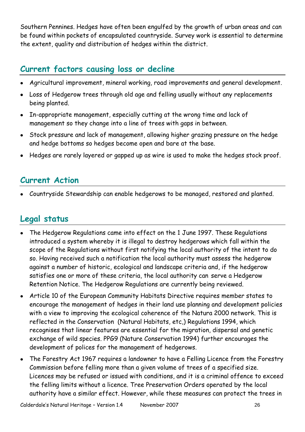Southern Pennines. Hedges have often been engulfed by the growth of urban areas and can be found within pockets of encapsulated countryside. Survey work is essential to determine the extent, quality and distribution of hedges within the district.

# **Current factors causing loss or decline**

- Agricultural improvement, mineral working, road improvements and general development.
- Loss of Hedgerow trees through old age and felling usually without any replacements being planted.
- In-appropriate management, especially cutting at the wrong time and lack of management so they change into a line of trees with gaps in between.
- Stock pressure and lack of management, allowing higher grazing pressure on the hedge and hedge bottoms so hedges become open and bare at the base.
- Hedges are rarely layered or gapped up as wire is used to make the hedges stock proof.

# **Current Action**

Countryside Stewardship can enable hedgerows to be managed, restored and planted.

# **Legal status**

- The Hedgerow Regulations came into effect on the 1 June 1997. These Regulations introduced a system whereby it is illegal to destroy hedgerows which fall within the scope of the Regulations without first notifying the local authority of the intent to do so. Having received such a notification the local authority must assess the hedgerow against a number of historic, ecological and landscape criteria and, if the hedgerow satisfies one or more of these criteria, the local authority can serve a Hedgerow Retention Notice. The Hedgerow Regulations are currently being reviewed.
- Article 10 of the European Community Habitats Directive requires member states to encourage the management of hedges in their land use planning and development policies with a view to improving the ecological coherence of the Natura 2000 network. This is reflected in the Conservation (Natural Habitats, etc,) Regulations 1994, which recognises that linear features are essential for the migration, dispersal and genetic exchange of wild species. PPG9 (Nature Conservation 1994) further encourages the development of polices for the management of hedgerows.
- The Forestry Act 1967 requires a landowner to have a Felling Licence from the Forestry Commission before felling more than a given volume of trees of a specified size. Licences may be refused or issued with conditions, and it is a criminal offence to exceed the felling limits without a licence. Tree Preservation Orders operated by the local authority have a similar effect. However, while these measures can protect the trees in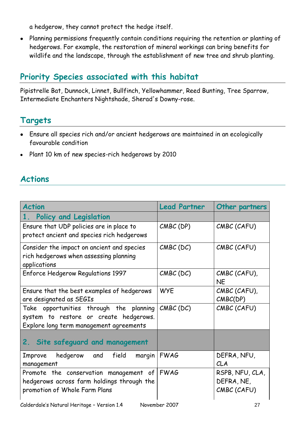a hedgerow, they cannot protect the hedge itself.

Planning permissions frequently contain conditions requiring the retention or planting of  $\bullet$ hedgerows. For example, the restoration of mineral workings can bring benefits for wildlife and the landscape, through the establishment of new tree and shrub planting.

# **Priority Species associated with this habitat**

Pipistrelle Bat, Dunnock, Linnet, Bullfinch, Yellowhammer, Reed Bunting, Tree Sparrow, Intermediate Enchanters Nightshade, Sherad's Downy-rose.

### **Targets**

- Ensure all species rich and/or ancient hedgerows are maintained in an ecologically favourable condition
- Plant 10 km of new species-rich hedgerows by 2010

### **Actions**

| <b>Action</b>                                                                                                                | <b>Lead Partner</b> | Other partners                               |  |
|------------------------------------------------------------------------------------------------------------------------------|---------------------|----------------------------------------------|--|
| Policy and Legislation<br>$1_{\ldots}$                                                                                       |                     |                                              |  |
| Ensure that UDP policies are in place to<br>protect ancient and species rich hedgerows                                       | $CMBC$ (DP)         | CMBC (CAFU)                                  |  |
| Consider the impact on ancient and species<br>rich hedgerows when assessing planning<br>applications                         | $CMBC$ (DC)         | CMBC (CAFU)                                  |  |
| Enforce Hedgerow Regulations 1997                                                                                            | $CMBC$ (DC)         | CMBC (CAFU),<br><b>NE</b>                    |  |
| Ensure that the best examples of hedgerows<br>are designated as SEGIs                                                        | <b>WYE</b>          | CMBC (CAFU),<br>CMBC(DP)                     |  |
| Take opportunities through the planning<br>system to restore or create hedgerows.<br>Explore long term management agreements | $CMBC$ (DC)         | CMBC (CAFU)                                  |  |
| 2. Site safeguard and management                                                                                             |                     |                                              |  |
| hedgerow<br>and<br>field<br>margin<br>Improve<br>management                                                                  | <b>FWAG</b>         | DEFRA, NFU,<br>CLA                           |  |
| Promote the conservation management of<br>hedgerows across farm holdings through the<br>promotion of Whole Farm Plans        | <b>FWAG</b>         | RSPB, NFU, CLA,<br>DEFRA, NE,<br>CMBC (CAFU) |  |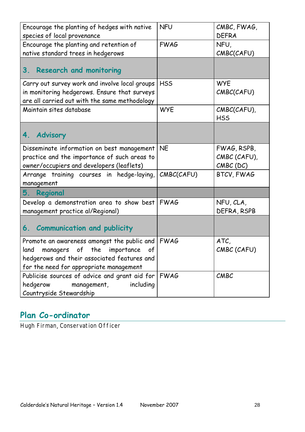| Encourage the planting of hedges with native<br>species of local provenance                                                                                                       | <b>NFU</b>  | CMBC, FWAG,<br><b>DEFRA</b>                |
|-----------------------------------------------------------------------------------------------------------------------------------------------------------------------------------|-------------|--------------------------------------------|
| Encourage the planting and retention of<br>native standard trees in hedgerows                                                                                                     | <b>FWAG</b> | NFU,<br>CMBC(CAFU)                         |
| <b>Research and monitoring</b><br>3.                                                                                                                                              |             |                                            |
| Carry out survey work and involve local groups<br>in monitoring hedgerows. Ensure that surveys<br>are all carried out with the same methodology                                   | <b>HSS</b>  | <b>WYE</b><br>CMBC(CAFU)                   |
| Maintain sites database                                                                                                                                                           | <b>WYE</b>  | CMBC(CAFU),<br><b>HSS</b>                  |
| <b>Advisory</b><br>4.                                                                                                                                                             |             |                                            |
| Disseminate information on best management<br>practice and the importance of such areas to<br>owner/occupiers and developers (leaflets)                                           | <b>NE</b>   | FWAG, RSPB,<br>CMBC (CAFU),<br>$CMBC$ (DC) |
| Arrange training courses in hedge-laying,<br>management                                                                                                                           | CMBC(CAFU)  | BTCV, FWAG                                 |
| 5.<br>Regional                                                                                                                                                                    |             |                                            |
| Develop a demonstration area to show best<br>management practice al/Regional)                                                                                                     | <b>FWAG</b> | NFU, CLA,<br>DEFRA, RSPB                   |
| 6. Communication and publicity                                                                                                                                                    |             |                                            |
| Promote an awareness amongst the public and<br>managers of the importance<br>land<br>of<br>hedgerows and their associated features and<br>for the need for appropriate management | <b>FWAG</b> | ATC,<br>CMBC (CAFU)                        |
| Publicise sources of advice and grant aid for FWAG<br>hedgerow<br>including<br>management,<br>Countryside Stewardship                                                             |             | CMBC                                       |

# **Plan Co-ordinator**

Hugh Firman, Conservation Officer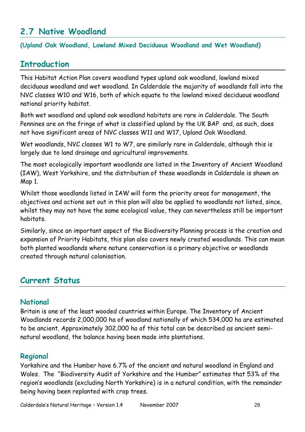# **2.7 Native Woodland**

#### **(Upland Oak Woodland, Lowland Mixed Deciduous Woodland and Wet Woodland)**

### **Introduction**

This Habitat Action Plan covers woodland types upland oak woodland, lowland mixed deciduous woodland and wet woodland. In Calderdale the majority of woodlands fall into the NVC classes W10 and W16, both of which equate to the lowland mixed deciduous woodland national priority habitat.

Both wet woodland and upland oak woodland habitats are rare in Calderdale. The South Pennines are on the fringe of what is classified upland by the UK BAP and, as such, does not have significant areas of NVC classes W11 and W17, Upland Oak Woodland.

Wet woodlands, NVC classes W1 to W7, are similarly rare in Calderdale, although this is largely due to land drainage and agricultural improvements.

The most ecologically important woodlands are listed in the Inventory of Ancient Woodland (IAW), West Yorkshire, and the distribution of these woodlands in Calderdale is shown on Map 1.

Whilst those woodlands listed in IAW will form the priority areas for management, the objectives and actions set out in this plan will also be applied to woodlands not listed, since, whilst they may not have the same ecological value, they can nevertheless still be important habitats.

Similarly, since an important aspect of the Biodiversity Planning process is the creation and expansion of Priority Habitats, this plan also covers newly created woodlands. This can mean both planted woodlands where nature conservation is a primary objective or woodlands created through natural colonisation.

# **Current Status**

### **National**

Britain is one of the least wooded countries within Europe. The Inventory of Ancient Woodlands records 2,000,000 ha of woodland nationally of which 534,000 ha are estimated to be ancient. Approximately 302,000 ha of this total can be described as ancient seminatural woodland, the balance having been made into plantations.

#### **Regional**

Yorkshire and the Humber have 6.7% of the ancient and natural woodland in England and Wales. The "Biodiversity Audit of Yorkshire and the Humber" estimates that 53% of the region"s woodlands (excluding North Yorkshire) is in a natural condition, with the remainder being having been replanted with crop trees.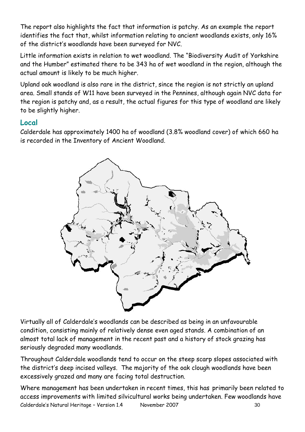The report also highlights the fact that information is patchy. As an example the report identifies the fact that, whilst information relating to ancient woodlands exists, only 16% of the district"s woodlands have been surveyed for NVC.

Little information exists in relation to wet woodland. The "Biodiversity Audit of Yorkshire and the Humber" estimated there to be 343 ha of wet woodland in the region, although the actual amount is likely to be much higher.

Upland oak woodland is also rare in the district, since the region is not strictly an upland area. Small stands of W11 have been surveyed in the Pennines, although again NVC data for the region is patchy and, as a result, the actual figures for this type of woodland are likely to be slightly higher.

### **Local**

Calderdale has approximately 1400 ha of woodland (3.8% woodland cover) of which 660 ha is recorded in the Inventory of Ancient Woodland.



Virtually all of Calderdale"s woodlands can be described as being in an unfavourable condition, consisting mainly of relatively dense even aged stands. A combination of an almost total lack of management in the recent past and a history of stock grazing has seriously degraded many woodlands.

Throughout Calderdale woodlands tend to occur on the steep scarp slopes associated with the district's deep incised valleys. The majority of the oak clough woodlands have been excessively grazed and many are facing total destruction.

Calderdale's Natural Heritage - Version 1.4 November 2007 30 Where management has been undertaken in recent times, this has primarily been related to access improvements with limited silvicultural works being undertaken. Few woodlands have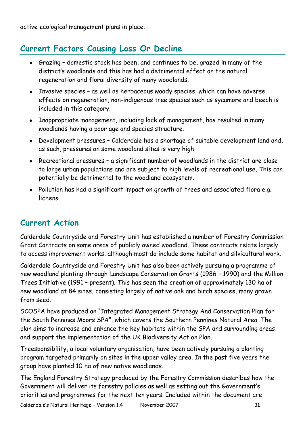active ecological management plans in place.

# **Current Factors Causing Loss Or Decline**

- Grazing domestic stock has been, and continues to be, grazed in many of the district"s woodlands and this has had a detrimental effect on the natural regeneration and floral diversity of many woodlands.
- Invasive species as well as herbaceous woody species, which can have adverse effects on regeneration, non-indigenous tree species such as sycamore and beech is included in this category.
- Inappropriate management, including lack of management, has resulted in many woodlands having a poor age and species structure.
- Development pressures Calderdale has a shortage of suitable development land and, as such, pressures on some woodland sites is very high.
- Recreational pressures a significant number of woodlands in the district are close to large urban populations and are subject to high levels of recreational use. This can potentially be detrimental to the woodland ecosystem.
- Pollution has had a significant impact on growth of trees and associated flora e.g. lichens.

# **Current Action**

Calderdale Countryside and Forestry Unit has established a number of Forestry Commission Grant Contracts on some areas of publicly owned woodland. These contracts relate largely to access improvement works, although most do include some habitat and silvicultural work.

Calderdale Countryside and Forestry Unit has also been actively pursuing a programme of new woodland planting through Landscape Conservation Grants (1986 – 1990) and the Million Trees Initiative (1991 – present). This has seen the creation of approximately 130 ha of new woodland at 84 sites, consisting largely of native oak and birch species, many grown from seed.

SCOSPA have produced an "Integrated Management Strategy And Conservation Plan for the South Pennines Moors SPA", which covers the Southern Pennines Natural Area. The plan aims to increase and enhance the key habitats within the SPA and surrounding areas and support the implementation of the UK Biodiversity Action Plan.

Treesponsibility, a local voluntary organisation, have been actively pursuing a planting program targeted primarily on sites in the upper valley area. In the past five years the group have planted 10 ha of new native woodlands.

The England Forestry Strategy produced by the Forestry Commission describes how the Government will deliver its forestry policies as well as setting out the Government"s priorities and programmes for the next ten years. Included within the document are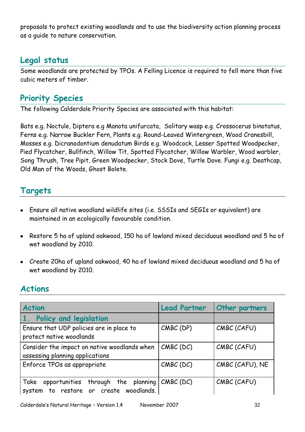proposals to protect existing woodlands and to use the biodiversity action planning process as a guide to nature conservation.

### **Legal status**

Some woodlands are protected by TPOs. A Felling Licence is required to fell more than five cubic meters of timber.

### **Priority Species**

The following Calderdale Priority Species are associated with this habitat:

Bats e.g. Noctule, Diptera e.g Manota unifurcata, Solitary wasp e.g. Crossocerus binotatus, Ferns e.g. Narrow Buckler Fern, Plants e.g. Round-Leaved Wintergreen, Wood Cranesbill, Mosses e.g. Dicranodontium denudatum Birds e.g. Woodcock, Lesser Spotted Woodpecker, Pied Flycatcher, Bullfinch, Willow Tit, Spotted Flycatcher, Willow Warbler, Wood warbler, Song Thrush, Tree Pipit, Green Woodpecker, Stock Dove, Turtle Dove. Fungi e.g. Deathcap, Old Man of the Woods, Ghost Bolete.

### **Targets**

- Ensure all native woodland wildlife sites (i.e. SSSIs and SEGIs or equivalent) are maintained in an ecologically favourable condition.
- Restore 5 ha of upland oakwood, 150 ha of lowland mixed deciduous woodland and 5 ha of wet woodland by 2010.
- Create 20ha of upland oakwood, 40 ha of lowland mixed deciduous woodland and 5 ha of wet woodland by 2010.

### **Actions**

| <b>Action</b>                                                                           | <b>Lead Partner</b> | <b>Other partners</b> |
|-----------------------------------------------------------------------------------------|---------------------|-----------------------|
| Policy and legislation<br>$\vert 1 \vert$                                               |                     |                       |
| Ensure that UDP policies are in place to<br>protect native woodlands                    | CMBC (DP)           | CMBC (CAFU)           |
| Consider the impact on native woodlands when<br>assessing planning applications         | $CMBC$ (DC)         | CMBC (CAFU)           |
| Enforce TPOs as appropriate                                                             | $CMBC$ (DC)         | CMBC (CAFU), NE       |
| opportunities through the planning<br>Take<br>to restore or create woodlands.<br>system | $CMBC$ (DC)         | CMBC (CAFU)           |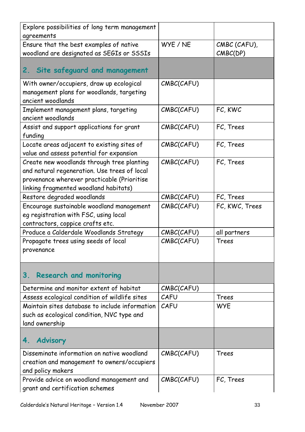| Explore possibilities of long term management              |            |                |
|------------------------------------------------------------|------------|----------------|
| agreements                                                 |            |                |
| Ensure that the best examples of native                    | WYE / NE   | CMBC (CAFU),   |
| woodland are designated as SEGIs or SSSIs                  |            | CMBC(DP)       |
|                                                            |            |                |
| Site safeguard and management<br>2.                        |            |                |
| With owner/occupiers, draw up ecological                   | CMBC(CAFU) |                |
| management plans for woodlands, targeting                  |            |                |
| ancient woodlands                                          |            |                |
|                                                            | CMBC(CAFU) | FC, KWC        |
| Implement management plans, targeting<br>ancient woodlands |            |                |
|                                                            |            |                |
| Assist and support applications for grant                  | CMBC(CAFU) | FC, Trees      |
| funding                                                    |            |                |
| Locate areas adjacent to existing sites of                 | CMBC(CAFU) | FC, Trees      |
| value and assess potential for expansion                   |            |                |
| Create new woodlands through tree planting                 | CMBC(CAFU) | FC, Trees      |
| and natural regeneration. Use trees of local               |            |                |
| provenance wherever practicable (Prioritise                |            |                |
| linking fragmented woodland habitats)                      |            |                |
| Restore degraded woodlands                                 | CMBC(CAFU) | FC, Trees      |
| Encourage sustainable woodland management                  | CMBC(CAFU) | FC, KWC, Trees |
| eg registration with FSC, using local                      |            |                |
| contractors, coppice crafts etc.                           |            |                |
| Produce a Calderdale Woodlands Strategy                    | CMBC(CAFU) | all partners   |
| Propagate trees using seeds of local                       | CMBC(CAFU) | Trees          |
| provenance                                                 |            |                |
|                                                            |            |                |
|                                                            |            |                |
| <b>Research and monitoring</b><br>З.                       |            |                |
| Determine and monitor extent of habitat                    | CMBC(CAFU) |                |
| Assess ecological condition of wildlife sites              | CAFU       | Trees          |
| Maintain sites database to include information             | CAFU       | <b>WYE</b>     |
| such as ecological condition, NVC type and                 |            |                |
| land ownership                                             |            |                |
|                                                            |            |                |
| <b>Advisory</b><br>4.                                      |            |                |
| Disseminate information on native woodland                 | CMBC(CAFU) | Trees          |
| creation and management to owners/occupiers                |            |                |
| and policy makers                                          |            |                |
| Provide advice on woodland management and                  | CMBC(CAFU) | FC, Trees      |
| grant and certification schemes                            |            |                |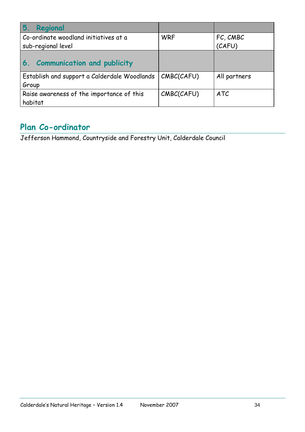| Regional<br>5.                               |            |              |
|----------------------------------------------|------------|--------------|
| Co-ordinate woodland initiatives at a        | <b>WRF</b> | FC, CMBC     |
| sub-regional level                           |            | (CAFU)       |
| <b>Communication and publicity</b><br>6.     |            |              |
| Establish and support a Calderdale Woodlands | CMBC(CAFU) | All partners |
| Group                                        |            |              |
| Raise awareness of the importance of this    | CMBC(CAFU) | <b>ATC</b>   |
| habitat                                      |            |              |

# **Plan Co-ordinator**

Jefferson Hammond, Countryside and Forestry Unit, Calderdale Council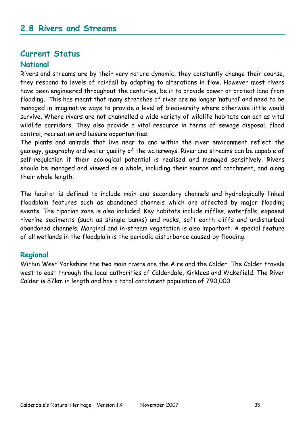### **Current Status**

#### **National**

Rivers and streams are by their very nature dynamic, they constantly change their course, they respond to levels of rainfall by adapting to alterations in flow. However most rivers have been engineered throughout the centuries, be it to provide power or protect land from flooding. This has meant that many stretches of river are no longer "natural" and need to be managed in imaginative ways to provide a level of biodiversity where otherwise little would survive. Where rivers are not channelled a wide variety of wildlife habitats can act as vital wildlife corridors. They also provide a vital resource in terms of sewage disposal, flood control, recreation and leisure opportunities.

The plants and animals that live near to and within the river environment reflect the geology, geography and water quality of the waterways. River and streams can be capable of self-regulation if their ecological potential is realised and managed sensitively. Rivers should be managed and viewed as a whole, including their source and catchment, and along their whole length.

The habitat is defined to include main and secondary channels and hydrologically linked floodplain features such as abandoned channels which are affected by major flooding events. The riparian zone is also included. Key habitats include riffles, waterfalls, exposed riverine sediments (such as shingle banks) and rocks, soft earth cliffs and undisturbed abandoned channels. Marginal and in-stream vegetation is also important. A special feature of all wetlands in the floodplain is the periodic disturbance caused by flooding.

#### **Regional**

Within West Yorkshire the two main rivers are the Aire and the Calder. The Calder travels west to east through the local authorities of Calderdale, Kirklees and Wakefield. The River Calder is 87km in length and has a total catchment population of 790,000.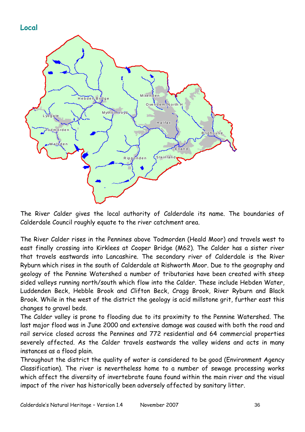



The River Calder gives the local authority of Calderdale its name. The boundaries of Calderdale Council roughly equate to the river catchment area.

The River Calder rises in the Pennines above Todmorden (Heald Moor) and travels west to east finally crossing into Kirklees at Cooper Bridge (M62). The Calder has a sister river that travels eastwards into Lancashire. The secondary river of Calderdale is the River Ryburn which rises in the south of Calderdale at Rishworth Moor. Due to the geography and geology of the Pennine Watershed a number of tributaries have been created with steep sided valleys running north/south which flow into the Calder. These include Hebden Water, Luddenden Beck, Hebble Brook and Clifton Beck, Cragg Brook, River Ryburn and Black Brook. While in the west of the district the geology is acid millstone grit, further east this changes to gravel beds.

The Calder valley is prone to flooding due to its proximity to the Pennine Watershed. The last major flood was in June 2000 and extensive damage was caused with both the road and rail service closed across the Pennines and 772 residential and 64 commercial properties severely affected. As the Calder travels eastwards the valley widens and acts in many instances as a flood plain.

Throughout the district the quality of water is considered to be good (Environment Agency Classification). The river is nevertheless home to a number of sewage processing works which affect the diversity of invertebrate fauna found within the main river and the visual impact of the river has historically been adversely affected by sanitary litter.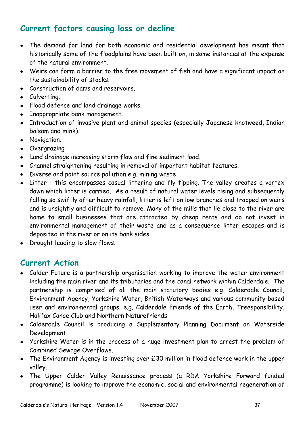## **Current factors causing loss or decline**

- The demand for land for both economic and residential development has meant that historically some of the floodplains have been built on, in some instances at the expense of the natural environment.
- Weirs can form a barrier to the free movement of fish and have a significant impact on the sustainability of stocks.
- Construction of dams and reservoirs.
- Culverting.
- Flood defence and land drainage works.
- Inappropriate bank management.
- Introduction of invasive plant and animal species (especially Japanese knotweed, Indian balsam and mink).
- Navigation.
- Overgrazing
- Land drainage increasing storm flow and fine sediment load.
- Channel straightening resulting in removal of important habitat features.
- Diverse and point source pollution e.g. mining waste
- Litter this encompasses casual littering and fly tipping. The valley creates a vortex down which litter is carried. As a result of natural water levels rising and subsequently falling so swiftly after heavy rainfall, litter is left on low branches and trapped on weirs and is unsightly and difficult to remove. Many of the mills that lie close to the river are home to small businesses that are attracted by cheap rents and do not invest in environmental management of their waste and as a consequence litter escapes and is deposited in the river or on its bank sides.
- Drought leading to slow flows.

### **Current Action**

- Calder Future is a partnership organisation working to improve the water environment including the main river and its tributaries and the canal network within Calderdale. The partnership is comprised of all the main statutory bodies e.g. Calderdale Council, Environment Agency, Yorkshire Water, British Waterways and various community based user and environmental groups. e.g. Calderdale Friends of the Earth, Treesponsibility, Halifax Canoe Club and Northern Naturefriends
- Calderdale Council is producing a Supplementary Planning Document on Waterside Development.
- Yorkshire Water is in the process of a huge investment plan to arrest the problem of Combined Sewage Overflows.
- The Environment Agency is investing over £30 million in flood defence work in the upper valley.
- The Upper Calder Valley Renaissance process (a RDA Yorkshire Forward funded programme) is looking to improve the economic, social and environmental regeneration of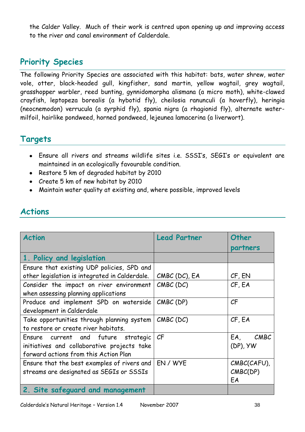the Calder Valley. Much of their work is centred upon opening up and improving access to the river and canal environment of Calderdale.

## **Priority Species**

The following Priority Species are associated with this habitat: bats, water shrew, water vole, otter, black-headed gull, kingfisher, sand martin, yellow wagtail, grey wagtail, grasshopper warbler, reed bunting, gynnidomorpha alismana (a micro moth), white-clawed crayfish, leptopeza borealis (a hybotid fly), cheilosia ranunculi (a hoverfly), heringia (neocnemodon) verrucula (a syrphid fly), spania nigra (a rhagionid fly), alternate watermilfoil, hairlike pondweed, horned pondweed, lejeunea lamacerina (a liverwort).

### **Targets**

- Ensure all rivers and streams wildlife sites i.e. SSSI"s, SEGI"s or equivalent are maintained in an ecologically favourable condition.
- Restore 5 km of degraded habitat by 2010
- Create 5 km of new habitat by 2010
- Maintain water quality at existing and, where possible, improved levels

| <b>Action</b>                                  | <b>Lead Partner</b> | Other<br>partners |
|------------------------------------------------|---------------------|-------------------|
| 1. Policy and legislation                      |                     |                   |
| Ensure that existing UDP policies, SPD and     |                     |                   |
| other legislation is integrated in Calderdale. | CMBC (DC), EA       | CF, EN            |
| Consider the impact on river environment       | $CMBC$ (DC)         | CF, EA            |
| when assessing planning applications           |                     |                   |
| Produce and implement SPD on waterside         | $CMBC$ (DP)         | CF                |
| development in Calderdale                      |                     |                   |
| Take opportunities through planning system     | $CMBC$ (DC)         | CF, EA            |
| to restore or create river habitats.           |                     |                   |
| Ensure current and future strategic            | CF                  | CMBC<br>EA,       |
| initiatives and collaborative projects take    |                     | $(DP)$ , $YW$     |
| forward actions from this Action Plan          |                     |                   |
| Ensure that the best examples of rivers and    | EN / WYE            | CMBC(CAFU),       |
| streams are designated as SEGIs or SSSIs       |                     | CMBC(DP)          |
|                                                |                     | EA                |
| 2. Site safeguard and management               |                     |                   |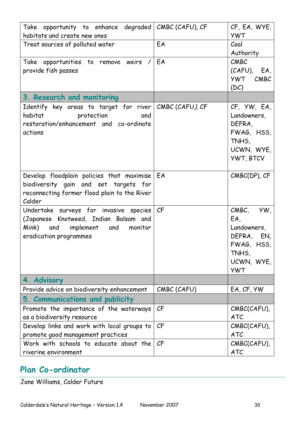| Take opportunity to enhance degraded<br>habitats and create new ones                                                                                             | CMBC (CAFU), CF          | CF, EA, WYE,<br><b>YWT</b>                                                                       |
|------------------------------------------------------------------------------------------------------------------------------------------------------------------|--------------------------|--------------------------------------------------------------------------------------------------|
| Treat sources of polluted water                                                                                                                                  | EA                       | Coal<br>Authority                                                                                |
| Take opportunities to remove weirs /<br>provide fish passes                                                                                                      | EA                       | CMEC<br>$(CAFU)$ , EA,<br>YWT CMBC<br>(DC)                                                       |
| 3. Research and monitoring                                                                                                                                       |                          |                                                                                                  |
| Identify key areas to target for river   CMBC (CAFU), CF<br>habitat<br><b>Example 12</b> protection<br>and<br>restoration/enhancement and co-ordinate<br>actions |                          | CF, YW, EA,<br>Landowners,<br>DEFRA,<br>FWAG, HSS,<br>TNHS,<br>UCWN, WYE,<br><b>YWT, BTCV</b>    |
| Develop floodplain policies that maximise<br>biodiversity gain and set targets for<br>reconnecting former flood plain to the River<br>Calder                     | EA                       | CMBC(DP), CF                                                                                     |
| Undertake surveys for invasive species<br>(Japanese Knotweed, Indian Balsam and<br>Mink) and implement and<br>monitor<br>eradication programmes                  | $\mathcal{C} \mathsf{F}$ | CMBC, YW,<br>EA,<br>Landowners,<br>DEFRA, EN,<br>FWAG, HSS,<br>TNHS,<br>UCWN, WYE,<br><b>YWT</b> |
| 4. Advisory                                                                                                                                                      |                          |                                                                                                  |
| Provide advice on biodiversity enhancement                                                                                                                       | CMBC (CAFU)              | EA, CF, YW                                                                                       |
| 5. Communications and publicity                                                                                                                                  |                          |                                                                                                  |
| Promote the importance of the waterways<br>as a biodiversity resource                                                                                            | CF                       | CMBC(CAFU),<br><b>ATC</b>                                                                        |
| Develop links and work with local groups to                                                                                                                      | CF                       | CMBC(CAFU),                                                                                      |
| promote good management practices                                                                                                                                |                          | <b>ATC</b>                                                                                       |
| Work with schools to educate about the<br>riverine environment                                                                                                   | CF                       | CMBC(CAFU),<br><b>ATC</b>                                                                        |

## **Plan Co-ordinator**

Jane Williams, Calder Future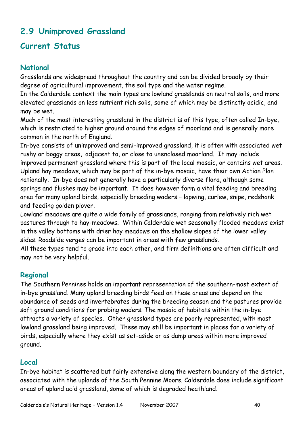## **2.9 Unimproved Grassland**

### **Current Status**

#### **National**

Grasslands are widespread throughout the country and can be divided broadly by their degree of agricultural improvement, the soil type and the water regime.

In the Calderdale context the main types are lowland grasslands on neutral soils, and more elevated grasslands on less nutrient rich soils, some of which may be distinctly acidic, and may be wet.

Much of the most interesting grassland in the district is of this type, often called In-bye, which is restricted to higher ground around the edges of moorland and is generally more common in the north of England.

In-bye consists of unimproved and semi-improved grassland, it is often with associated wet rushy or boggy areas**,** adjacent to, or close to unenclosed moorland. It may include improved permanent grassland where this is part of the local mosaic, or contains wet areas. Upland hay meadows, which may be part of the in-bye mosaic, have their own Action Plan nationally. In-bye does not generally have a particularly diverse flora, although some springs and flushes may be important. It does however form a vital feeding and breeding area for many upland birds, especially breeding waders – lapwing, curlew, snipe, redshank and feeding golden plover.

Lowland meadows are quite a wide family of grasslands, ranging from relatively rich wet pastures through to hay-meadows. Within Calderdale wet seasonally flooded meadows exist in the valley bottoms with drier hay meadows on the shallow slopes of the lower valley sides. Roadside verges can be important in areas with few grasslands.

All these types tend to grade into each other, and firm definitions are often difficult and may not be very helpful.

### **Regional**

The Southern Pennines holds an important representation of the southern-most extent of in-bye grassland. Many upland breeding birds feed on these areas and depend on the abundance of seeds and invertebrates during the breeding season and the pastures provide soft ground conditions for probing waders. The mosaic of habitats within the in-bye attracts a variety of species. Other grassland types are poorly represented, with most lowland grassland being improved. These may still be important in places for a variety of birds, especially where they exist as set-aside or as damp areas within more improved ground.

### **Local**

In-bye habitat is scattered but fairly extensive along the western boundary of the district, associated with the uplands of the South Pennine Moors. Calderdale does include significant areas of upland acid grassland, some of which is degraded heathland.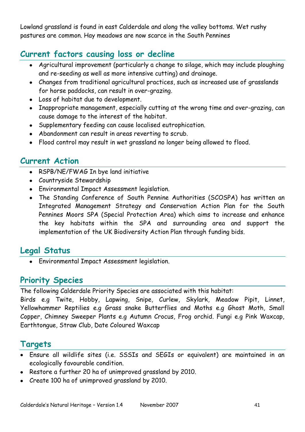Lowland grassland is found in east Calderdale and along the valley bottoms. Wet rushy pastures are common. Hay meadows are now scarce in the South Pennines

## **Current factors causing loss or decline**

- Agricultural improvement (particularly a change to silage, which may include ploughing and re-seeding as well as more intensive cutting) and drainage.
- Changes from traditional agricultural practices, such as increased use of grasslands for horse paddocks, can result in over-grazing.
- Loss of habitat due to development.
- Inappropriate management, especially cutting at the wrong time and over-grazing, can cause damage to the interest of the habitat.
- Supplementary feeding can cause localised eutrophication.
- Abandonment can result in areas reverting to scrub.
- Flood control may result in wet grassland no longer being allowed to flood.

### **Current Action**

- RSPB/NE/FWAG In bye land initiative
- Countryside Stewardship
- Environmental Impact Assessment legislation.
- The Standing Conference of South Pennine Authorities (SCOSPA) has written an Integrated Management Strategy and Conservation Action Plan for the South Pennines Moors SPA (Special Protection Area) which aims to increase and enhance the key habitats within the SPA and surrounding area and support the implementation of the UK Biodiversity Action Plan through funding bids.

## **Legal Status**

Environmental Impact Assessment legislation.

## **Priority Species**

The following Calderdale Priority Species are associated with this habitat:

Birds e.g Twite, Hobby, Lapwing, Snipe, Curlew, Skylark, Meadow Pipit, Linnet, Yellowhammer Reptilies e.g Grass snake Butterflies and Moths e.g Ghost Moth, Small Copper, Chimney Sweeper Plants e.g Autumn Crocus, Frog orchid. Fungi e.g Pink Waxcap, Earthtongue, Straw Club, Date Coloured Waxcap

## **Targets**

- Ensure all wildlife sites (i.e. SSSIs and SEGIs or equivalent) are maintained in an ecologically favourable condition.
- Restore a further 20 ha of unimproved grassland by 2010.
- Create 100 ha of unimproved grassland by 2010.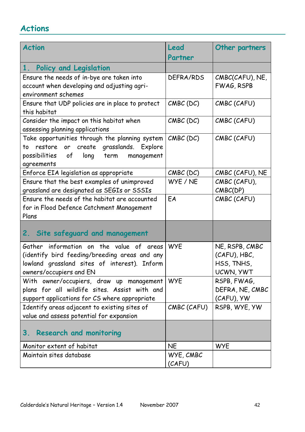| <b>Action</b>                                                                                                                                                        | Lead<br>Partner     | Other partners                                            |
|----------------------------------------------------------------------------------------------------------------------------------------------------------------------|---------------------|-----------------------------------------------------------|
| $1_{\ldots}$<br>Policy and Legislation                                                                                                                               |                     |                                                           |
| Ensure the needs of in-bye are taken into<br>account when developing and adjusting agri-<br>environment schemes                                                      | DEFRA/RDS           | CMBC(CAFU), NE,<br>FWAG, RSPB                             |
| Ensure that UDP policies are in place to protect<br>this habitat                                                                                                     | $CMBC$ (DC)         | CMBC (CAFU)                                               |
| Consider the impact on this habitat when<br>assessing planning applications                                                                                          | $CMBC$ (DC)         | CMBC (CAFU)                                               |
| Take opportunities through the planning system<br>restore or create grasslands. Explore<br>to<br>possibilities<br>long<br>term<br>of<br>management<br>agreements     | $CMBC$ (DC)         | CMBC (CAFU)                                               |
| Enforce EIA legislation as appropriate                                                                                                                               | $CMBC$ (DC)         | CMBC (CAFU), NE                                           |
| Ensure that the best examples of unimproved<br>grassland are designated as SEGIs or SSSIs                                                                            | WYE / NE            | CMBC (CAFU),<br>CMBC(DP)                                  |
| Ensure the needs of the habitat are accounted<br>for in Flood Defence Catchment Management<br>Plans                                                                  | EA                  | CMBC (CAFU)                                               |
| 2. Site safeguard and management                                                                                                                                     |                     |                                                           |
| Gather information on the value of areas<br>(identify bird feeding/breeding areas and any<br>lowland grassland sites of interest). Inform<br>owners/occupiers and EN | <b>WYE</b>          | NE, RSPB, CMBC<br>(CAFU), HBC,<br>HSS, TNHS,<br>UCWN, YWT |
| With owner/occupiers, draw up management<br>plans for all wildlife sites. Assist with and<br>support applications for CS where appropriate                           | <b>WYE</b>          | RSPB, FWAG,<br>DEFRA, NE, CMBC<br>(CAFU), YW              |
| Identify areas adjacent to existing sites of<br>value and assess potential for expansion                                                                             | CMBC (CAFU)         | RSPB, WYE, YW                                             |
| <b>Research and monitoring</b><br>3.                                                                                                                                 |                     |                                                           |
| Monitor extent of habitat                                                                                                                                            | <b>NE</b>           | <b>WYE</b>                                                |
| Maintain sites database                                                                                                                                              | WYE, CMBC<br>(CAFU) |                                                           |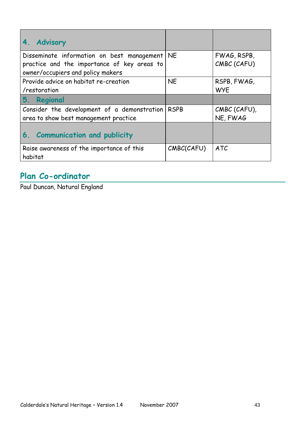| $\overline{4}$ .<br><b>Advisory</b>                                                                                            |             |                            |
|--------------------------------------------------------------------------------------------------------------------------------|-------------|----------------------------|
| Disseminate information on best management<br>practice and the importance of key areas to<br>owner/occupiers and policy makers | <b>NE</b>   | FWAG, RSPB,<br>CMBC (CAFU) |
| Provide advice on habitat re-creation<br>/restoration                                                                          | <b>NE</b>   | RSPB, FWAG,<br><b>WYE</b>  |
| 5.<br>Regional                                                                                                                 |             |                            |
| Consider the development of a demonstration<br>area to show best management practice                                           | <b>RSPB</b> | CMBC (CAFU),<br>NE, FWAG   |
| 6. Communication and publicity                                                                                                 |             |                            |
| Raise awareness of the importance of this<br>habitat                                                                           | CMBC(CAFU)  | <b>ATC</b>                 |

# **Plan Co-ordinator**

Paul Duncan, Natural England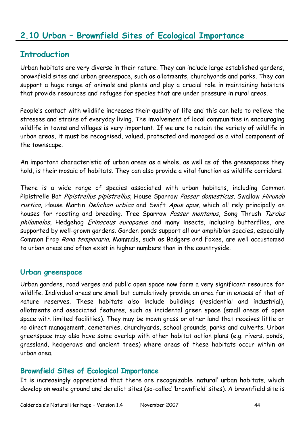### **2.10 Urban – Brownfield Sites of Ecological Importance**

#### **Introduction**

Urban habitats are very diverse in their nature. They can include large established gardens, brownfield sites and urban greenspace, such as allotments, churchyards and parks. They can support a huge range of animals and plants and play a crucial role in maintaining habitats that provide resources and refuges for species that are under pressure in rural areas.

People's contact with wildlife increases their quality of life and this can help to relieve the stresses and strains of everyday living. The involvement of local communities in encouraging wildlife in towns and villages is very important. If we are to retain the variety of wildlife in urban areas, it must be recognised, valued, protected and managed as a vital component of the townscape.

An important characteristic of urban areas as a whole, as well as of the greenspaces they hold, is their mosaic of habitats. They can also provide a vital function as wildlife corridors.

There is a wide range of species associated with urban habitats, including Common Pipistrelle Bat Pipistrellus pipistrellus, House Sparrow Passer domesticus, Swallow Hirundo rustica, House Martin *Delichon urbica* and Swift Apus apus, which all rely principally on houses for roosting and breeding. Tree Sparrow Passer montanus, Song Thrush Turdus philomelos, Hedgehog *Erinaceus europaeus* and many insects, including butterflies, are supported by well-grown gardens. Garden ponds support all our amphibian species, especially Common Frog Rana temporaria. Mammals, such as Badgers and Foxes, are well accustomed to urban areas and often exist in higher numbers than in the countryside.

#### **Urban greenspace**

Urban gardens, road verges and public open space now form a very significant resource for wildlife. Individual areas are small but cumulatively provide an area far in excess of that of nature reserves. These habitats also include buildings (residential and industrial), allotments and associated features, such as incidental green space (small areas of open space with limited facilities). They may be mown grass or other land that receives little or no direct management, cemeteries, churchyards, school grounds, parks and culverts. Urban greenspace may also have some overlap with other habitat action plans (e.g. rivers, ponds, grassland, hedgerows and ancient trees) where areas of these habitats occur within an urban area.

#### **Brownfield Sites of Ecological Importance**

It is increasingly appreciated that there are recognizable "natural" urban habitats, which develop on waste ground and derelict sites (so-called "brownfield" sites). A brownfield site is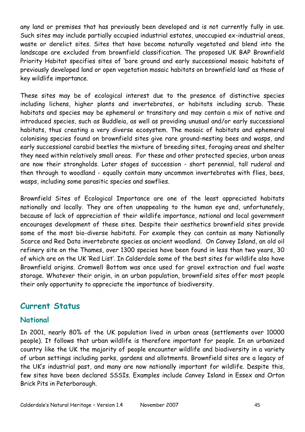any land or premises that has previously been developed and is not currently fully in use. Such sites may include partially occupied industrial estates, unoccupied ex-industrial areas, waste or derelict sites. Sites that have become naturally vegetated and blend into the landscape are excluded from brownfield classification. The proposed UK BAP Brownfield Priority Habitat specifies sites of "bare ground and early successional mosaic habitats of previously developed land or open vegetation mosaic habitats on brownfield land" as those of key wildlife importance.

These sites may be of ecological interest due to the presence of distinctive species including lichens, higher plants and invertebrates, or habitats including scrub. These habitats and species may be ephemeral or transitory and may contain a mix of native and introduced species, such as Buddleia, as well as providing unusual and/or early successional habitats, thus creating a very diverse ecosystem. The mosaic of habitats and ephemeral colonising species found on brownfield sites give rare ground-nesting bees and wasps, and early successional carabid beetles the mixture of breeding sites, foraging areas and shelter they need within relatively small areas. For these and other protected species, urban areas are now their strongholds. Later stages of succession - short perennial, tall ruderal and then through to woodland - equally contain many uncommon invertebrates with flies, bees, wasps, including some parasitic species and sawflies.

Brownfield Sites of Ecological Importance are one of the least appreciated habitats nationally and locally. They are often unappealing to the human eye and, unfortunately, because of lack of appreciation of their wildlife importance, national and local government encourages development of these sites. Despite their aesthetics brownfield sites provide some of the most bio-diverse habitats. For example they can contain as many Nationally Scarce and Red Data invertebrate species as ancient woodland. On Canvey Island, an old oil refinery site on the Thames, over 1300 species have been found in less than two years, 30 of which are on the UK "Red List". In Calderdale some of the best sites for wildlife also have Brownfield origins. Cromwell Bottom was once used for gravel extraction and fuel waste storage. Whatever their origin, in an urban population, brownfield sites offer most people their only opportunity to appreciate the importance of biodiversity.

### **Current Status**

#### **National**

In 2001, nearly 80% of the UK population lived in urban areas (settlements over 10000 people). It follows that urban wildlife is therefore important for people. In an urbanized country like the UK the majority of people encounter wildlife and biodiversity in a variety of urban settings including parks, gardens and allotments. Brownfield sites are a legacy of the UK"s industrial past, and many are now nationally important for wildlife. Despite this, few sites have been declared SSSIs. Examples include Canvey Island in Essex and Orton Brick Pits in Peterborough.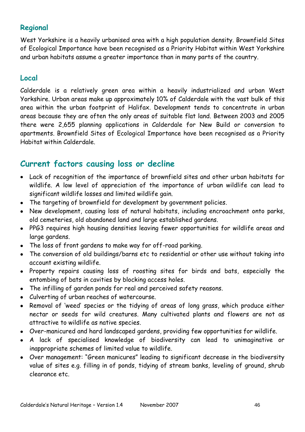### **Regional**

West Yorkshire is a heavily urbanised area with a high population density. Brownfield Sites of Ecological Importance have been recognised as a Priority Habitat within West Yorkshire and urban habitats assume a greater importance than in many parts of the country.

#### **Local**

Calderdale is a relatively green area within a heavily industrialized and urban West Yorkshire. Urban areas make up approximately 10% of Calderdale with the vast bulk of this area within the urban footprint of Halifax. Development tends to concentrate in urban areas because they are often the only areas of suitable flat land. Between 2003 and 2005 there were 2,655 planning applications in Calderdale for New Build or conversion to apartments. Brownfield Sites of Ecological Importance have been recognised as a Priority Habitat within Calderdale.

### **Current factors causing loss or decline**

- Lack of recognition of the importance of brownfield sites and other urban habitats for wildlife. A low level of appreciation of the importance of urban wildlife can lead to significant wildlife losses and limited wildlife gain.
- The targeting of brownfield for development by government policies.
- New development, causing loss of natural habitats, including encroachment onto parks, old cemeteries, old abandoned land and large established gardens.
- PPG3 requires high housing densities leaving fewer opportunities for wildlife areas and large gardens.
- The loss of front gardens to make way for off-road parking.
- The conversion of old buildings/barns etc to residential or other use without taking into account existing wildlife.
- Property repairs causing loss of roosting sites for birds and bats, especially the entombing of bats in cavities by blocking access holes.
- The infilling of garden ponds for real and perceived safety reasons.
- Culverting of urban reaches of watercourse.
- Removal of 'weed' species or the tidying of areas of long grass, which produce either nectar or seeds for wild creatures. Many cultivated plants and flowers are not as attractive to wildlife as native species.
- Over-manicured and hard landscaped gardens, providing few opportunities for wildlife.
- A lack of specialised knowledge of biodiversity can lead to unimaginative or inappropriate schemes of limited value to wildlife.
- Over management: "Green manicures" leading to significant decrease in the biodiversity value of sites e.g. filling in of ponds, tidying of stream banks, leveling of ground, shrub clearance etc.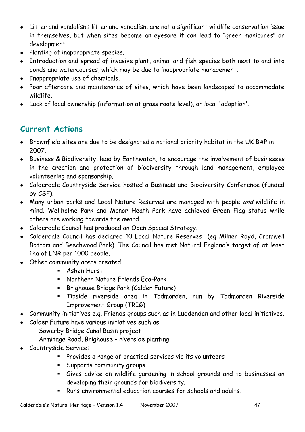- Litter and vandalism: litter and vandalism are not a significant wildlife conservation issue in themselves, but when sites become an eyesore it can lead to "green manicures" or development.
- Planting of inappropriate species.
- Introduction and spread of invasive plant, animal and fish species both next to and into ponds and watercourses, which may be due to inappropriate management.
- Inappropriate use of chemicals.
- Poor aftercare and maintenance of sites, which have been landscaped to accommodate wildlife.
- Lack of local ownership (information at grass roots level), or local 'adoption'.

## **Current Actions**

- Brownfield sites are due to be designated a national priority habitat in the UK BAP in 2007.
- Business & Biodiversity, lead by Earthwatch, to encourage the involvement of businesses in the creation and protection of biodiversity through land management, employee volunteering and sponsorship.
- Calderdale Countryside Service hosted a Business and Biodiversity Conference (funded by CSF).
- Many urban parks and Local Nature Reserves are managed with people and wildlife in mind. Wellholme Park and Manor Heath Park have achieved Green Flag status while others are working towards the award.
- Calderdale Council has produced an Open Spaces Strategy.
- Calderdale Council has declared 10 Local Nature Reserves (eg Milner Royd, Cromwell Bottom and Beechwood Park). The Council has met Natural England"s target of at least 1ha of LNR per 1000 people.
- Other community areas created:
	- **Ashen Hurst**
	- Northern Nature Friends Eco-Park
	- **Brighouse Bridge Park (Calder Future)**
	- Tipside riverside area in Todmorden, run by Todmorden Riverside Improvement Group (TRIG)
- Community initiatives e.g. Friends groups such as in Luddenden and other local initiatives.
- Calder Future have various initiatives such as:
	- Sowerby Bridge Canal Basin project
	- Armitage Road, Brighouse riverside planting
- Countryside Service:
	- Provides a range of practical services via its volunteers
	- Supports community groups .
	- Gives advice on wildlife gardening in school grounds and to businesses on developing their grounds for biodiversity.
	- Runs environmental education courses for schools and adults.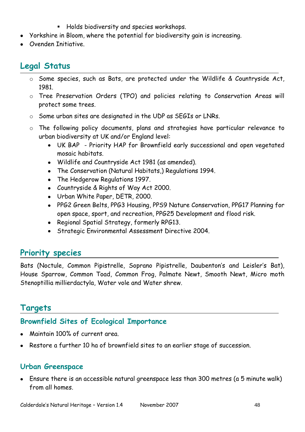- **Holds biodiversity and species workshops.**
- Yorkshire in Bloom, where the potential for biodiversity gain is increasing.
- Ovenden Initiative.

## **Legal Status**

- o Some species, such as Bats, are protected under the Wildlife & Countryside Act, 1981.
- o Tree Preservation Orders (TPO) and policies relating to Conservation Areas will protect some trees.
- o Some urban sites are designated in the UDP as SEGIs or LNRs.
- o The following policy documents, plans and strategies have particular relevance to urban biodiversity at UK and/or England level:
	- UK BAP Priority HAP for Brownfield early successional and open vegetated mosaic habitats.
	- Wildlife and Countryside Act 1981 (as amended).
	- The Conservation (Natural Habitats,) Regulations 1994.
	- The Hedgerow Regulations 1997.
	- Countryside & Rights of Way Act 2000.
	- Urban White Paper, DETR, 2000.
	- PPG2 Green Belts, PPG3 Housing, PPS9 Nature Conservation, PPG17 Planning for open space, sport, and recreation, PPG25 Development and flood risk.
	- Regional Spatial Strategy, formerly RPG13.
	- Strategic Environmental Assessment Directive 2004.

## **Priority species**

Bats (Noctule, Common Pipistrelle, Soprano Pipistrelle, Daubenton"s and Leisler"s Bat), House Sparrow, Common Toad, Common Frog, Palmate Newt, Smooth Newt, Micro moth Stenoptillia millierdactyla, Water vole and Water shrew.

### **Targets**

## **Brownfield Sites of Ecological Importance**

- Maintain 100% of current area.
- Restore a further 10 ha of brownfield sites to an earlier stage of succession.

#### **Urban Greenspace**

Ensure there is an accessible natural greenspace less than 300 metres (a 5 minute walk) from all homes.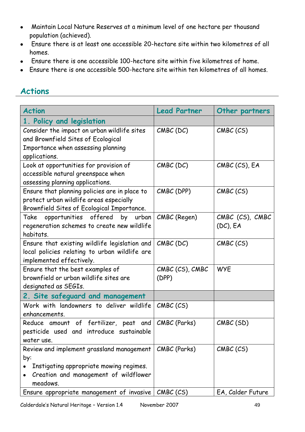- Maintain Local Nature Reserves at a minimum level of one hectare per thousand  $\bullet$ population (achieved).
- Ensure there is at least one accessible 20-hectare site within two kilometres of all  $\bullet$ homes.
- Ensure there is one accessible 100-hectare site within five kilometres of home.  $\bullet$
- Ensure there is one accessible 500-hectare site within ten kilometres of all homes.

| <b>Action</b>                                                                                                                                    | <b>Lead Partner</b>      | Other partners                 |
|--------------------------------------------------------------------------------------------------------------------------------------------------|--------------------------|--------------------------------|
| 1. Policy and legislation                                                                                                                        |                          |                                |
| Consider the impact on urban wildlife sites<br>and Brownfield Sites of Ecological<br>Importance when assessing planning<br>applications.         | $CMBC$ (DC)              | CMBC (CS)                      |
| Look at opportunities for provision of<br>accessible natural greenspace when<br>assessing planning applications.                                 | $CMBC$ (DC)              | CMBC (CS), EA                  |
| Ensure that planning policies are in place to<br>protect urban wildlife areas especially<br>Brownfield Sites of Ecological Importance.           | CMBC (DPP)               | CMBC (CS)                      |
| opportunities offered<br>Take<br>by<br>urban<br>regeneration schemes to create new wildlife<br>habitats.                                         | CMBC (Regen)             | CMBC (CS), CMBC<br>$(DC)$ , EA |
| Ensure that existing wildlife legislation and<br>local policies relating to urban wildlife are<br>implemented effectively.                       | $CMBC$ (DC)              | CMBC (CS)                      |
| Ensure that the best examples of<br>brownfield or urban wildlife sites are<br>designated as SEGIs.                                               | CMBC (CS), CMBC<br>(DPP) | <b>WYE</b>                     |
| 2. Site safeguard and management                                                                                                                 |                          |                                |
| Work with landowners to deliver wildlife<br>enhancements.                                                                                        | CMBC (CS)                |                                |
| Reduce amount of fertilizer, peat and<br>pesticide used and introduce sustainable<br>water use.                                                  | CMBC (Parks)             | CMBC(SD)                       |
| Review and implement grassland management<br>by:<br>Instigating appropriate mowing regimes.<br>Creation and management of wildflower<br>meadows. | CMBC (Parks)             | CMBC (CS)                      |
| Ensure appropriate management of invasive                                                                                                        | CMBC (CS)                | EA, Calder Future              |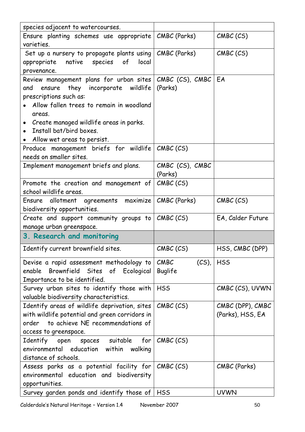| species adjacent to watercourses.                           |                  |                   |
|-------------------------------------------------------------|------------------|-------------------|
|                                                             |                  |                   |
| Ensure planting schemes use appropriate   CMBC (Parks)      |                  | CMBC (CS)         |
| varieties.                                                  |                  |                   |
| Set up a nursery to propagate plants using   CMBC (Parks)   |                  | CMBC (CS)         |
| appropriate native species of<br>local                      |                  |                   |
| provenance.                                                 |                  |                   |
| Review management plans for urban sites CMBC (CS), CMBC     |                  | EA                |
| and ensure they incorporate wildlife                        | (Parks)          |                   |
| prescriptions such as:                                      |                  |                   |
| Allow fallen trees to remain in woodland                    |                  |                   |
|                                                             |                  |                   |
| areas.                                                      |                  |                   |
| Create managed wildlife areas in parks.<br>$\bullet$        |                  |                   |
| Install bat/bird boxes.                                     |                  |                   |
| Allow wet areas to persist.                                 |                  |                   |
| Produce management briefs for wildlife CMBC (CS)            |                  |                   |
| needs on smaller sites.                                     |                  |                   |
| Implement management briefs and plans.                      | CMBC (CS), CMBC  |                   |
|                                                             | (Parks)          |                   |
| Promote the creation and management of                      | CMBC (CS)        |                   |
|                                                             |                  |                   |
| school wildlife areas.                                      |                  |                   |
| Ensure allotment agreements maximize   CMBC (Parks)         |                  | CMBC (CS)         |
| biodiversity opportunities.                                 |                  |                   |
| Create and support community groups to $\mathsf{CMBC}$ (CS) |                  | EA, Calder Future |
| manage urban greenspace.                                    |                  |                   |
| 3. Research and monitoring                                  |                  |                   |
| Identify current brownfield sites.                          | CMBC (CS)        | HSS, CMBC (DPP)   |
| Devise a rapid assessment methodology to                    | CMEC<br>$(CS)$ , | <b>HSS</b>        |
| enable                                                      |                  |                   |
| Brownfield Sites of Ecological                              | Buglife          |                   |
| Importance to be identified.                                |                  |                   |
| Survey urban sites to identify those with                   | <b>HSS</b>       | CMBC (CS), UVWN   |
| valuable biodiversity characteristics.                      |                  |                   |
| Identify areas of wildlife deprivation, sites               | CMBC (CS)        | CMBC (DPP), CMBC  |
| with wildlife potential and green corridors in              |                  | (Parks), HSS, EA  |
| order to achieve NE recommendations of                      |                  |                   |
| access to greenspace.                                       |                  |                   |
| Identify open spaces suitable for                           | CMBC (CS)        |                   |
| environmental education within walking                      |                  |                   |
| distance of schools.                                        |                  |                   |
|                                                             |                  |                   |
| Assess parks as a potential facility for                    | CMBC (CS)        | CMBC (Parks)      |
| environmental education and biodiversity                    |                  |                   |
| opportunities.                                              |                  |                   |
| Survey garden ponds and identify those of                   | <b>HSS</b>       | <b>UVWN</b>       |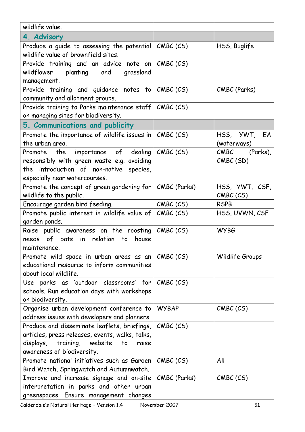| wildlife value.                                                                                                                                                                   |              |                             |
|-----------------------------------------------------------------------------------------------------------------------------------------------------------------------------------|--------------|-----------------------------|
| 4. Advisory                                                                                                                                                                       |              |                             |
| Produce a guide to assessing the potential<br>wildlife value of brownfield sites.                                                                                                 | CMBC (CS)    | HSS, Buglife                |
| Provide training and an advice note on<br>wildflower<br>planting and grassland<br>management.                                                                                     | CMBC(CS)     |                             |
| Provide training and guidance notes to CMBC (CS)<br>community and allotment groups.                                                                                               |              | CMBC (Parks)                |
| Provide training to Parks maintenance staff<br>on managing sites for biodiversity.                                                                                                | CMBC (CS)    |                             |
| 5. Communications and publicity                                                                                                                                                   |              |                             |
| Promote the importance of wildlife issues in $ $ CMBC (CS)<br>the urban area.                                                                                                     |              | HSS, YWT, EA<br>(waterways) |
| Promote the importance of dealing<br>responsibly with green waste e.g. avoiding<br>the introduction of non-native species,<br>especially near watercourses.                       | CMEC (CS)    | CMBC (Parks),<br>CMBC (SD)  |
| Promote the concept of green gardening for<br>wildlife to the public.                                                                                                             | CMBC (Parks) | HSS, YWT, CSF,<br>CMBC (CS) |
| Encourage garden bird feeding.                                                                                                                                                    | CMBC (CS)    | <b>RSPB</b>                 |
| Promote public interest in wildlife value of<br>garden ponds.                                                                                                                     | CMBC (CS)    | HSS, UVWN, CSF              |
| Raise public awareness on the roosting<br>needs of bats in relation<br>house<br>to<br>maintenance.                                                                                | CMBC (CS)    | <b>WYBG</b>                 |
| Promote wild space in urban areas as an<br>educational resource to inform communities<br>about local wildlife.                                                                    | CMBC (CS)    | Wildlife Groups             |
| Use parks as 'outdoor classrooms' for<br>schools. Run education days with workshops<br>on biodiversity.                                                                           | CMBC (CS)    |                             |
| Organise urban development conference to<br>address issues with developers and planners.                                                                                          | <b>WYBAP</b> | CMBC (CS)                   |
| Produce and disseminate leaflets, briefings,<br>articles, press releases, events, walks, talks,<br>displays,<br>training,<br>website<br>to<br>raise<br>awareness of biodiversity. | CMBC (CS)    |                             |
| Promote national initiatives such as Garden<br>Bird Watch, Springwatch and Autumnwatch.                                                                                           | CMBC (CS)    | All                         |
| Improve and increase signage and on-site<br>interpretation in parks and other urban<br>greenspaces. Ensure management changes                                                     | CMBC (Parks) | CMBC (CS)                   |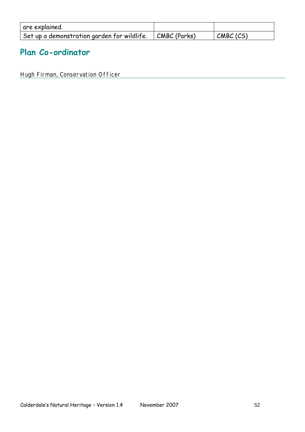| are explained.                              |                      |           |
|---------------------------------------------|----------------------|-----------|
| Set up a demonstration garden for wildlife. | $\vert$ CMBC (Parks) | CMBC (CS) |

## **Plan Co-ordinator**

Hugh Firman, Conservation Officer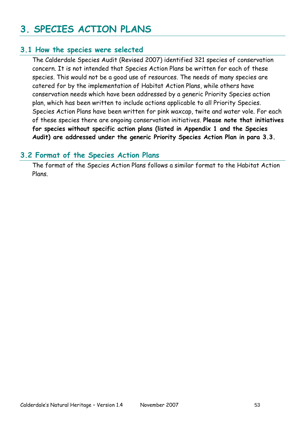# **3. SPECIES ACTION PLANS**

### **3.1 How the species were selected**

The Calderdale Species Audit (Revised 2007) identified 321 species of conservation concern. It is not intended that Species Action Plans be written for each of these species. This would not be a good use of resources. The needs of many species are catered for by the implementation of Habitat Action Plans, while others have conservation needs which have been addressed by a generic Priority Species action plan, which has been written to include actions applicable to all Priority Species. Species Action Plans have been written for pink waxcap, twite and water vole. For each of these species there are ongoing conservation initiatives. **Please note that initiatives for species without specific action plans (listed in Appendix 1 and the Species Audit) are addressed under the generic Priority Species Action Plan in para 3.3.**

#### **3.2 Format of the Species Action Plans**

The format of the Species Action Plans follows a similar format to the Habitat Action Plans.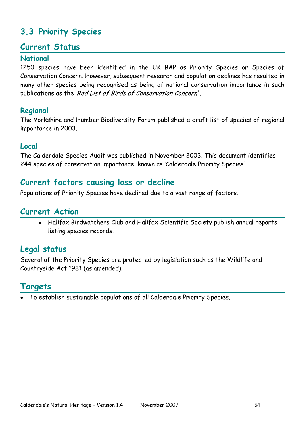## **3.3 Priority Species**

#### **Current Status**

#### **National**

1250 species have been identified in the UK BAP as Priority Species or Species of Conservation Concern. However, subsequent research and population declines has resulted in many other species being recognised as being of national conservation importance in such publications as the "Red List of Birds of Conservation Concern'.

#### **Regional**

The Yorkshire and Humber Biodiversity Forum published a draft list of species of regional importance in 2003.

#### **Local**

The Calderdale Species Audit was published in November 2003. This document identifies 244 species of conservation importance, known as "Calderdale Priority Species".

### **Current factors causing loss or decline**

Populations of Priority Species have declined due to a vast range of factors.

### **Current Action**

Halifax Birdwatchers Club and Halifax Scientific Society publish annual reports listing species records.

#### **Legal status**

Several of the Priority Species are protected by legislation such as the Wildlife and Countryside Act 1981 (as amended).

#### **Targets**

To establish sustainable populations of all Calderdale Priority Species.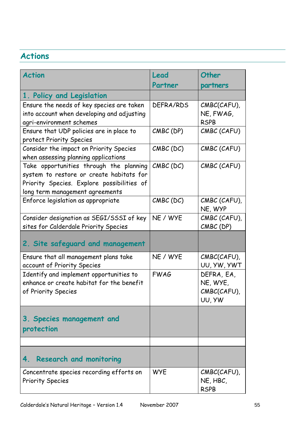| <b>Action</b>                                                                                                                                                        | Lead<br>Partner | Other<br>partners                               |
|----------------------------------------------------------------------------------------------------------------------------------------------------------------------|-----------------|-------------------------------------------------|
| 1. Policy and Legislation                                                                                                                                            |                 |                                                 |
| Ensure the needs of key species are taken<br>into account when developing and adjusting<br>agri-environment schemes                                                  | DEFRA/RDS       | CMBC(CAFU),<br>NE, FWAG,<br><b>RSPB</b>         |
| Ensure that UDP policies are in place to<br>protect Priority Species                                                                                                 | CMBC (DP)       | CMBC (CAFU)                                     |
| Consider the impact on Priority Species<br>when assessing planning applications                                                                                      | $CMBC$ (DC)     | CMBC (CAFU)                                     |
| Take opportunities through the planning<br>system to restore or create habitats for<br>Priority Species. Explore possibilities of<br>long term management agreements | $CMBC$ (DC)     | CMBC (CAFU)                                     |
| Enforce legislation as appropriate                                                                                                                                   | CMBC (DC)       | CMBC (CAFU),<br>NE, WYP                         |
| Consider designation as SEGI/SSSI of key<br>sites for Calderdale Priority Species                                                                                    | NE / WYE        | CMBC (CAFU),<br>CMBC (DP)                       |
| 2. Site safeguard and management                                                                                                                                     |                 |                                                 |
| Ensure that all management plans take<br>account of Priority Species                                                                                                 | NE / WYE        | CMBC(CAFU),<br>UU, YW, YWT                      |
| Identify and implement opportunities to<br>enhance or create habitat for the benefit<br>of Priority Species                                                          | <b>FWAG</b>     | DEFRA, EA,<br>NE, WYE,<br>CMBC(CAFU),<br>UU, YW |
| 3. Species management and<br>protection                                                                                                                              |                 |                                                 |
|                                                                                                                                                                      |                 |                                                 |
| <b>Research and monitoring</b><br>4.                                                                                                                                 |                 |                                                 |
| Concentrate species recording efforts on<br><b>Priority Species</b>                                                                                                  | <b>WYE</b>      | CMBC(CAFU),<br>NE, HBC,<br><b>RSPB</b>          |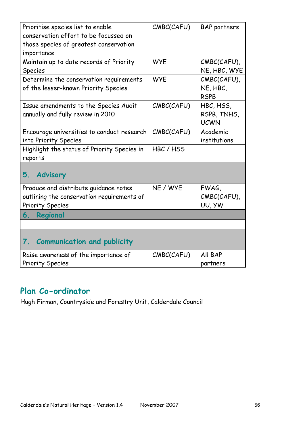| Prioritise species list to enable<br>conservation effort to be focussed on<br>those species of greatest conservation<br>importance | CMBC(CAFU) | <b>BAP</b> partners                     |
|------------------------------------------------------------------------------------------------------------------------------------|------------|-----------------------------------------|
| Maintain up to date records of Priority<br><b>Species</b>                                                                          | <b>WYE</b> | CMBC(CAFU),<br>NE, HBC, WYE             |
| Determine the conservation requirements<br>of the lesser-known Priority Species                                                    | <b>WYE</b> | CMBC(CAFU),<br>NE, HBC,<br><b>RSPB</b>  |
| Issue amendments to the Species Audit<br>annually and fully review in 2010                                                         | CMBC(CAFU) | HBC, HSS,<br>RSPB, TNHS,<br><b>UCWN</b> |
| Encourage universities to conduct research<br>into Priority Species                                                                | CMBC(CAFU) | Academic<br>institutions                |
| Highlight the status of Priority Species in<br>reports                                                                             | HBC/HSS    |                                         |
| <b>Advisory</b><br>5.                                                                                                              |            |                                         |
| Produce and distribute guidance notes<br>outlining the conservation requirements of<br><b>Priority Species</b>                     | NE / WYE   | FWAG,<br>CMBC(CAFU),<br>UU, YW          |
| 6.<br>Regional                                                                                                                     |            |                                         |
|                                                                                                                                    |            |                                         |
| <b>Communication and publicity</b><br>7.                                                                                           |            |                                         |
| Raise awareness of the importance of<br><b>Priority Species</b>                                                                    | CMBC(CAFU) | All BAP<br>partners                     |

## **Plan Co-ordinator**

Hugh Firman, Countryside and Forestry Unit, Calderdale Council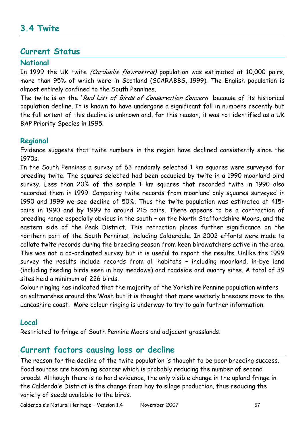#### **Current Status**

#### **National**

In 1999 the UK twite (Carduelis flavirostris) population was estimated at 10,000 pairs, more than 95% of which were in Scotland (SCARABBS, 1999). The English population is almost entirely confined to the South Pennines.

The twite is on the 'Red List of Birds of Conservation Concern' because of its historical population decline. It is known to have undergone a significant fall in numbers recently but the full extent of this decline is unknown and, for this reason, it was not identified as a UK BAP Priority Species in 1995.

#### **Regional**

Evidence suggests that twite numbers in the region have declined consistently since the 1970s.

In the South Pennines a survey of 63 randomly selected 1 km squares were surveyed for breeding twite. The squares selected had been occupied by twite in a 1990 moorland bird survey. Less than 20% of the sample 1 km squares that recorded twite in 1990 also recorded them in 1999. Comparing twite records from moorland only squares surveyed in 1990 and 1999 we see decline of 50%. Thus the twite population was estimated at 415+ pairs in 1990 and by 1999 to around 215 pairs. There appears to be a contraction of breeding range especially obvious in the south – on the North Staffordshire Moors, and the eastern side of the Peak District. This retraction places further significance on the northern part of the South Pennines, including Calderdale. In 2002 efforts were made to collate twite records during the breeding season from keen birdwatchers active in the area. This was not a co-ordinated survey but it is useful to report the results. Unlike the 1999 survey the results include records from all habitats – including moorland, in-bye land (including feeding birds seen in hay meadows) and roadside and quarry sites. A total of 39 sites held a minimum of 226 birds.

Colour ringing has indicated that the majority of the Yorkshire Pennine population winters on saltmarshes around the Wash but it is thought that more westerly breeders move to the Lancashire coast. More colour ringing is underway to try to gain further information.

#### **Local**

Restricted to fringe of South Pennine Moors and adjacent grasslands.

### **Current factors causing loss or decline**

The reason for the decline of the twite population is thought to be poor breeding success. Food sources are becoming scarcer which is probably reducing the number of second broods. Although there is no hard evidence, the only visible change in the upland fringe in the Calderdale District is the change from hay to silage production, thus reducing the variety of seeds available to the birds.

Calderdale"s Natural Heritage – Version 1.4 November 2007 57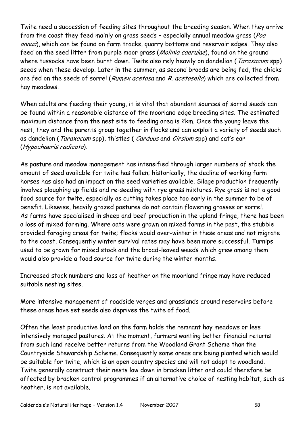Twite need a succession of feeding sites throughout the breeding season. When they arrive from the coast they feed mainly on grass seeds - especially annual meadow grass (Poa annua), which can be found on farm tracks, quarry bottoms and reservoir edges. They also feed on the seed litter from purple moor grass (Molinia caerulae), found on the ground where tussocks have been burnt down. Twite also rely heavily on dandelion (*Taraxacum* spp) seeds when these develop. Later in the summer, as second broods are being fed, the chicks are fed on the seeds of sorrel (Rumex acetosa and R, acetosella) which are collected from hay meadows.

When adults are feeding their young, it is vital that abundant sources of sorrel seeds can be found within a reasonable distance of the moorland edge breeding sites. The estimated maximum distance from the nest site to feeding area is 2km. Once the young leave the nest, they and the parents group together in flocks and can exploit a variety of seeds such as dandelion (Taraxacum spp), thistles (Carduus and Cirsium spp) and cat's ear (Hypochaeris radicata).

As pasture and meadow management has intensified through larger numbers of stock the amount of seed available for twite has fallen; historically, the decline of working farm horses has also had an impact on the seed varieties available. Silage production frequently involves ploughing up fields and re-seeding with rye grass mixtures. Rye grass is not a good food source for twite, especially as cutting takes place too early in the summer to be of benefit. Likewise, heavily grazed pastures do not contain flowering grasses or sorrel. As farms have specialised in sheep and beef production in the upland fringe, there has been a loss of mixed farming. Where oats were grown on mixed farms in the past, the stubble provided foraging areas for twite; flocks would over-winter in these areas and not migrate to the coast. Consequently winter survival rates may have been more successful. Turnips used to be grown for mixed stock and the broad-leaved weeds which grew among them would also provide a food source for twite during the winter months.

Increased stock numbers and loss of heather on the moorland fringe may have reduced suitable nesting sites.

More intensive management of roadside verges and grasslands around reservoirs before these areas have set seeds also deprives the twite of food.

Often the least productive land on the farm holds the remnant hay meadows or less intensively managed pastures. At the moment, farmers wanting better financial returns from such land receive better returns from the Woodland Grant Scheme than the Countryside Stewardship Scheme. Consequently some areas are being planted which would be suitable for twite, which is an open country species and will not adapt to woodland. Twite generally construct their nests low down in bracken litter and could therefore be affected by bracken control programmes if an alternative choice of nesting habitat, such as heather, is not available.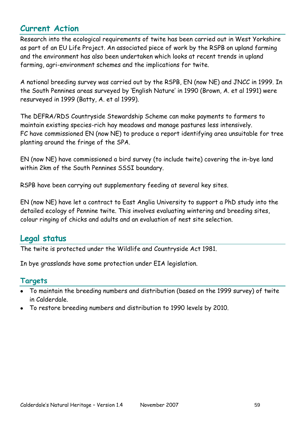### **Current Action**

Research into the ecological requirements of twite has been carried out in West Yorkshire as part of an EU Life Project. An associated piece of work by the RSPB on upland farming and the environment has also been undertaken which looks at recent trends in upland farming, agri-environment schemes and the implications for twite.

A national breeding survey was carried out by the RSPB, EN (now NE) and JNCC in 1999. In the South Pennines areas surveyed by "English Nature" in 1990 (Brown, A. et al 1991) were resurveyed in 1999 (Batty, A. et al 1999).

The DEFRA/RDS Countryside Stewardship Scheme can make payments to farmers to maintain existing species-rich hay meadows and manage pastures less intensively. FC have commissioned EN (now NE) to produce a report identifying area unsuitable for tree planting around the fringe of the SPA.

EN (now NE) have commissioned a bird survey (to include twite) covering the in-bye land within 2km of the South Pennines SSSI boundary.

RSPB have been carrying out supplementary feeding at several key sites.

EN (now NE) have let a contract to East Anglia University to support a PhD study into the detailed ecology of Pennine twite. This involves evaluating wintering and breeding sites, colour ringing of chicks and adults and an evaluation of nest site selection.

### **Legal status**

The twite is protected under the Wildlife and Countryside Act 1981.

In bye grasslands have some protection under EIA legislation.

#### **Targets**

- To maintain the breeding numbers and distribution (based on the 1999 survey) of twite in Calderdale.
- To restore breeding numbers and distribution to 1990 levels by 2010.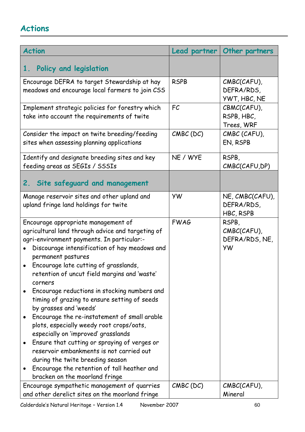| <b>Action</b> |                                                                                                                                                                                                                                                                                                                                                                                                                                                                                                                                                                                                                                                                                                                                                                                                   | Lead partner | Other partners                                      |
|---------------|---------------------------------------------------------------------------------------------------------------------------------------------------------------------------------------------------------------------------------------------------------------------------------------------------------------------------------------------------------------------------------------------------------------------------------------------------------------------------------------------------------------------------------------------------------------------------------------------------------------------------------------------------------------------------------------------------------------------------------------------------------------------------------------------------|--------------|-----------------------------------------------------|
| 1.            | Policy and legislation                                                                                                                                                                                                                                                                                                                                                                                                                                                                                                                                                                                                                                                                                                                                                                            |              |                                                     |
|               | Encourage DEFRA to target Stewardship at hay<br>meadows and encourage local farmers to join CSS                                                                                                                                                                                                                                                                                                                                                                                                                                                                                                                                                                                                                                                                                                   | <b>RSPB</b>  | CMBC(CAFU),<br>DEFRA/RDS,<br>YWT, HBC, NE           |
|               | Implement strategic policies for forestry which<br>take into account the requirements of twite                                                                                                                                                                                                                                                                                                                                                                                                                                                                                                                                                                                                                                                                                                    | FC           | CBMC(CAFU),<br>RSPB, HBC,<br>Trees, WRF             |
|               | Consider the impact on twite breeding/feeding<br>sites when assessing planning applications                                                                                                                                                                                                                                                                                                                                                                                                                                                                                                                                                                                                                                                                                                       | $CMBC$ (DC)  | CMBC (CAFU),<br>EN, RSPB                            |
|               | Identify and designate breeding sites and key<br>feeding areas as SEGIs / SSSIs                                                                                                                                                                                                                                                                                                                                                                                                                                                                                                                                                                                                                                                                                                                   | NE / WYE     | RSPB,<br>CMBC(CAFU, DP)                             |
| 2.            | Site safeguard and management                                                                                                                                                                                                                                                                                                                                                                                                                                                                                                                                                                                                                                                                                                                                                                     |              |                                                     |
|               | Manage reservoir sites and other upland and<br>upland fringe land holdings for twite                                                                                                                                                                                                                                                                                                                                                                                                                                                                                                                                                                                                                                                                                                              | <b>YW</b>    | NE, CMBC(CAFU),<br>DEFRA/RDS,<br>HBC, RSPB          |
|               | Encourage appropriate management of<br>agricultural land through advice and targeting of<br>agri-environment payments. In particular:-<br>Discourage intensification of hay meadows and<br>permanent pastures<br>• Encourage late cutting of grasslands,<br>retention of uncut field margins and 'waste'<br>corners<br>Encourage reductions in stocking numbers and<br>timing of grazing to ensure setting of seeds<br>by grasses and 'weeds'<br>Encourage the re-instatement of small arable<br>plots, especially weedy root crops/oats,<br>especially on 'improved' grasslands<br>Ensure that cutting or spraying of verges or<br>reservoir embankments is not carried out<br>during the twite breeding season<br>Encourage the retention of tall heather and<br>bracken on the moorland fringe | <b>FWAG</b>  | RSPB,<br>CMBC(CAFU),<br>DEFRA/RDS, NE,<br><b>YW</b> |
|               | Encourage sympathetic management of quarries<br>and other derelict sites on the moorland fringe                                                                                                                                                                                                                                                                                                                                                                                                                                                                                                                                                                                                                                                                                                   | CMBC (DC)    | CMBC(CAFU),<br>Mineral                              |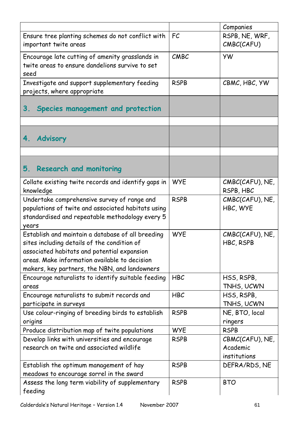| Companies<br>RSPB, NE, WRF,<br>Ensure tree planting schemes do not conflict with<br>FC<br>CMBC(CAFU)<br>important twite areas<br>CMBC<br>Encourage late cutting of amenity grasslands in<br><b>YW</b><br>twite areas to ensure dandelions survive to set<br>seed<br>Investigate and support supplementary feeding<br><b>RSPB</b><br>CBMC, HBC, YW<br>projects, where appropriate<br>Species management and protection<br>$3_{-}$<br><b>Advisory</b><br>4.<br>5. Research and monitoring<br>Collate existing twite records and identify gaps in<br><b>WYE</b><br>CMBC(CAFU), NE,<br>knowledge<br>RSPB, HBC<br>Undertake comprehensive survey of range and<br><b>RSPB</b><br>CMBC(CAFU), NE,<br>populations of twite and associated habitats using<br>HBC, WYE<br>standardised and repeatable methodology every 5<br>years<br><b>WYE</b><br>Establish and maintain a database of all breeding<br>CMBC(CAFU), NE,<br>sites including details of the condition of<br>HBC, RSPB<br>associated habitats and potential expansion<br>areas. Make information available to decision<br>makers, key partners, the NBN, and landowners<br><b>HBC</b><br>Encourage naturalists to identify suitable feeding<br>HSS, RSPB,<br>TNHS, UCWN<br>areas<br>HSS, RSPB,<br>Encourage naturalists to submit records and<br><b>HBC</b><br>TNHS, UCWN<br>participate in surveys<br>Use colour-ringing of breeding birds to establish<br><b>RSPB</b><br>NE, BTO, local<br>origins<br>ringers<br>Produce distribution map of twite populations<br><b>WYE</b><br><b>RSPB</b><br>Develop links with universities and encourage<br><b>RSPB</b><br>CBMC(CAFU), NE,<br>research on twite and associated wildlife<br>Academic<br>institutions<br>Establish the optimum management of hay<br><b>RSPB</b><br>DEFRA/RDS, NE<br>meadows to encourage sorrel in the sward<br>Assess the long term viability of supplementary<br><b>RSPB</b><br><b>BTO</b> |         |  |
|----------------------------------------------------------------------------------------------------------------------------------------------------------------------------------------------------------------------------------------------------------------------------------------------------------------------------------------------------------------------------------------------------------------------------------------------------------------------------------------------------------------------------------------------------------------------------------------------------------------------------------------------------------------------------------------------------------------------------------------------------------------------------------------------------------------------------------------------------------------------------------------------------------------------------------------------------------------------------------------------------------------------------------------------------------------------------------------------------------------------------------------------------------------------------------------------------------------------------------------------------------------------------------------------------------------------------------------------------------------------------------------------------------------------------------------------------------------------------------------------------------------------------------------------------------------------------------------------------------------------------------------------------------------------------------------------------------------------------------------------------------------------------------------------------------------------------------------------------------------------------------------------------------------------|---------|--|
|                                                                                                                                                                                                                                                                                                                                                                                                                                                                                                                                                                                                                                                                                                                                                                                                                                                                                                                                                                                                                                                                                                                                                                                                                                                                                                                                                                                                                                                                                                                                                                                                                                                                                                                                                                                                                                                                                                                      |         |  |
|                                                                                                                                                                                                                                                                                                                                                                                                                                                                                                                                                                                                                                                                                                                                                                                                                                                                                                                                                                                                                                                                                                                                                                                                                                                                                                                                                                                                                                                                                                                                                                                                                                                                                                                                                                                                                                                                                                                      |         |  |
|                                                                                                                                                                                                                                                                                                                                                                                                                                                                                                                                                                                                                                                                                                                                                                                                                                                                                                                                                                                                                                                                                                                                                                                                                                                                                                                                                                                                                                                                                                                                                                                                                                                                                                                                                                                                                                                                                                                      |         |  |
|                                                                                                                                                                                                                                                                                                                                                                                                                                                                                                                                                                                                                                                                                                                                                                                                                                                                                                                                                                                                                                                                                                                                                                                                                                                                                                                                                                                                                                                                                                                                                                                                                                                                                                                                                                                                                                                                                                                      |         |  |
|                                                                                                                                                                                                                                                                                                                                                                                                                                                                                                                                                                                                                                                                                                                                                                                                                                                                                                                                                                                                                                                                                                                                                                                                                                                                                                                                                                                                                                                                                                                                                                                                                                                                                                                                                                                                                                                                                                                      |         |  |
|                                                                                                                                                                                                                                                                                                                                                                                                                                                                                                                                                                                                                                                                                                                                                                                                                                                                                                                                                                                                                                                                                                                                                                                                                                                                                                                                                                                                                                                                                                                                                                                                                                                                                                                                                                                                                                                                                                                      |         |  |
|                                                                                                                                                                                                                                                                                                                                                                                                                                                                                                                                                                                                                                                                                                                                                                                                                                                                                                                                                                                                                                                                                                                                                                                                                                                                                                                                                                                                                                                                                                                                                                                                                                                                                                                                                                                                                                                                                                                      |         |  |
|                                                                                                                                                                                                                                                                                                                                                                                                                                                                                                                                                                                                                                                                                                                                                                                                                                                                                                                                                                                                                                                                                                                                                                                                                                                                                                                                                                                                                                                                                                                                                                                                                                                                                                                                                                                                                                                                                                                      |         |  |
|                                                                                                                                                                                                                                                                                                                                                                                                                                                                                                                                                                                                                                                                                                                                                                                                                                                                                                                                                                                                                                                                                                                                                                                                                                                                                                                                                                                                                                                                                                                                                                                                                                                                                                                                                                                                                                                                                                                      |         |  |
|                                                                                                                                                                                                                                                                                                                                                                                                                                                                                                                                                                                                                                                                                                                                                                                                                                                                                                                                                                                                                                                                                                                                                                                                                                                                                                                                                                                                                                                                                                                                                                                                                                                                                                                                                                                                                                                                                                                      |         |  |
|                                                                                                                                                                                                                                                                                                                                                                                                                                                                                                                                                                                                                                                                                                                                                                                                                                                                                                                                                                                                                                                                                                                                                                                                                                                                                                                                                                                                                                                                                                                                                                                                                                                                                                                                                                                                                                                                                                                      |         |  |
|                                                                                                                                                                                                                                                                                                                                                                                                                                                                                                                                                                                                                                                                                                                                                                                                                                                                                                                                                                                                                                                                                                                                                                                                                                                                                                                                                                                                                                                                                                                                                                                                                                                                                                                                                                                                                                                                                                                      |         |  |
|                                                                                                                                                                                                                                                                                                                                                                                                                                                                                                                                                                                                                                                                                                                                                                                                                                                                                                                                                                                                                                                                                                                                                                                                                                                                                                                                                                                                                                                                                                                                                                                                                                                                                                                                                                                                                                                                                                                      |         |  |
|                                                                                                                                                                                                                                                                                                                                                                                                                                                                                                                                                                                                                                                                                                                                                                                                                                                                                                                                                                                                                                                                                                                                                                                                                                                                                                                                                                                                                                                                                                                                                                                                                                                                                                                                                                                                                                                                                                                      |         |  |
|                                                                                                                                                                                                                                                                                                                                                                                                                                                                                                                                                                                                                                                                                                                                                                                                                                                                                                                                                                                                                                                                                                                                                                                                                                                                                                                                                                                                                                                                                                                                                                                                                                                                                                                                                                                                                                                                                                                      |         |  |
|                                                                                                                                                                                                                                                                                                                                                                                                                                                                                                                                                                                                                                                                                                                                                                                                                                                                                                                                                                                                                                                                                                                                                                                                                                                                                                                                                                                                                                                                                                                                                                                                                                                                                                                                                                                                                                                                                                                      |         |  |
|                                                                                                                                                                                                                                                                                                                                                                                                                                                                                                                                                                                                                                                                                                                                                                                                                                                                                                                                                                                                                                                                                                                                                                                                                                                                                                                                                                                                                                                                                                                                                                                                                                                                                                                                                                                                                                                                                                                      |         |  |
|                                                                                                                                                                                                                                                                                                                                                                                                                                                                                                                                                                                                                                                                                                                                                                                                                                                                                                                                                                                                                                                                                                                                                                                                                                                                                                                                                                                                                                                                                                                                                                                                                                                                                                                                                                                                                                                                                                                      |         |  |
|                                                                                                                                                                                                                                                                                                                                                                                                                                                                                                                                                                                                                                                                                                                                                                                                                                                                                                                                                                                                                                                                                                                                                                                                                                                                                                                                                                                                                                                                                                                                                                                                                                                                                                                                                                                                                                                                                                                      |         |  |
|                                                                                                                                                                                                                                                                                                                                                                                                                                                                                                                                                                                                                                                                                                                                                                                                                                                                                                                                                                                                                                                                                                                                                                                                                                                                                                                                                                                                                                                                                                                                                                                                                                                                                                                                                                                                                                                                                                                      |         |  |
|                                                                                                                                                                                                                                                                                                                                                                                                                                                                                                                                                                                                                                                                                                                                                                                                                                                                                                                                                                                                                                                                                                                                                                                                                                                                                                                                                                                                                                                                                                                                                                                                                                                                                                                                                                                                                                                                                                                      |         |  |
|                                                                                                                                                                                                                                                                                                                                                                                                                                                                                                                                                                                                                                                                                                                                                                                                                                                                                                                                                                                                                                                                                                                                                                                                                                                                                                                                                                                                                                                                                                                                                                                                                                                                                                                                                                                                                                                                                                                      |         |  |
|                                                                                                                                                                                                                                                                                                                                                                                                                                                                                                                                                                                                                                                                                                                                                                                                                                                                                                                                                                                                                                                                                                                                                                                                                                                                                                                                                                                                                                                                                                                                                                                                                                                                                                                                                                                                                                                                                                                      |         |  |
|                                                                                                                                                                                                                                                                                                                                                                                                                                                                                                                                                                                                                                                                                                                                                                                                                                                                                                                                                                                                                                                                                                                                                                                                                                                                                                                                                                                                                                                                                                                                                                                                                                                                                                                                                                                                                                                                                                                      |         |  |
|                                                                                                                                                                                                                                                                                                                                                                                                                                                                                                                                                                                                                                                                                                                                                                                                                                                                                                                                                                                                                                                                                                                                                                                                                                                                                                                                                                                                                                                                                                                                                                                                                                                                                                                                                                                                                                                                                                                      |         |  |
|                                                                                                                                                                                                                                                                                                                                                                                                                                                                                                                                                                                                                                                                                                                                                                                                                                                                                                                                                                                                                                                                                                                                                                                                                                                                                                                                                                                                                                                                                                                                                                                                                                                                                                                                                                                                                                                                                                                      |         |  |
|                                                                                                                                                                                                                                                                                                                                                                                                                                                                                                                                                                                                                                                                                                                                                                                                                                                                                                                                                                                                                                                                                                                                                                                                                                                                                                                                                                                                                                                                                                                                                                                                                                                                                                                                                                                                                                                                                                                      |         |  |
|                                                                                                                                                                                                                                                                                                                                                                                                                                                                                                                                                                                                                                                                                                                                                                                                                                                                                                                                                                                                                                                                                                                                                                                                                                                                                                                                                                                                                                                                                                                                                                                                                                                                                                                                                                                                                                                                                                                      |         |  |
|                                                                                                                                                                                                                                                                                                                                                                                                                                                                                                                                                                                                                                                                                                                                                                                                                                                                                                                                                                                                                                                                                                                                                                                                                                                                                                                                                                                                                                                                                                                                                                                                                                                                                                                                                                                                                                                                                                                      |         |  |
|                                                                                                                                                                                                                                                                                                                                                                                                                                                                                                                                                                                                                                                                                                                                                                                                                                                                                                                                                                                                                                                                                                                                                                                                                                                                                                                                                                                                                                                                                                                                                                                                                                                                                                                                                                                                                                                                                                                      |         |  |
|                                                                                                                                                                                                                                                                                                                                                                                                                                                                                                                                                                                                                                                                                                                                                                                                                                                                                                                                                                                                                                                                                                                                                                                                                                                                                                                                                                                                                                                                                                                                                                                                                                                                                                                                                                                                                                                                                                                      |         |  |
|                                                                                                                                                                                                                                                                                                                                                                                                                                                                                                                                                                                                                                                                                                                                                                                                                                                                                                                                                                                                                                                                                                                                                                                                                                                                                                                                                                                                                                                                                                                                                                                                                                                                                                                                                                                                                                                                                                                      |         |  |
|                                                                                                                                                                                                                                                                                                                                                                                                                                                                                                                                                                                                                                                                                                                                                                                                                                                                                                                                                                                                                                                                                                                                                                                                                                                                                                                                                                                                                                                                                                                                                                                                                                                                                                                                                                                                                                                                                                                      |         |  |
|                                                                                                                                                                                                                                                                                                                                                                                                                                                                                                                                                                                                                                                                                                                                                                                                                                                                                                                                                                                                                                                                                                                                                                                                                                                                                                                                                                                                                                                                                                                                                                                                                                                                                                                                                                                                                                                                                                                      |         |  |
|                                                                                                                                                                                                                                                                                                                                                                                                                                                                                                                                                                                                                                                                                                                                                                                                                                                                                                                                                                                                                                                                                                                                                                                                                                                                                                                                                                                                                                                                                                                                                                                                                                                                                                                                                                                                                                                                                                                      |         |  |
|                                                                                                                                                                                                                                                                                                                                                                                                                                                                                                                                                                                                                                                                                                                                                                                                                                                                                                                                                                                                                                                                                                                                                                                                                                                                                                                                                                                                                                                                                                                                                                                                                                                                                                                                                                                                                                                                                                                      |         |  |
|                                                                                                                                                                                                                                                                                                                                                                                                                                                                                                                                                                                                                                                                                                                                                                                                                                                                                                                                                                                                                                                                                                                                                                                                                                                                                                                                                                                                                                                                                                                                                                                                                                                                                                                                                                                                                                                                                                                      |         |  |
|                                                                                                                                                                                                                                                                                                                                                                                                                                                                                                                                                                                                                                                                                                                                                                                                                                                                                                                                                                                                                                                                                                                                                                                                                                                                                                                                                                                                                                                                                                                                                                                                                                                                                                                                                                                                                                                                                                                      |         |  |
|                                                                                                                                                                                                                                                                                                                                                                                                                                                                                                                                                                                                                                                                                                                                                                                                                                                                                                                                                                                                                                                                                                                                                                                                                                                                                                                                                                                                                                                                                                                                                                                                                                                                                                                                                                                                                                                                                                                      |         |  |
|                                                                                                                                                                                                                                                                                                                                                                                                                                                                                                                                                                                                                                                                                                                                                                                                                                                                                                                                                                                                                                                                                                                                                                                                                                                                                                                                                                                                                                                                                                                                                                                                                                                                                                                                                                                                                                                                                                                      |         |  |
|                                                                                                                                                                                                                                                                                                                                                                                                                                                                                                                                                                                                                                                                                                                                                                                                                                                                                                                                                                                                                                                                                                                                                                                                                                                                                                                                                                                                                                                                                                                                                                                                                                                                                                                                                                                                                                                                                                                      | feeding |  |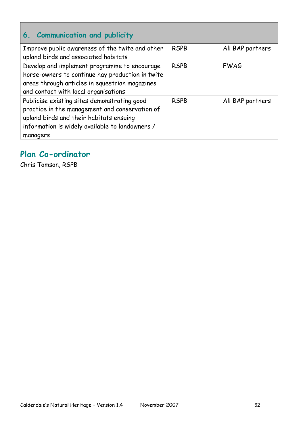| 6. Communication and publicity                                                                                                                                                                          |             |                  |
|---------------------------------------------------------------------------------------------------------------------------------------------------------------------------------------------------------|-------------|------------------|
| Improve public awareness of the twite and other<br>upland birds and associated habitats                                                                                                                 | <b>RSPB</b> | All BAP partners |
| Develop and implement programme to encourage<br>horse-owners to continue hay production in twite<br>areas through articles in equestrian magazines<br>and contact with local organisations              | <b>RSPB</b> | <b>FWAG</b>      |
| Publicise existing sites demonstrating good<br>practice in the management and conservation of<br>upland birds and their habitats ensuing<br>information is widely available to landowners /<br>managers | <b>RSPB</b> | All BAP partners |

## **Plan Co-ordinator**

Chris Tomson, RSPB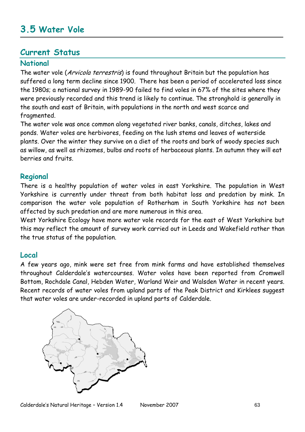# **3.5 Water Vole**

#### **Current Status**

#### **National**

The water vole (Arvicola terrestris) is found throughout Britain but the population has suffered a long term decline since 1900. There has been a period of accelerated loss since the 1980s; a national survey in 1989-90 failed to find voles in 67% of the sites where they were previously recorded and this trend is likely to continue. The stronghold is generally in the south and east of Britain, with populations in the north and west scarce and fragmented.

The water vole was once common along vegetated river banks, canals, ditches, lakes and ponds. Water voles are herbivores, feeding on the lush stems and leaves of waterside plants. Over the winter they survive on a diet of the roots and bark of woody species such as willow, as well as rhizomes, bulbs and roots of herbaceous plants. In autumn they will eat berries and fruits.

#### **Regional**

There is a healthy population of water voles in east Yorkshire. The population in West Yorkshire is currently under threat from both habitat loss and predation by mink. In comparison the water vole population of Rotherham in South Yorkshire has not been affected by such predation and are more numerous in this area.

West Yorkshire Ecology have more water vole records for the east of West Yorkshire but this may reflect the amount of survey work carried out in Leeds and Wakefield rather than the true status of the population.

#### **Local**

A few years ago, mink were set free from mink farms and have established themselves throughout Calderdale"s watercourses. Water voles have been reported from Cromwell Bottom, Rochdale Canal, Hebden Water, Warland Weir and Walsden Water in recent years. Recent records of water voles from upland parts of the Peak District and Kirklees suggest that water voles are under-recorded in upland parts of Calderdale.

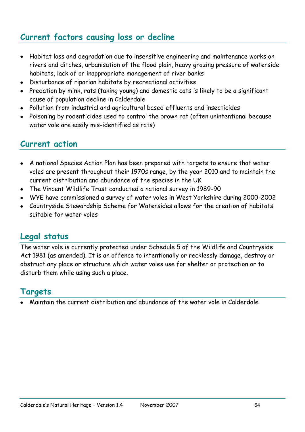## **Current factors causing loss or decline**

- Habitat loss and degradation due to insensitive engineering and maintenance works on rivers and ditches, urbanisation of the flood plain, heavy grazing pressure of waterside habitats, lack of or inappropriate management of river banks
- Disturbance of riparian habitats by recreational activities
- Predation by mink, rats (taking young) and domestic cats is likely to be a significant  $\bullet$ cause of population decline in Calderdale
- Pollution from industrial and agricultural based effluents and insecticides
- Poisoning by rodenticides used to control the brown rat (often unintentional because water vole are easily mis-identified as rats)

### **Current action**

- A national Species Action Plan has been prepared with targets to ensure that water voles are present throughout their 1970s range, by the year 2010 and to maintain the current distribution and abundance of the species in the UK
- The Vincent Wildlife Trust conducted a national survey in 1989-90
- WYE have commissioned a survey of water voles in West Yorkshire during 2000-2002
- Countryside Stewardship Scheme for Watersides allows for the creation of habitats suitable for water voles

### **Legal status**

The water vole is currently protected under Schedule 5 of the Wildlife and Countryside Act 1981 (as amended). It is an offence to intentionally or recklessly damage, destroy or obstruct any place or structure which water voles use for shelter or protection or to disturb them while using such a place.

### **Targets**

Maintain the current distribution and abundance of the water vole in Calderdale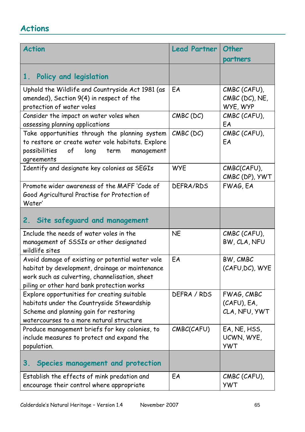| <b>Action</b>                                                                                                                                                                                       | <b>Lead Partner</b> | Other                                      |
|-----------------------------------------------------------------------------------------------------------------------------------------------------------------------------------------------------|---------------------|--------------------------------------------|
|                                                                                                                                                                                                     |                     | partners                                   |
| Policy and legislation<br>1.                                                                                                                                                                        |                     |                                            |
| Uphold the Wildlife and Countryside Act 1981 (as<br>amended), Section 9(4) in respect of the<br>protection of water voles                                                                           | EA                  | CMBC (CAFU),<br>CMBC (DC), NE,<br>WYE, WYP |
| Consider the impact on water voles when<br>assessing planning applications                                                                                                                          | $CMBC$ (DC)         | CMBC (CAFU),<br>EA                         |
| Take opportunities through the planning system<br>to restore or create water vole habitats. Explore<br>possibilities<br>long<br>of<br>term<br>management<br>agreements                              | $CMBC$ (DC)         | CMBC (CAFU),<br>EA                         |
| Identify and designate key colonies as SEGIs                                                                                                                                                        | <b>WYE</b>          | CMBC(CAFU),<br>CMBC (DP), YWT              |
| Promote wider awareness of the MAFF 'Code of<br>Good Agricultural Practise for Protection of<br>Water'                                                                                              | DEFRA/RDS           | FWAG, EA                                   |
| Site safeguard and management<br>2.                                                                                                                                                                 |                     |                                            |
| Include the needs of water voles in the<br>management of SSSIs or other designated<br>wildlife sites                                                                                                | <b>NE</b>           | CMBC (CAFU),<br>BW, CLA, NFU               |
| Avoid damage of existing or potential water vole<br>habitat by development, drainage or maintenance<br>work such as culverting, channelisation, sheet<br>piling or other hard bank protection works | EA                  | BW, CMBC<br>(CAFU, DC), WYE                |
| Explore opportunities for creating suitable<br>habitats under the Countryside Stewardship<br>Scheme and planning gain for restoring<br>watercourses to a more natural structure                     | DEFRA / RDS         | FWAG, CMBC<br>(CAFU), EA,<br>CLA, NFU, YWT |
| Produce management briefs for key colonies, to<br>include measures to protect and expand the<br>population.                                                                                         | CMBC(CAFU)          | EA, NE, HSS,<br>UCWN, WYE,<br><b>YWT</b>   |
| Species management and protection<br>3.                                                                                                                                                             |                     |                                            |
| Establish the effects of mink predation and<br>encourage their control where appropriate                                                                                                            | EA                  | CMBC (CAFU),<br><b>YWT</b>                 |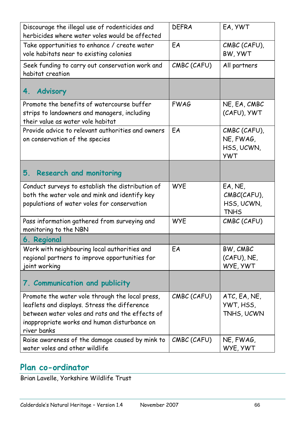| Discourage the illegal use of rodenticides and<br>herbicides where water voles would be affected                                                                                                                  | <b>DEFRA</b> | EA, YWT                                               |
|-------------------------------------------------------------------------------------------------------------------------------------------------------------------------------------------------------------------|--------------|-------------------------------------------------------|
| Take opportunities to enhance / create water<br>vole habitats near to existing colonies                                                                                                                           | EA           | CMBC (CAFU),<br>BW, YWT                               |
| Seek funding to carry out conservation work and<br>habitat creation                                                                                                                                               | CMBC (CAFU)  | All partners                                          |
| 4. Advisory                                                                                                                                                                                                       |              |                                                       |
| Promote the benefits of watercourse buffer<br>strips to landowners and managers, including<br>their value as water vole habitat                                                                                   | <b>FWAG</b>  | NE, EA, CMBC<br>(CAFU), YWT                           |
| Provide advice to relevant authorities and owners<br>on conservation of the species                                                                                                                               | EA           | CMBC (CAFU),<br>NE, FWAG,<br>HSS, UCWN,<br><b>YWT</b> |
| 5. Research and monitoring                                                                                                                                                                                        |              |                                                       |
| Conduct surveys to establish the distribution of<br>both the water vole and mink and identify key<br>populations of water voles for conservation                                                                  | <b>WYE</b>   | EA, NE,<br>CMBC(CAFU),<br>HSS, UCWN,<br><b>TNHS</b>   |
| Pass information gathered from surveying and<br>monitoring to the NBN                                                                                                                                             | <b>WYE</b>   | CMBC (CAFU)                                           |
| 6. Regional                                                                                                                                                                                                       |              |                                                       |
| Work with neighbouring local authorities and<br>regional partners to improve opportunities for<br>joint working                                                                                                   | EA           | BW, CMBC<br>(CAFU), NE,<br>WYE, YWT                   |
| 7. Communication and publicity                                                                                                                                                                                    |              |                                                       |
| Promote the water vole through the local press,<br>leaflets and displays. Stress the difference<br>between water voles and rats and the effects of<br>inappropriate works and human disturbance on<br>river banks | CMBC (CAFU)  | ATC, EA, NE,<br>YWT, HSS,<br>TNHS, UCWN               |
| Raise awareness of the damage caused by mink to<br>water voles and other wildlife                                                                                                                                 | CMBC (CAFU)  | NE, FWAG,<br>WYE, YWT                                 |

## **Plan co-ordinator**

Brian Lavelle, Yorkshire Wildlife Trust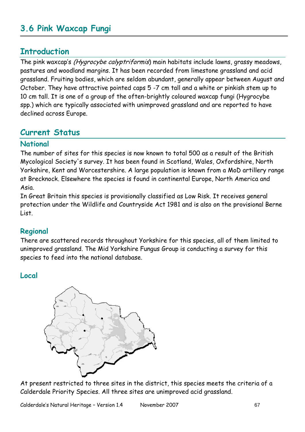## **3.6 Pink Waxcap Fungi**

### **Introduction**

The pink waxcap's (Hygrocybe calyptriformis) main habitats include lawns, grassy meadows, pastures and woodland margins. It has been recorded from limestone grassland and acid grassland. Fruiting bodies, which are seldom abundant, generally appear between August and October. They have attractive pointed caps 5 -7 cm tall and a white or pinkish stem up to 10 cm tall. It is one of a group of the often-brightly coloured waxcap fungi (Hygrocybe spp.) which are typically associated with unimproved grassland and are reported to have declined across Europe.

### **Current Status**

#### **National**

The number of sites for this species is now known to total 500 as a result of the British Mycological Society's survey. It has been found in Scotland, Wales, Oxfordshire, North Yorkshire, Kent and Worcestershire. A large population is known from a MoD artillery range at Brecknock. Elsewhere the species is found in continental Europe, North America and Asia.

In Great Britain this species is provisionally classified as Low Risk. It receives general protection under the Wildlife and Countryside Act 1981 and is also on the provisional Berne List.

#### **Regional**

There are scattered records throughout Yorkshire for this species, all of them limited to unimproved grassland. The Mid Yorkshire Fungus Group is conducting a survey for this species to feed into the national database.

#### **Local**



At present restricted to three sites in the district, this species meets the criteria of a Calderdale Priority Species. All three sites are unimproved acid grassland.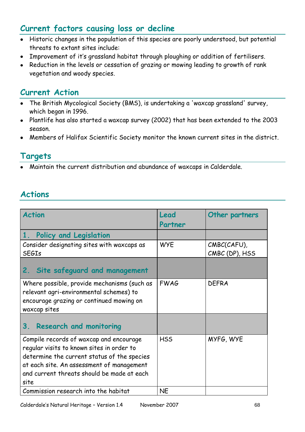## **Current factors causing loss or decline**

- Historic changes in the population of this species are poorly understood, but potential threats to extant sites include:
- Improvement of it"s grassland habitat through ploughing or addition of fertilisers.
- Reduction in the levels or cessation of grazing or mowing leading to growth of rank vegetation and woody species.

## **Current Action**

- The British Mycological Society (BMS), is undertaking a 'waxcap grassland' survey, which began in 1996.
- Plantlife has also started a waxcap survey (2002) that has been extended to the 2003 season.
- Members of Halifax Scientific Society monitor the known current sites in the district.

## **Targets**

Maintain the current distribution and abundance of waxcaps in Calderdale.

| <b>Action</b>                                                                                                                                                                                                                          | Lead        | Other partners                |
|----------------------------------------------------------------------------------------------------------------------------------------------------------------------------------------------------------------------------------------|-------------|-------------------------------|
|                                                                                                                                                                                                                                        | Partner     |                               |
| 1 <sub>1</sub><br><b>Policy and Legislation</b>                                                                                                                                                                                        |             |                               |
| Consider designating sites with waxcaps as<br><b>SEGIs</b>                                                                                                                                                                             | <b>WYE</b>  | CMBC(CAFU),<br>CMBC (DP), HSS |
| 2. Site safeguard and management                                                                                                                                                                                                       |             |                               |
| Where possible, provide mechanisms (such as<br>relevant agri-environmental schemes) to<br>encourage grazing or continued mowing on<br>waxcap sites                                                                                     | <b>FWAG</b> | <b>DEFRA</b>                  |
| $3_{-}$<br><b>Research and monitoring</b>                                                                                                                                                                                              |             |                               |
| Compile records of waxcap and encourage<br>regular visits to known sites in order to<br>determine the current status of the species<br>at each site. An assessment of management<br>and current threats should be made at each<br>site | <b>HSS</b>  | MYFG, WYE                     |
| Commission research into the habitat                                                                                                                                                                                                   | <b>NE</b>   |                               |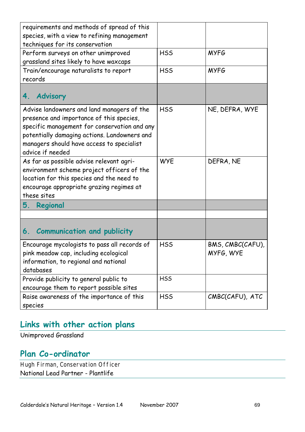| requirements and methods of spread of this<br>species, with a view to refining management<br>techniques for its conservation                                                                                                                            |            |                               |
|---------------------------------------------------------------------------------------------------------------------------------------------------------------------------------------------------------------------------------------------------------|------------|-------------------------------|
| Perform surveys on other unimproved<br>grassland sites likely to have waxcaps                                                                                                                                                                           | <b>HSS</b> | <b>MYFG</b>                   |
| Train/encourage naturalists to report<br>records                                                                                                                                                                                                        | <b>HSS</b> | <b>MYFG</b>                   |
| <b>Advisory</b><br>4.                                                                                                                                                                                                                                   |            |                               |
| Advise landowners and land managers of the<br>presence and importance of this species,<br>specific management for conservation and any<br>potentially damaging actions. Landowners and<br>managers should have access to specialist<br>advice if needed | <b>HSS</b> | NE, DEFRA, WYE                |
| As far as possible advise relevant agri-<br>environment scheme project officers of the<br>location for this species and the need to<br>encourage appropriate grazing regimes at<br>these sites                                                          | <b>WYE</b> | DEFRA, NE                     |
| 5.<br>Regional                                                                                                                                                                                                                                          |            |                               |
| <b>Communication and publicity</b><br>6.                                                                                                                                                                                                                |            |                               |
| Encourage mycologists to pass all records of<br>pink meadow cap, including ecological<br>information, to regional and national<br>databases                                                                                                             | <b>HSS</b> | BMS, CMBC(CAFU),<br>MYFG, WYE |
| Provide publicity to general public to<br>encourage them to report possible sites                                                                                                                                                                       | <b>HSS</b> |                               |
| Raise awareness of the importance of this<br>species                                                                                                                                                                                                    | <b>HSS</b> | CMBC(CAFU), ATC               |
|                                                                                                                                                                                                                                                         |            |                               |

# **Links with other action plans**

Unimproved Grassland

## **Plan Co-ordinator**

Hugh Firman, Conservation Officer National Lead Partner - Plantlife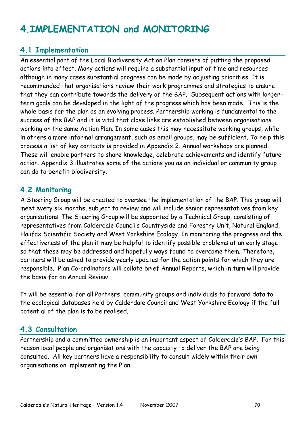#### **4.1 Implementation**

An essential part of the Local Biodiversity Action Plan consists of putting the proposed actions into effect. Many actions will require a substantial input of time and resources although in many cases substantial progress can be made by adjusting priorities. It is recommended that organisations review their work programmes and strategies to ensure that they can contribute towards the delivery of the BAP. Subsequent actions with longerterm goals can be developed in the light of the progress which has been made. This is the whole basis for the plan as an evolving process. Partnership working is fundamental to the success of the BAP and it is vital that close links are established between organisations working on the same Action Plan. In some cases this may necessitate working groups, while in others a more informal arrangement, such as email groups, may be sufficient. To help this process a list of key contacts is provided in Appendix 2. Annual workshops are planned. These will enable partners to share knowledge, celebrate achievements and identify future action. Appendix 3 illustrates some of the actions you as an individual or community group can do to benefit biodiversity.

#### **4.2 Monitoring**

A Steering Group will be created to oversee the implementation of the BAP. This group will meet every six months, subject to review and will include senior representatives from key organisations. The Steering Group will be supported by a Technical Group, consisting of representatives from Calderdale Council"s Countryside and Forestry Unit, Natural England, Halifax Scientific Society and West Yorkshire Ecology. In monitoring the progress and the effectiveness of the plan it may be helpful to identify possible problems at an early stage so that these may be addressed and hopefully ways found to overcome them. Therefore, partners will be asked to provide yearly updates for the action points for which they are responsible. Plan Co-ordinators will collate brief Annual Reports, which in turn will provide the basis for an Annual Review.

It will be essential for all Partners, community groups and individuals to forward data to the ecological databases held by Calderdale Council and West Yorkshire Ecology if the full potential of the plan is to be realised.

#### **4.3 Consultation**

Partnership and a committed ownership is an important aspect of Calderdale's BAP. For this reason local people and organisations with the capacity to deliver the BAP are being consulted. All key partners have a responsibility to consult widely within their own organisations on implementing the Plan.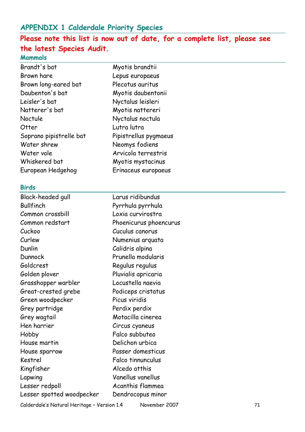### **APPENDIX 1 Calderdale Priority Species**

# **Please note this list is now out of date, for a complete list, please see the latest Species Audit.**

Myotis brandtii Lepus europaeus Plecotus auritus Myotis daubentonii Nyctalus leisleri Myotis nattereri Nyctalus noctula

Lutra lutra

Pipistrellus pygmaeus

Neomys fodiens Arvicola terrestris Myotis mystacinus Erinaceus europaeus

#### **Mammals**

#### **Birds**

| Black-headed gull         | Larus ridibundus       |
|---------------------------|------------------------|
| <b>Bullfinch</b>          | Pyrrhula pyrrhula      |
| Common crossbill          | Loxia curvirostra      |
| Common redstart           | Phoenicurus phoencurus |
| Cuckoo                    | Cuculus canorus        |
| Curlew                    | Numenius arquata       |
| Dunlin                    | Calidris alpina        |
| Dunnock                   | Prunella modularis     |
| Goldcrest                 | Regulus regulus        |
| Golden plover             | Pluvialis apricaria    |
| Grasshopper warbler       | Locustella naevia      |
| Great-crested grebe       | Podiceps cristatus     |
| Green woodpecker          | Picus viridis          |
| Grey partridge            | Perdix perdix          |
| Grey wagtail              | Motacilla cinerea      |
| Hen harrier               | Circus cyaneus         |
| Hobby                     | Falco subbuteo         |
| House martin              | Delichon urbica        |
| House sparrow             | Passer domesticus      |
| Kestrel                   | Falco tinnunculus      |
| Kingfisher                | Alcedo atthis          |
| Lapwing                   | Vanellus vanellus      |
| Lesser redpoll            | Acanthis flammea       |
| Lesser spotted woodpecker | Dendrocopus minor      |
|                           |                        |

Calderdale's Natural Heritage - Version 1.4 November 2007 1997 1998 1999 1998 1999 1998 1999 1998 1999 1999 1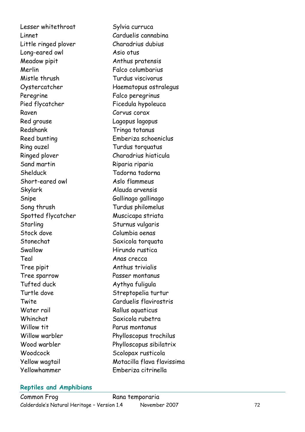Lesser whitethroat Sylvia curruca Linnet Carduelis cannabina Little ringed plover Charadrius dubius Long -eared owl Asio otus Meadow pipit **Anthus pratensis** Merlin Falco columbarius Mistle thrush Turdus viscivorus Peregrine Falco peregrinus Pied flycatcher Ficedula hypoleuca Raven Corvus corax Red grouse Canada Cagopus lagopus Redshank Tringa totanus Ring ouzel Turdus torquatus Sand martin Riparia riparia Shelduck Tadorna tadorna Short-eared owl Skylark Alauda arvensis Snipe Gallinago gallinago Song thrush Turdus philomelus Spotted flycatcher Muscicapa striata Starling Sturnus vulgaris Stock dove Columbia oenas Stonechat Saxicola torquata Swallow Hirundo rustica Teal Anas crecca Tree pipit Tree pipit Tree sparrow Passer montanus Tufted duck Aythya fuligula Turtle dove Streptopelia turtur Water rail Whinchat Saxicola rubetra Willow tit **Parus montanus** Woodcock Scolopax rusticola Yellowhammer Emberiza citrinella

Oystercatcher Haematopus ostralegus Reed bunting Emberiza schoeniclus Ringed plover Charadrius hiaticula Aslo flammeus Twite Carduelis flavirostris Rallus aquaticus Willow warbler Phylloscopus trochilus Wood warbler Phylloscopus sibilatrix Yellow wagtail Motacilla flava flavissima

#### **Reptiles and Amphibians**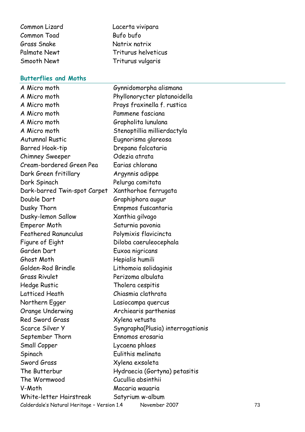| Common Lizard       |
|---------------------|
| <b>Common Toad</b>  |
| <b>Grass Snake</b>  |
| <b>Palmate Newt</b> |
| Smooth Newt         |

#### **Butterflies and Moths**

Calderdale"s Natural Heritage – Version 1.4 November 2007 73 A Micro moth Gynnidomorpha alismana A Micro moth Phyllonorycter platanoidella A Micro moth Prays fraxinella f. rustica A Micro moth Pammene fasciana A Micro moth Grapholita lunulana A Micro moth Stenoptillia millierdactyla Autumnal Rustic Eugnorisma glareosa Barred Hook-tip **Drepana falcataria** Chimney Sweeper Odezia atrata Cream-bordered Green Pea Earias chlorana Dark Green fritillary **Argynnis adippe** Dark Spinach Pelurga comitata Dark-barred Twin-spot Carpet Xanthorhoe ferrugata Double Dart Graphiphora augur Dusky Thorn **Ennpmos** fuscantaria Dusky-lemon Sallow Xanthia gilvago Emperor Moth Saturnia pavonia Feathered Ranunculus Polymixis flavicincta Figure of Eight **Diloba** caeruleocephala Garden Dart **Euxoa** nigricans Ghost Moth Hepialis humili Golden-Rod Brindle Lithomoia solidaginis Grass Rivulet Perizoma albulata Hedge Rustic Tholera cespitis Latticed Heath Chiasmia clathrata Northern Egger Lasiocampa quercus Orange Underwing Archiearis parthenias Red Sword Grass Xylena vetusta Scarce Silver Y Syngrapha(Plusia) interrogationis September Thorn Ennomos erosaria Small Copper Lycaena phlaes Spinach Eulithis melinata Sword Grass Xylena exsoleta The Butterbur Hydraecia (Gortyna) petasitis The Wormwood Cucullia absinthii V-Moth Macaria wauaria White-letter Hairstreak Satyrium w-album

Lacerta vivipara

Triturus helveticus Triturus vulgaris

Bufo bufo Natrix natrix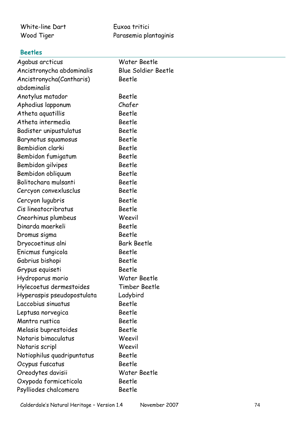| White-line Dart | Euxoa tritici         |
|-----------------|-----------------------|
| Wood Tiger      | Parasemia plantaginis |

# **Beetles**

| Agabus arcticus            | Water Beetle               |
|----------------------------|----------------------------|
| Ancistronycha abdominalis  | <b>Blue Soldier Beetle</b> |
| Ancistronycha(Cantharis)   | Beetle                     |
| abdominalis                |                            |
| Anotylus matador           | Beetle                     |
| Aphodius lapponum          | Chafer                     |
| Atheta aquatillis          | <b>Beetle</b>              |
| Atheta intermedia          | <b>Beetle</b>              |
| Badister unipustulatus     | <b>Beetle</b>              |
| Barynotus squamosus        | <b>Beetle</b>              |
| Bembidion clarki           | <b>Beetle</b>              |
| Bembidon fumigatum         | <b>Beetle</b>              |
| Bembidon gilvipes          | Beetle                     |
| Bembidon obliquum          | <b>Beetle</b>              |
| Bolitochara mulsanti       | <b>Beetle</b>              |
| Cercyon convexlusclus      | <b>Beetle</b>              |
| Cercyon lugubris           | <b>Beetle</b>              |
| Cis lineatocribratus       | <b>Beetle</b>              |
| Cneorhinus plumbeus        | Weevil                     |
| Dinarda maerkeli           | <b>Beetle</b>              |
| Dromus sigma               | <b>Beetle</b>              |
| Dryocoetinus alni          | <b>Bark Beetle</b>         |
| Enicmus fungicola          | Beetle                     |
| Gabrius bishopi            | Beetle                     |
| Grypus equiseti            | <b>Beetle</b>              |
| Hydroporus morio           | Water Beetle               |
| Hylecoetus dermestoides    | Timber Beetle              |
| Hyperaspis pseudopostulata | Ladybird                   |
| Laccobius sinuatus         | <b>Beetle</b>              |
| Leptusa norvegica          | Beetle                     |
| Mantra rustica             | Beetle                     |
| Melasis buprestoides       | Beetle                     |
| Notaris bimaculatus        | Weevil                     |
| Notaris scripl             | Weevil                     |
| Notiophilus quadripuntatus | Beetle                     |
| Ocypus fuscatus            | Beetle                     |
| Oreodytes davisii          | Water Beetle               |
| Oxypoda formiceticola      | Beetle                     |
| Psylliodes chalcomera      | Beetle                     |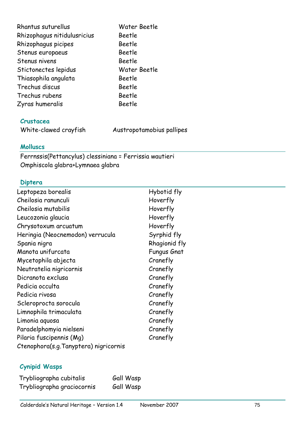| Rhantus suturellus          | Water Beetle |
|-----------------------------|--------------|
| Rhizophagus nitidulusricius | Beetle       |
| Rhizophagus picipes         | Beetle       |
| Stenus europaeus            | Beetle       |
| Stenus nivens               | Beetle       |
| Stictonectes lepidus        | Water Beetle |
| Thiasophila angulata        | Beetle       |
| Trechus discus              | Beetle       |
| Trechus rubens              | Beetle       |
| Zyras humeralis             | Beetle       |

## **Crustacea**

White-clawed crayfish Austropotamobius pallipes

## **Molluscs**

Ferrnssis(Pettancylus) clessiniana = Ferrissia wautieri Omphiscola glabra+Lymnaea glabra

### **Diptera**

| Leptopeza borealis                    | Hybotid fly        |
|---------------------------------------|--------------------|
| Cheilosia ranunculi                   | Hoverfly           |
| Cheilosia mutabilis                   | Hoverfly           |
| Leucozonia glaucia                    | Hoverfly           |
| Chrysotoxum arcuatum                  | Hoverfly           |
| Heringia (Neocnemodon) verrucula      | Syrphid fly        |
| Spania nigra                          | Rhagionid fly      |
| Manota unifurcata                     | <b>Fungus Gnat</b> |
| Mycetophila abjecta                   | Cranefly           |
| Neutratelia nigricornis               | Cranefly           |
| Dicranota exclusa                     | Cranefly           |
| Pedicia occulta                       | Cranefly           |
| Pedicia rivosa                        | Cranefly           |
| Scleroprocta sorocula                 | Cranefly           |
| Limnophila trimaculata                | Cranefly           |
| Limonia aquosa                        | Cranefly           |
| Paradelphomyia nielseni               | Cranefly           |
| Pilaria fuscipennis (Mg)              | Cranefly           |
| Ctenophora(s.g.Tanyptera) nigricornis |                    |

# **Cynipid Wasps**

| Trybliographa cubitalis    | Gall Wasp |
|----------------------------|-----------|
| Trybliographa graciocornis | Gall Wasp |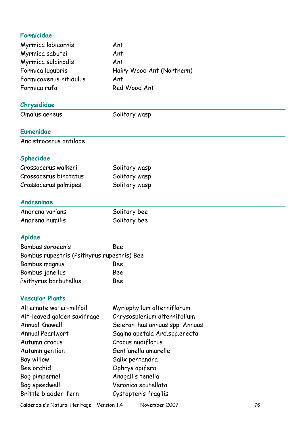| Formicidae                                 |                                |
|--------------------------------------------|--------------------------------|
| Myrmica lobicornis                         | Ant                            |
| Myrmica sabutei                            | Ant                            |
| Myrmica sulcinodis                         | Ant                            |
| Formica lugubris                           | Hairy Wood Ant (Northern)      |
| Formicoxenus nitidulus                     | Ant                            |
| Formica rufa                               | Red Wood Ant                   |
| Chrysididae                                |                                |
| Omalus aeneus                              | Solitary wasp                  |
| <b>Eumenidae</b>                           |                                |
| Ancistrocerus antilope                     |                                |
| Sphecidae                                  |                                |
| Crossocerus walkeri                        | Solitary wasp                  |
| Crossocerus binotatus                      | Solitary wasp                  |
| Crossocerus palmipes                       | Solitary wasp                  |
| Andreninge                                 |                                |
| Andrena varians                            | Solitary bee                   |
| Andrena humilis                            | Solitary bee                   |
| Apidae                                     |                                |
| Bombus soroeenis                           | Bee                            |
| Bombus rupestris (Psithyrus rupestris) Bee |                                |
| Bombus magnus                              | Bee                            |
| Bombus jonellus                            | Bee                            |
| Psithyrus barbutellus                      | Bee                            |
| <b>Vascular Plants</b>                     |                                |
| Alternate water-milfoil                    | Myriophyllum alterniflorum     |
| Alt-leaved golden saxifrage                | Chrysosplenium alternifolium   |
| <b>Annual Knawell</b>                      | Seleranthus annuus spp. Annuus |
| <b>Annual Pearlwort</b>                    | Sagina apetala Ard.spp.erecta  |
| Autumn crocus                              | Crocus nudiflorus              |
| Autumn gentian                             | Gentianella amarelle           |
| Bay willow                                 | Salix pentandra                |
| Bee orchid                                 | Ophrys apifera                 |
| Bog pimpernel                              | Anagallis tenella              |
| Bog speedwell                              | Veronica scutellata            |
| Brittle bladder-fern                       | Cystopteris fragilis           |

Calderdale's Natural Heritage - Version 1.4 November 2007 Movember 2007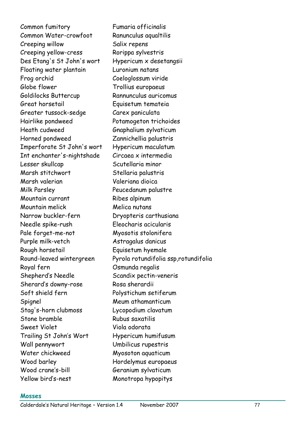Common fumitory Fumaria officinalis Common Water-crowfoot Ranunculus aqualtilis Creeping willow Salix repens Creeping yellow-cress Rorippa sylvestris Des Etang's St John's wort Hypericum x desetangsii Floating water plantain Luronium natans Frog orchid Coeloglossum viride Globe flower Trollius europaeus Goldilocks Buttercup Rannunculus auricomus Great horsetail Equisetum temateia Greater tussock-sedge Carex paniculata Hairlike pondweed Potamogeton trichoides Heath cudweed Gnaphalium sylvaticum Horned pondweed Zannichellia palustris Imperforate St John's wort Hypericum maculatum Int enchanter's-nightshade Circaea x intermedia Lesser skullcap Scutellaria minor Marsh stitchwort Stellaria palustris Marsh valerian Valeriana dioica Milk Parsley **Peucedanum palustre** Mountain currant Ribes alpinum Mountain melick Melica nutans Narrow buckler-fern Dryopteris carthusiana Needle spike-rush Eleocharis acicularis Pale forget-me-not Myosotis stolonifera Purple milk-vetch Astragalus danicus Rough horsetail Equisetum hyemale Royal fern Osmunda regalis Shepherd"s Needle Scandix pectin-veneris Sherard's downy-rose Rosa sherardii Soft shield fern Polystichum setiferum Spignel Meum athamanticum Stag's-horn clubmoss Lycopodium clavatum Stone bramble Rubus saxatilis Sweet Violet Viola odorata Trailing St John's Wort Hypericum humifusum Wall pennywort Umbilicus rupestris Water chickweed Myosoton aquaticum Wood barley **Hordelymus** europaeus Wood crane's-bill Geranium sylvaticum Yellow bird"s-nest Monotropa hypopitys

Round-leaved wintergreen Pyrola rotundifolia ssp,rotundifolia

#### **Mosses**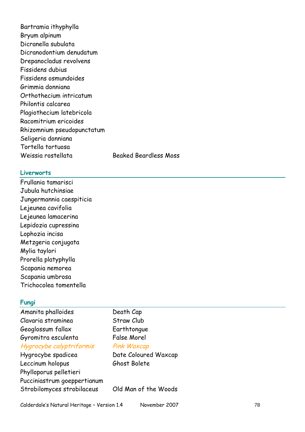Bartramia ithyphylla Bryum alpinum Dicranella subulata Dicranodontium denudatum Drepanocladus revolvens Fissidens dubius Fissidens osmundoides Grimmia donniana Orthothecium intricatum Philontis calcarea Plagiothecium latebricola Racomitrium ericoides Rhizomnium pseudopunctatum Seligeria donniana Tortella tortuosa Weissia rostellata Beaked Beardless Moss

#### **Liverworts**

Frullania tamarisci Jubula hutchinsiae Jungermannia caespiticia Lejeunea cavifolia Lejeunea lamacerina Lepidozia cupressina Lophozia incisa Metzgeria conjugata Mylia taylori Prorella platyphylla Scapania nemorea Scapania umbrosa Trichocolea tomentella

#### **Fungi**

| Amanita phalloides          | Death Cap            |
|-----------------------------|----------------------|
| Clavaria straminea          | Straw Club           |
| Geoglossum fallax           | Earthtongue          |
| Gyromitra esculenta         | False Morel          |
| Hygrocybe calyptriformis    | <b>Pink Waxcap</b>   |
| Hygrocybe spadicea          | Date Coloured Waxcap |
| Leccinum holopus            | Ghost Bolete         |
| Phylloporus pelletieri      |                      |
| Pucciniastrum goeppertianum |                      |
|                             |                      |

Strobilomyces strobilaceus Old Man of the Woods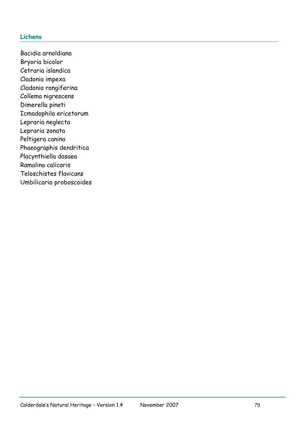## **Lichens**

Bacidia arnoldiana Bryoria bicolor Cetraria islandica Cladonia impexa Cladonia rangiferina Collema nigrescens Dimerella pineti Icmadophila ericetorum Lepraria neglecta Lepraria zonata Peltigera canina Phaeographis dendritica Placynthiella dasaea Ramalina calicaris Teloschistes flavicans Umbilicaria proboscoides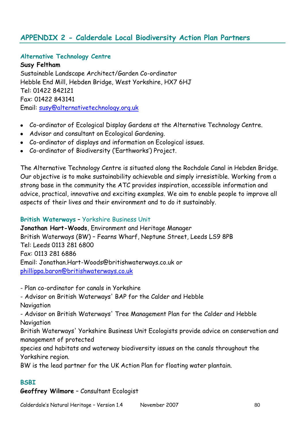# **APPENDIX 2 - Calderdale Local Biodiversity Action Plan Partners**

#### **Alternative Technology Centre**

**Susy Feltham** Sustainable Landscape Architect/Garden Co-ordinator Hebble End Mill, Hebden Bridge, West Yorkshire, HX7 6HJ Tel: 01422 842121 Fax: 01422 843141 Email: [susy@alternativetechnology.org.uk](mailto:info@alternativetechnology.org.uk)

- Co-ordinator of Ecological Display Gardens at the Alternative Technology Centre.
- Advisor and consultant on Ecological Gardening.
- Co-ordinator of displays and information on Ecological issues.
- Co-ordinator of Biodiversity ("Earthworks") Project.

The Alternative Technology Centre is situated along the Rochdale Canal in Hebden Bridge. Our objective is to make sustainability achievable and simply irresistible. Working from a strong base in the community the ATC provides inspiration, accessible information and advice, practical, innovative and exciting examples. We aim to enable people to improve all aspects of their lives and their environment and to do it sustainably.

#### **British Waterways** – Yorkshire Business Unit

**Jonathan Hart-Woods**, Environment and Heritage Manager British Waterways (BW) – Fearns Wharf, Neptune Street, Leeds LS9 8PB Tel: Leeds 0113 281 6800 Fax: 0113 281 6886 Email: Jonathan.Hart-[Woods@britishwaterways.co.uk](mailto:Woods@britishwaterways.co.uk) or [phillippa.baron@britishwaterways.co.uk](mailto:phillippa.baron@britishwaterways.co.uk)

- Plan co-ordinator for canals in Yorkshire

- Advisor on British Waterways' BAP for the Calder and Hebble Navigation

- Advisor on British Waterways' Tree Management Plan for the Calder and Hebble Navigation

British Waterways' Yorkshire Business Unit Ecologists provide advice on conservation and management of protected

species and habitats and waterway biodiversity issues on the canals throughout the Yorkshire region.

BW is the lead partner for the UK Action Plan for floating water plantain.

# **BSBI**

## **Geoffrey Wilmore** – Consultant Ecologist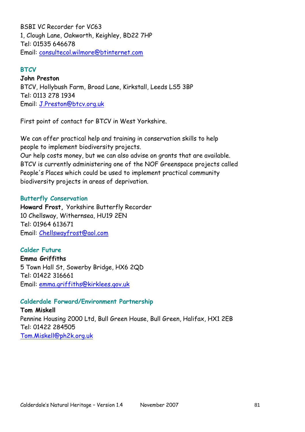BSBI VC Recorder for VC63 1, Clough Lane, Oakworth, Keighley, BD22 7HP Tel: 01535 646678 Email: [consultecol.wilmore@btinternet.com](mailto:consultecol.wilmore@btinternet.com)

#### **BTCV**

**John Preston** BTCV, Hollybush Farm, Broad Lane, Kirkstall, Leeds LS5 3BP Tel: 0113 278 1934 Email: [J.Preston@btcv.org.uk](mailto:J.Preston@btcv.org.uk)

First point of contact for BTCV in West Yorkshire.

We can offer practical help and training in conservation skills to help people to implement biodiversity projects. Our help costs money, but we can also advise on grants that are available. BTCV is currently administering one of the NOF Greenspace projects called

People's Places which could be used to implement practical community biodiversity projects in areas of deprivation.

#### **Butterfly Conservation**

**Howard Frost,** Yorkshire Butterfly Recorder 10 Chellsway, Withernsea, HU19 2EN Tel: 01964 613671 Email: [Chellswayfrost@aol.com](mailto:Chellswayfrost@aol.com)

**Calder Future Emma Griffiths** 5 Town Hall St, Sowerby Bridge, HX6 2QD Tel: 01422 316661 Email: [emma.griffiths@kirklees.gov.uk](mailto:emma.griffiths@kirklees.gov.uk)

## **Calderdale Forward/Environment Partnership**

**Tom Miskell** Pennine Housing 2000 Ltd, Bull Green House, Bull Green, Halifax, HX1 2EB Tel: 01422 284505 [Tom.Miskell@ph2k.org.uk](mailto:Tom.Miskell@ph2k.org.uk)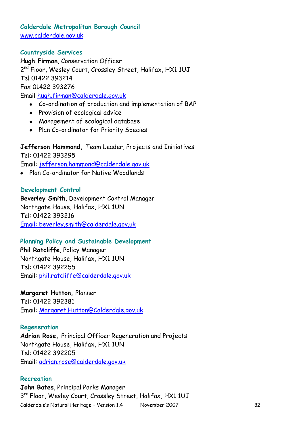## **Calderdale Metropolitan Borough Council** [www.calderdale.gov.uk](http://www.calderdale.gov.uk)

## **Countryside Services**

**Hugh Firman**, Conservation Officer 2<sup>nd</sup> Floor, Wesley Court, Crossley Street, Halifax, HX1 1UJ Tel 01422 393214 Fax 01422 393276 Email hugh[.firman@calderdale.gov.uk](mailto:firman@calderdale.gov.uk)

- Co-ordination of production and implementation of BAP
- Provision of ecological advice
- Management of ecological database
- Plan Co-ordinator for Priority Species

# **Jefferson Hammond,** Team Leader, Projects and Initiatives Tel: 01422 393295

Email: [jefferson.hammond@calderdale.gov.uk](mailto:jefferson.hammond@calderdale.gov.uk)

Plan Co-ordinator for Native Woodlands

## **Development Control**

**Beverley Smith**, Development Control Manager Northgate House, Halifax, HX1 1UN Tel: 01422 393216 Email: beverley[.smith@calderdale.gov.uk](mailto:smith@calderdale.gov.uk)

## **Planning Policy and Sustainable Development**

**Phil Ratcliffe**, Policy Manager Northgate House, Halifax, HX1 1UN Tel: 01422 392255 Email: [phil.ratcliffe@calderdale.gov.uk](mailto:phil.ratcliffe@calderdale.gov.uk)

**Margaret Hutton,** Planner Tel: 01422 392381 Email: [Margaret.Hutton@Calderdale.gov.uk](mailto:Margaret.Hutton@Calderdale.gov.uk)

## **Regeneration**

**Adrian Rose,** Principal Officer Regeneration and Projects Northgate House, Halifax, HX1 1UN Tel: 01422 392205 Email: [adrian.rose@calderdale.gov.uk](mailto:adrian.rose@calderdale.gov.uk)

#### **Recreation**

Calderdale's Natural Heritage - Version 1.4 November 2007 82 **John Bates**, Principal Parks Manager 3<sup>rd</sup> Floor, Wesley Court, Crossley Street, Halifax, HX1 1UJ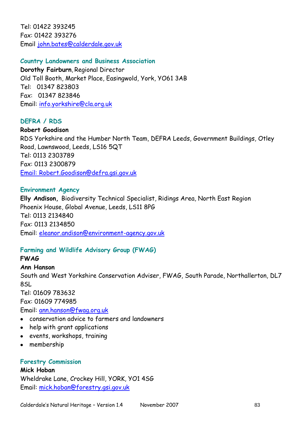Tel: 01422 393245 Fax: 01422 393276 Email [john.bates@calderdale.gov.uk](mailto:john.bates@calderdale.gov.uk)

## **Country Landowners and Business Association**

**Dorothy Fairburn**, Regional Director Old Toll Booth, Market Place, Easingwold, York, YO61 3AB Tel: 01347 823803 Fax: 01347 823846 Email: [info.yorkshire@cla.org.uk](mailto:info.yorkshire@cla.org.uk)

## **DEFRA / RDS**

**Robert Goodison**  RDS Yorkshire and the Humber North Team, DEFRA Leeds, Government Buildings, Otley Road, Lawnswood, Leeds, LS16 5QT Tel: 0113 2303789 Fax: 0113 2300879 Email: [Robert.Goodison@defra.gsi.gov.uk](mailto:Robert.Goodison@defra.gsi.gov.uk)

#### **Environment Agency**

**Elly Andison,** Biodiversity Technical Specialist, Ridings Area, North East Region Phoenix House, Global Avenue, Leeds, LS11 8PG Tel: 0113 2134840 Fax: 0113 2134850 Email: [eleanor.andison@environment-agency.gov.uk](mailto:eleanor.andison@environment-agency.gov.uk)

## **Farming and Wildlife Advisory Group (FWAG)**

#### **FWAG**

#### **Ann Hanson**

South and West Yorkshire Conservation Adviser, FWAG, South Parade, Northallerton, DL7 8SL

Tel: 01609 783632 Fax: 01609 774985

Email: [ann.hanson@fwag.org.uk](mailto:ann.hanson@fwag.org.uk)

- conservation advice to farmers and landowners
- help with grant applications
- events, workshops, training
- membership

#### **Forestry Commission**

**Mick Hoban** Wheldrake Lane, Crockey Hill, YORK, YO1 4SG Email: [mick.hoban@forestry.gsi.gov.uk](mailto:mick.hoban@forestry.gsi.gov.uk)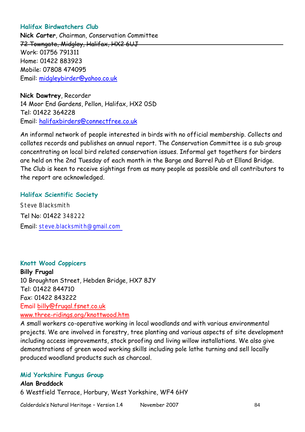## **Halifax Birdwatchers Club**

**Nick Carter**, Chairman, Conservation Committee 72 Towngate, Midgley, Halifax, HX2 6UJ Work: 01756 791311 Home: 01422 883923 Mobile: 07808 474095 Email: [midgleybirder@yahoo.co.uk](mailto:midgleybirder@yahoo.co.uk)

**Nick Dawtrey**, Recorder 14 Moor End Gardens, Pellon, Halifax, HX2 0SD Tel: 01422 364228 Email: [halifaxbirders@connectfree.co.uk](mailto:halifaxbirders@connectfree.co.uk)

An informal network of people interested in birds with no official membership. Collects and collates records and publishes an annual report. The Conservation Committee is a sub group concentrating on local bird related conservation issues. Informal get togethers for birders are held on the 2nd Tuesday of each month in the Barge and Barrel Pub at Elland Bridge. The Club is keen to receive sightings from as many people as possible and all contributors to the report are acknowledged.

#### **Halifax Scientific Society**

Steve Blacksmith Tel No: 01422 348222 Email: [steve.blacksmith@gmail.com](email:steve.blacksmith@gmail.com) 

#### **Knott Wood Coppicers**

**Billy Frugal** 10 Broughton Street, Hebden Bridge, HX7 8JY Tel: 01422 844710 Fax: 01422 843222 Email [billy@frugal.fsnet.co.uk](mailto:billy@frugal.fsnet.co.uk) [www.three-ridings.org/knottwood.htm](http://www.three-ridings.org/knottwood.htm)

A small workers co-operative working in local woodlands and with various environmental projects. We are involved in forestry, tree planting and various aspects of site development including access improvements, stock proofing and living willow installations. We also give demonstrations of green wood working skills including pole lathe turning and sell locally produced woodland products such as charcoal.

#### **Mid Yorkshire Fungus Group**

**Alan Braddock** 6 Westfield Terrace, Horbury, West Yorkshire, WF4 6HY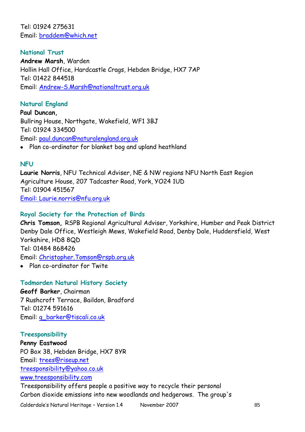Tel: 01924 275631 Email: [braddem@which.net](mailto:braddem@which.net)

**National Trust Andrew Marsh**, Warden Hollin Hall Office, Hardcastle Crags, Hebden Bridge, HX7 7AP Tel: 01422 844518 Email: [Andrew-S.Marsh@nationaltrust.org.uk](mailto:Andrew-S.Marsh@nationaltrust.org.uk)

## **Natural England**

**Paul Duncan,**  Bullring House, Northgate, Wakefield, WF1 3BJ Tel: 01924 334500 Email: [paul.duncan@naturalengland.org.uk](mailto:paul.duncan@naturalengland.org.uk)

Plan co-ordinator for blanket bog and upland heathland

#### **NFU**

**Laurie Norris**, NFU Technical Adviser, NE & NW regions NFU North East Region Agriculture House, 207 Tadcaster Road, York, YO24 1UD Tel: 01904 451567 Email: [Laurie.norris@nfu.org.uk](mailto:Laurie.norris@nfu.org.uk)

#### **Royal Society for the Protection of Birds**

**Chris Tomson,** RSPB Regional Agricultural Adviser, Yorkshire, Humber and Peak District Denby Dale Office, Westleigh Mews, Wakefield Road, Denby Dale, Huddersfield, West Yorkshire, HD8 8QD Tel: 01484 868426 Email: [Christopher.Tomson@rspb.org.uk](mailto:Christopher.Tomson@rspb.org.uk)

Plan co-ordinator for Twite

#### **Todmorden Natural History Society**

**Geoff Barker**, Chairman 7 Rushcroft Terrace, Baildon, Bradford Tel: 01274 591616 Email: [g\\_barker@tiscali.co.uk](mailto:g_barker@tiscali.co.uk)

#### **Treesponsibility**

**Penny Eastwood** PO Box 38, Hebden Bridge, HX7 8YR Email: [trees@riseup.net](mailto:trees@riseup.net) [treesponsibility@yahoo.co.uk](mailto:treesponsibility@yahoo.co.uk) [www.treesponsibility.com](http://www.treesponsibility.com/)

Treesponsibility offers people a positive way to recycle their personal Carbon dioxide emissions into new woodlands and hedgerows. The group's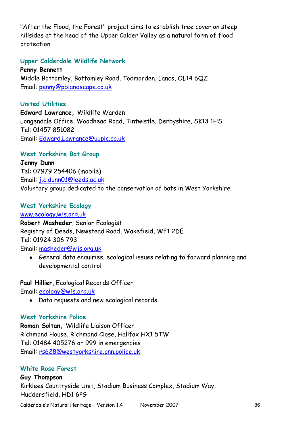"After the Flood, the Forest" project aims to establish tree cover on steep hillsides at the head of the Upper Calder Valley as a natural form of flood protection.

## **Upper Calderdale Wildlife Network**

**Penny Bennett** Middle Bottomley, Bottomley Road, Todmorden, Lancs, OL14 6QZ Email: [penny@pblandscape.co.uk](mailto:penny@pblandscape.co.uk)

## **United Utilities**

**Edward Lawrance,** Wildlife Warden Longendale Office, Woodhead Road, Tintwistle, Derbyshire, SK13 1HS Tel: 01457 851082 Email: Edward[.Lawrance@uuplc.co.uk](mailto:Lawrance@uuplc.co.uk)

## **West Yorkshire Bat Group**

**Jenny Dunn** Tel: 07979 254406 (mobile) Email: [j.c.dunn01@leeds.ac.uk](mailto:j.c.dunn01@leeds.ac.uk) Voluntary group dedicated to the conservation of bats in West Yorkshire.

## **West Yorkshire Ecology**

[www.ecology.wjs.org.uk](http://www.ecology.wjs.org.uk/) **Robert Masheder**, Senior Ecologist Registry of Deeds, Newstead Road, Wakefield, WF1 2DE Tel: 01924 306 793 Email: [masheder@wjs.org.uk](mailto:masheder@wjs.org.uk)

General data enquiries, ecological issues relating to forward planning and developmental control

**Paul Hillier**, Ecological Records Officer

Email: [ecology@wjs.org.uk](mailto:ecology@wjs.org.uk)

Data requests and new ecological records

## **West Yorkshire Police**

**Roman Soltan,** Wildlife Liaison Officer Richmond House, Richmond Close, Halifax HX1 5TW Tel: 01484 405276 or 999 in emergencies Email: [rs628@westyorkshire.pnn.police.uk](mailto:rs628@westyorkshire.pnn.police.uk)

## **White Rose Forest**

#### **Guy Thompson**

Kirklees Countryside Unit, Stadium Business Complex, Stadium Way, Huddersfield, HD1 6PG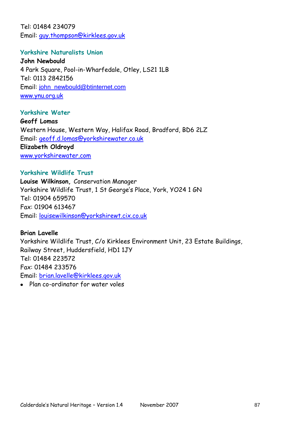Tel: 01484 234079 Email: [guy.thompson@kirklees.gov.uk](mailto:guy.thompson@kirklees.gov.uk)

#### **Yorkshire Naturalists Union**

**John Newbould** 4 Park Square, Pool-in-Wharfedale, Otley, LS21 1LB Tel: 0113 2842156 Email: [john\\_newbould@btinternet.com](mailto:john_newbould@btinternet.com) [www.ynu.org.uk](http://www.ynu.org.uk/)

#### **Yorkshire Water**

**Geoff Lomas**  Western House, Western Way, Halifax Road, Bradford, BD6 2LZ Email: geoff.d.[lomas@yorkshirewater.co.uk](mailto:lomas@yorkshirewater.co.uk) **Elizabeth Oldroyd** [www.yorkshirewater.com](http://www.yorkshirewater.com/)

## **Yorkshire Wildlife Trust**

**Louise Wilkinson,** Conservation Manager Yorkshire Wildlife Trust, 1 St George"s Place, York, YO24 1 GN Tel: 01904 659570 Fax: 01904 613467 Email: [louisewilkinson@yorkshirewt.cix.co.uk](mailto:louisewilkinson@yorkshirewt.cix.co.uk)

# **Brian Lavelle**

Yorkshire Wildlife Trust, C/o Kirklees Environment Unit, 23 Estate Buildings, Railway Street, Huddersfield, HD1 1JY Tel: 01484 223572 Fax: 01484 233576 Email: [brian.lavelle@kirklees.gov.uk](mailto:brian.lavelle@kirklees.gov.uk)

Plan co-ordinator for water voles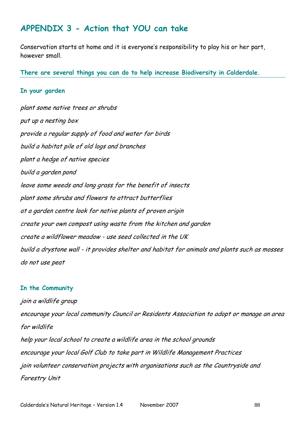# **APPENDIX 3 - Action that YOU can take**

Conservation starts at home and it is everyone's responsibility to play his or her part, however small.

**There are several things you can do to help increase Biodiversity in Calderdale.**

#### **In your garden**

plant some native trees or shrubs put up a nesting box provide a regular supply of food and water for birds build a habitat pile of old logs and branches plant a hedge of native species build a garden pond leave some weeds and long grass for the benefit of insects plant some shrubs and flowers to attract butterflies at a garden centre look for native plants of proven origin create your own compost using waste from the kitchen and garden create a wildflower meadow - use seed collected in the UK build a drystone wall - it provides shelter and habitat for animals and plants such as mosses do not use peat

#### **In the Community**

join a wildlife group encourage your local community Council or Residents Association to adopt or manage an area for wildlife help your local school to create a wildlife area in the school grounds encourage your local Golf Club to take part in Wildlife Management Practices join volunteer conservation projects with organisations such as the Countryside and Forestry Unit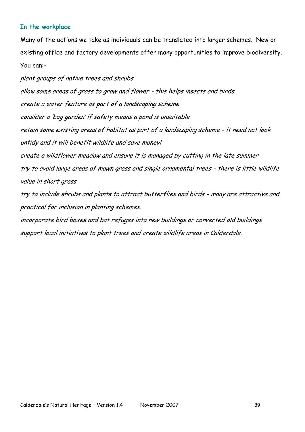### **In the workplace**

Many of the actions we take as individuals can be translated into larger schemes. New or existing office and factory developments offer many opportunities to improve biodiversity. You can:-

plant groups of native trees and shrubs allow some areas of grass to grow and flower - this helps insects and birds create a water feature as part of a landscaping scheme consider a "bog garden" if safety means a pond is unsuitable retain some existing areas of habitat as part of a landscaping scheme - it need not look untidy and it will benefit wildlife and save money! create a wildflower meadow and ensure it is managed by cutting in the late summer try to avoid large areas of mown grass and single ornamental trees - there is little wildlife value in short grass try to include shrubs and plants to attract butterflies and birds - many are attractive and practical for inclusion in planting schemes.

incorporate bird boxes and bat refuges into new buildings or converted old buildings support local initiatives to plant trees and create wildlife areas in Calderdale.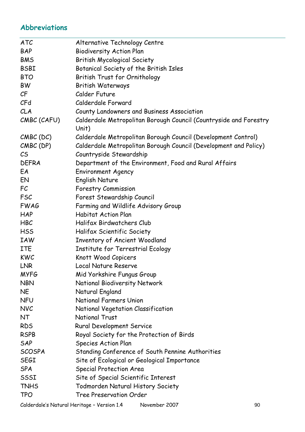# **Abbreviations**

| <b>ATC</b>              | Alternative Technology Centre                                              |
|-------------------------|----------------------------------------------------------------------------|
| <b>BAP</b>              | <b>Biodiversity Action Plan</b>                                            |
| <b>BMS</b>              | <b>British Mycological Society</b>                                         |
| <b>BSBI</b>             | Botanical Society of the British Isles                                     |
| <b>BTO</b>              | British Trust for Ornithology                                              |
| <b>BW</b>               | <b>British Waterways</b>                                                   |
| $\mathcal{C}\mathsf{F}$ | Calder Future                                                              |
| CFA                     | Calderdale Forward                                                         |
| CLA                     | County Landowners and Business Association                                 |
| CMBC (CAFU)             | Calderdale Metropolitan Borough Council (Countryside and Forestry<br>Unit) |
| $CMBC$ (DC)             | Calderdale Metropolitan Borough Council (Development Control)              |
| $CMBC$ (DP)             | Calderdale Metropolitan Borough Council (Development and Policy)           |
| $\mathcal{C}$           | Countryside Stewardship                                                    |
| <b>DEFRA</b>            | Department of the Environment, Food and Rural Affairs                      |
| EA                      | <b>Environment Agency</b>                                                  |
| EN                      | <b>English Nature</b>                                                      |
| FC                      | <b>Forestry Commission</b>                                                 |
| <b>FSC</b>              | Forest Stewardship Council                                                 |
| <b>FWAG</b>             | Farming and Wildlife Advisory Group                                        |
| <b>HAP</b>              | <b>Habitat Action Plan</b>                                                 |
| <b>HBC</b>              | Halifax Birdwatchers Club                                                  |
| <b>HSS</b>              | Halifax Scientific Society                                                 |
| <b>IAW</b>              | <b>Inventory of Ancient Woodland</b>                                       |
| <b>ITE</b>              | Institute for Terrestrial Ecology                                          |
| <b>KWC</b>              | Knott Wood Copicers                                                        |
| LNR                     | Local Nature Reserve                                                       |
| <b>MYFG</b>             | Mid Yorkshire Fungus Group                                                 |
| <b>NBN</b>              | National Biodiversity Network                                              |
| <b>NE</b>               | Natural England                                                            |
| <b>NFU</b>              | <b>National Farmers Union</b>                                              |
| <b>NVC</b>              | National Vegetation Classification                                         |
| <b>NT</b>               | <b>National Trust</b>                                                      |
| <b>RDS</b>              | Rural Development Service                                                  |
| <b>RSPB</b>             | Royal Society for the Protection of Birds                                  |
| SAP                     | <b>Species Action Plan</b>                                                 |
| <b>SCOSPA</b>           | Standing Conference of South Pennine Authorities                           |
| <b>SEGI</b>             | Site of Ecological or Geological Importance                                |
| <b>SPA</b>              | Special Protection Area                                                    |
| SSSI                    | Site of Special Scientific Interest                                        |
| <b>TNHS</b>             | <b>Todmorden Natural History Society</b>                                   |
| <b>TPO</b>              | <b>Tree Preservation Order</b>                                             |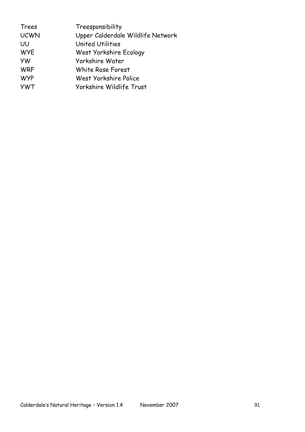| Trees       | Treesponsibility                  |
|-------------|-----------------------------------|
| <b>UCWN</b> | Upper Calderdale Wildlife Network |
| UU          | <b>United Utilities</b>           |
| <b>WYE</b>  | West Yorkshire Ecology            |
| <b>YW</b>   | Yorkshire Water                   |
| <b>WRF</b>  | White Rose Forest                 |
| <b>WYP</b>  | West Yorkshire Police             |
| <b>YWT</b>  | Yorkshire Wildlife Trust          |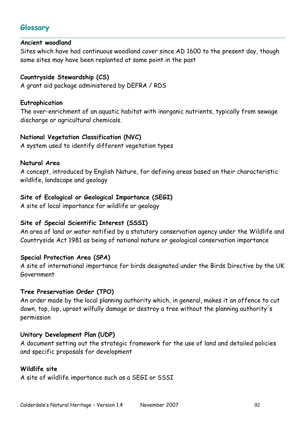# **Glossary**

## **Ancient woodland**

Sites which have had continuous woodland cover since AD 1600 to the present day, though some sites may have been replanted at some point in the past

## **Countryside Stewardship (CS)**

A grant aid package administered by DEFRA / RDS

## **Eutrophication**

The over-enrichment of an aquatic habitat with inorganic nutrients, typically from sewage discharge or agricultural chemicals.

## **National Vegetation Classification (NVC)**

A system used to identify different vegetation types

## **Natural Area**

A concept, introduced by English Nature, for defining areas based on their characteristic wildlife, landscape and geology

# **Site of Ecological or Geological Importance (SEGI)**

A site of local importance for wildlife or geology

## **Site of Special Scientific Interest (SSSI)**

An area of land or water notified by a statutory conservation agency under the Wildlife and Countryside Act 1981 as being of national nature or geological conservation importance

## **Special Protection Area (SPA)**

A site of international importance for birds designated under the Birds Directive by the UK Government

## **Tree Preservation Order (TPO)**

An order made by the local planning authority which, in general, makes it an offence to cut down, top, lop, uproot wilfully damage or destroy a tree without the planning authority's permission

## **Unitary Development Plan (UDP)**

A document setting out the strategic framework for the use of land and detailed policies and specific proposals for development

## **Wildlife site**

A site of wildlife importance such as a SEGI or SSSI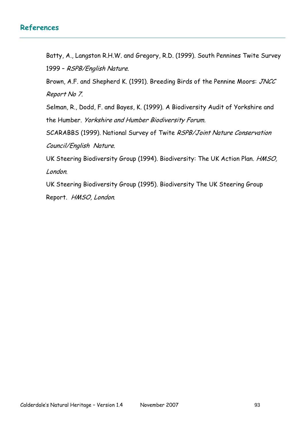# **References**

Batty, A., Langston R.H.W. and Gregory, R.D. (1999). South Pennines Twite Survey 1999 – RSPB/English Nature.

Brown, A.F. and Shepherd K. (1991). Breeding Birds of the Pennine Moors: JNCC Report No 7.

Selman, R., Dodd, F. and Bayes, K. (1999). A Biodiversity Audit of Yorkshire and the Humber. Yorkshire and Humber Biodiversity Forum.

SCARABBS (1999). National Survey of Twite RSPB/Joint Nature Conservation Council/English Nature.

UK Steering Biodiversity Group (1994). Biodiversity: The UK Action Plan. HMSO, London.

UK Steering Biodiversity Group (1995). Biodiversity The UK Steering Group Report. HMSO, London.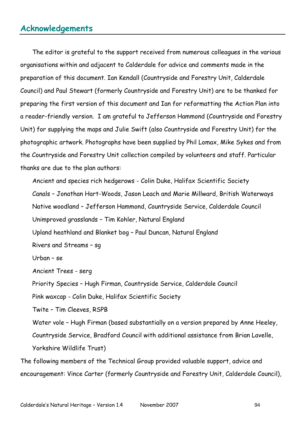# **Acknowledgements**

The editor is grateful to the support received from numerous colleagues in the various organisations within and adjacent to Calderdale for advice and comments made in the preparation of this document. Ian Kendall (Countryside and Forestry Unit, Calderdale Council) and Paul Stewart (formerly Countryside and Forestry Unit) are to be thanked for preparing the first version of this document and Ian for reformatting the Action Plan into a reader-friendly version. I am grateful to Jefferson Hammond (Countryside and Forestry Unit) for supplying the maps and Julie Swift (also Countryside and Forestry Unit) for the photographic artwork. Photographs have been supplied by Phil Lomax, Mike Sykes and from the Countryside and Forestry Unit collection compiled by volunteers and staff. Particular thanks are due to the plan authors:

Ancient and species rich hedgerows - Colin Duke, Halifax Scientific Society Canals – Jonathan Hart-Woods, Jason Leach and Marie Millward, British Waterways Native woodland – Jefferson Hammond, Countryside Service, Calderdale Council Unimproved grasslands – Tim Kohler, Natural England Upland heathland and Blanket bog – Paul Duncan, Natural England Rivers and Streams – sg Urban – se Ancient Trees - serg Priority Species – Hugh Firman, Countryside Service, Calderdale Council Pink waxcap - Colin Duke, Halifax Scientific Society Twite – Tim Cleeves, RSPB Water vole – Hugh Firman (based substantially on a version prepared by Anne Heeley, Countryside Service, Bradford Council with additional assistance from Brian Lavelle, Yorkshire Wildlife Trust) The following members of the Technical Group provided valuable support, advice and

encouragement: Vince Carter (formerly Countryside and Forestry Unit, Calderdale Council),